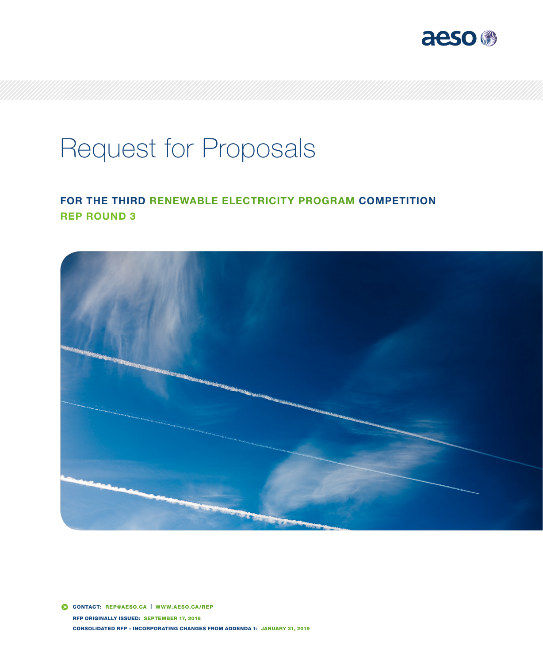

# Request for Proposals

## FOR THE THIRD RENEWABLE ELECTRICITY PROGRAM COMPETITION REP ROUND 3



 CONTACT: REP@AESO.CA | WWW.AESO.CA/REP RFP ORIGINALLY ISSUED: SEPTEMBER 17, 2018 CONSOLIDATED RFP – INCORPORATING CHANGES FROM ADDENDA 1: JANUARY 31, 2019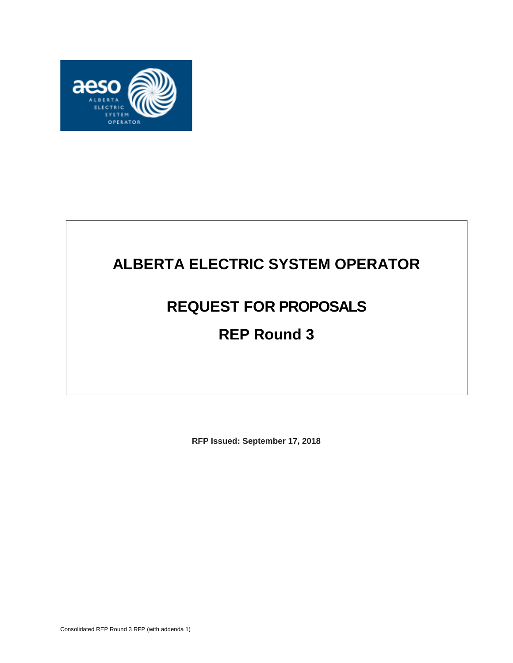

## **ALBERTA ELECTRIC SYSTEM OPERATOR**

## **REQUEST FOR PROPOSALS REP Round 3**

**RFP Issued: September 17, 2018**

Consolidated REP Round 3 RFP (with addenda 1)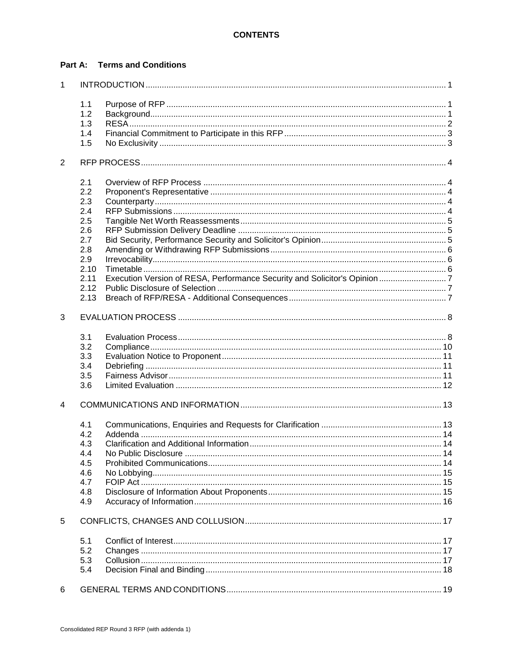#### **Part A: Terms and Conditions**

| $\mathbf{1}$ |      |                      |  |  |
|--------------|------|----------------------|--|--|
|              | 1.1  |                      |  |  |
|              | 1.2  |                      |  |  |
|              | 1.3  |                      |  |  |
|              | 1.4  |                      |  |  |
|              | 1.5  |                      |  |  |
| 2            |      |                      |  |  |
|              | 2.1  |                      |  |  |
|              | 2.2  |                      |  |  |
|              | 2.3  |                      |  |  |
|              | 2.4  |                      |  |  |
|              | 2.5  |                      |  |  |
|              | 2.6  |                      |  |  |
|              | 2.7  |                      |  |  |
|              | 2.8  |                      |  |  |
|              | 2.9  |                      |  |  |
|              | 2.10 |                      |  |  |
|              | 2.11 |                      |  |  |
|              | 2.12 |                      |  |  |
|              | 2.13 |                      |  |  |
| 3            |      |                      |  |  |
|              | 3.1  |                      |  |  |
|              | 3.2  |                      |  |  |
|              | 3.3  |                      |  |  |
|              | 3.4  |                      |  |  |
|              | 3.5  |                      |  |  |
|              | 3.6  |                      |  |  |
| 4            |      |                      |  |  |
|              | 4.1  |                      |  |  |
|              | 4.2  |                      |  |  |
|              | 4.3  |                      |  |  |
|              | 4.4  | No Public Disclosure |  |  |
|              | 4.5  |                      |  |  |
|              | 4.6  |                      |  |  |
|              | 4.7  |                      |  |  |
|              | 4.8  |                      |  |  |
|              | 4.9  |                      |  |  |
| 5            |      |                      |  |  |
|              | 5.1  |                      |  |  |
|              | 5.2  |                      |  |  |
|              | 5.3  |                      |  |  |
|              | 5.4  |                      |  |  |
| 6            |      |                      |  |  |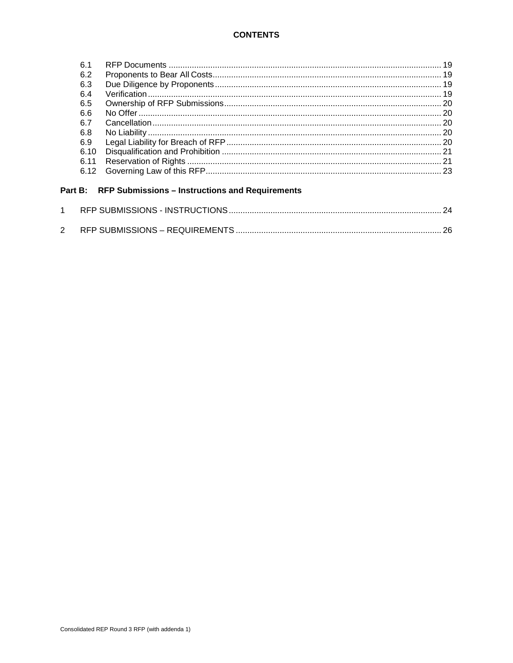#### **CONTENTS**

### Part B: RFP Submissions - Instructions and Requirements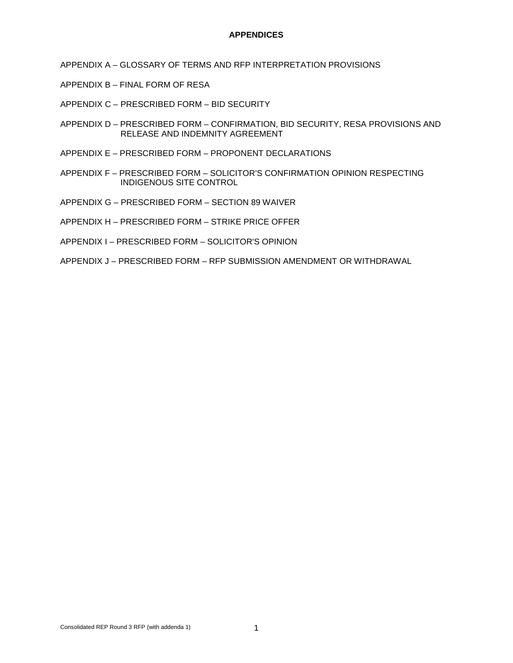#### **APPENDICES**

- APPENDIX A GLOSSARY OF TERMS AND RFP INTERPRETATION PROVISIONS
- APPENDIX B FINAL FORM OF RESA
- APPENDIX C PRESCRIBED FORM BID SECURITY
- APPENDIX D PRESCRIBED FORM CONFIRMATION, BID SECURITY, RESA PROVISIONS AND RELEASE AND INDEMNITY AGREEMENT
- APPENDIX E PRESCRIBED FORM PROPONENT DECLARATIONS
- APPENDIX F PRESCRIBED FORM SOLICITOR'S CONFIRMATION OPINION RESPECTING INDIGENOUS SITE CONTROL
- APPENDIX G PRESCRIBED FORM SECTION 89 WAIVER
- APPENDIX H PRESCRIBED FORM STRIKE PRICE OFFER
- APPENDIX I PRESCRIBED FORM SOLICITOR'S OPINION
- APPENDIX J PRESCRIBED FORM RFP SUBMISSION AMENDMENT OR WITHDRAWAL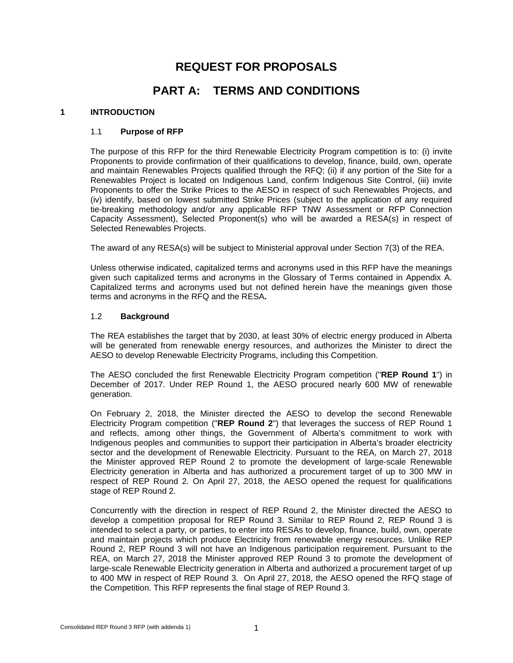## **REQUEST FOR PROPOSALS**

## **PART A: TERMS AND CONDITIONS**

#### <span id="page-5-1"></span><span id="page-5-0"></span>**1 INTRODUCTION**

#### 1.1 **Purpose of RFP**

The purpose of this RFP for the third Renewable Electricity Program competition is to: (i) invite Proponents to provide confirmation of their qualifications to develop, finance, build, own, operate and maintain Renewables Projects qualified through the RFQ; (ii) if any portion of the Site for a Renewables Project is located on Indigenous Land, confirm Indigenous Site Control, (iii) invite Proponents to offer the Strike Prices to the AESO in respect of such Renewables Projects, and (iv) identify, based on lowest submitted Strike Prices (subject to the application of any required tie-breaking methodology and/or any applicable RFP TNW Assessment or RFP Connection Capacity Assessment), Selected Proponent(s) who will be awarded a RESA(s) in respect of Selected Renewables Projects.

The award of any RESA(s) will be subject to Ministerial approval under Section 7(3) of the REA.

Unless otherwise indicated, capitalized terms and acronyms used in this RFP have the meanings given such capitalized terms and acronyms in the Glossary of Terms contained in Appendix A. Capitalized terms and acronyms used but not defined herein have the meanings given those terms and acronyms in the RFQ and the RESA**.**

#### <span id="page-5-2"></span>1.2 **Background**

The REA establishes the target that by 2030, at least 30% of electric energy produced in Alberta will be generated from renewable energy resources, and authorizes the Minister to direct the AESO to develop Renewable Electricity Programs, including this Competition.

The AESO concluded the first Renewable Electricity Program competition ("**REP Round 1**") in December of 2017. Under REP Round 1, the AESO procured nearly 600 MW of renewable generation.

On February 2, 2018, the Minister directed the AESO to develop the second Renewable Electricity Program competition ("**REP Round 2**") that leverages the success of REP Round 1 and reflects, among other things, the Government of Alberta's commitment to work with Indigenous peoples and communities to support their participation in Alberta's broader electricity sector and the development of Renewable Electricity. Pursuant to the REA, on March 27, 2018 the Minister approved REP Round 2 to promote the development of large-scale Renewable Electricity generation in Alberta and has authorized a procurement target of up to 300 MW in respect of REP Round 2. On April 27, 2018, the AESO opened the request for qualifications stage of REP Round 2.

Concurrently with the direction in respect of REP Round 2, the Minister directed the AESO to develop a competition proposal for REP Round 3. Similar to REP Round 2, REP Round 3 is intended to select a party, or parties, to enter into RESAs to develop, finance, build, own, operate and maintain projects which produce Electricity from renewable energy resources. Unlike REP Round 2, REP Round 3 will not have an Indigenous participation requirement. Pursuant to the REA, on March 27, 2018 the Minister approved REP Round 3 to promote the development of large-scale Renewable Electricity generation in Alberta and authorized a procurement target of up to 400 MW in respect of REP Round 3. On April 27, 2018, the AESO opened the RFQ stage of the Competition. This RFP represents the final stage of REP Round 3.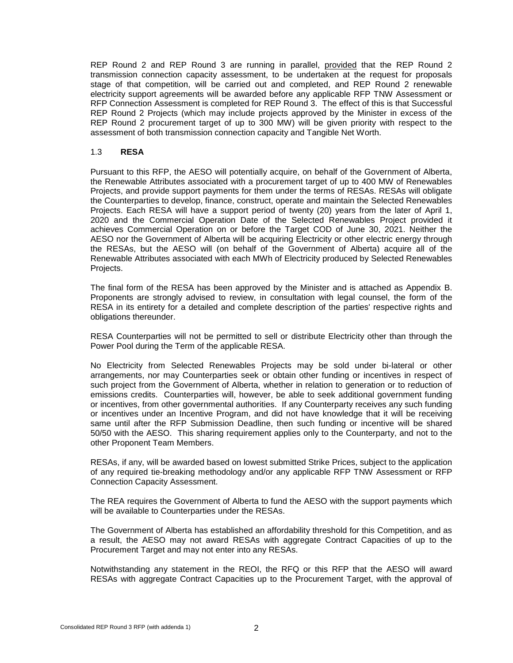REP Round 2 and REP Round 3 are running in parallel, provided that the REP Round 2 transmission connection capacity assessment, to be undertaken at the request for proposals stage of that competition, will be carried out and completed, and REP Round 2 renewable electricity support agreements will be awarded before any applicable RFP TNW Assessment or RFP Connection Assessment is completed for REP Round 3. The effect of this is that Successful REP Round 2 Projects (which may include projects approved by the Minister in excess of the REP Round 2 procurement target of up to 300 MW) will be given priority with respect to the assessment of both transmission connection capacity and Tangible Net Worth.

#### <span id="page-6-0"></span>1.3 **RESA**

Pursuant to this RFP, the AESO will potentially acquire, on behalf of the Government of Alberta, the Renewable Attributes associated with a procurement target of up to 400 MW of Renewables Projects, and provide support payments for them under the terms of RESAs. RESAs will obligate the Counterparties to develop, finance, construct, operate and maintain the Selected Renewables Projects. Each RESA will have a support period of twenty (20) years from the later of April 1, 2020 and the Commercial Operation Date of the Selected Renewables Project provided it achieves Commercial Operation on or before the Target COD of June 30, 2021. Neither the AESO nor the Government of Alberta will be acquiring Electricity or other electric energy through the RESAs, but the AESO will (on behalf of the Government of Alberta) acquire all of the Renewable Attributes associated with each MWh of Electricity produced by Selected Renewables Projects.

The final form of the RESA has been approved by the Minister and is attached as Appendix B. Proponents are strongly advised to review, in consultation with legal counsel, the form of the RESA in its entirety for a detailed and complete description of the parties' respective rights and obligations thereunder.

RESA Counterparties will not be permitted to sell or distribute Electricity other than through the Power Pool during the Term of the applicable RESA.

No Electricity from Selected Renewables Projects may be sold under bi-lateral or other arrangements, nor may Counterparties seek or obtain other funding or incentives in respect of such project from the Government of Alberta, whether in relation to generation or to reduction of emissions credits. Counterparties will, however, be able to seek additional government funding or incentives, from other governmental authorities. If any Counterparty receives any such funding or incentives under an Incentive Program, and did not have knowledge that it will be receiving same until after the RFP Submission Deadline, then such funding or incentive will be shared 50/50 with the AESO. This sharing requirement applies only to the Counterparty, and not to the other Proponent Team Members.

RESAs, if any, will be awarded based on lowest submitted Strike Prices, subject to the application of any required tie-breaking methodology and/or any applicable RFP TNW Assessment or RFP Connection Capacity Assessment.

The REA requires the Government of Alberta to fund the AESO with the support payments which will be available to Counterparties under the RESAs.

The Government of Alberta has established an affordability threshold for this Competition, and as a result, the AESO may not award RESAs with aggregate Contract Capacities of up to the Procurement Target and may not enter into any RESAs.

Notwithstanding any statement in the REOI, the RFQ or this RFP that the AESO will award RESAs with aggregate Contract Capacities up to the Procurement Target, with the approval of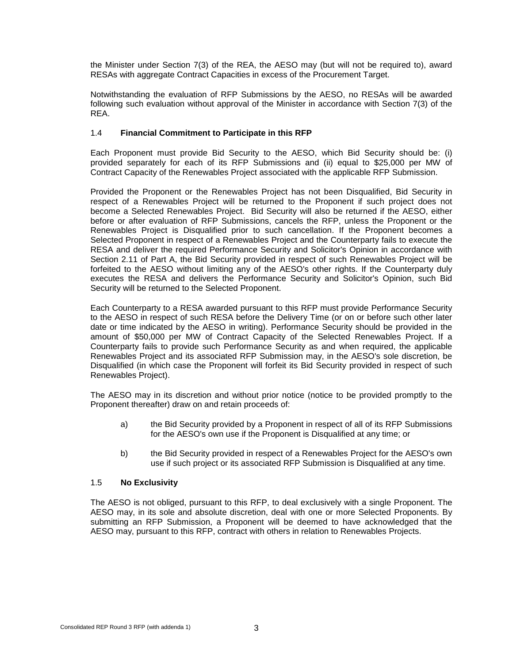the Minister under Section 7(3) of the REA, the AESO may (but will not be required to), award RESAs with aggregate Contract Capacities in excess of the Procurement Target.

Notwithstanding the evaluation of RFP Submissions by the AESO, no RESAs will be awarded following such evaluation without approval of the Minister in accordance with Section 7(3) of the REA.

#### <span id="page-7-0"></span>1.4 **Financial Commitment to Participate in this RFP**

Each Proponent must provide Bid Security to the AESO, which Bid Security should be: (i) provided separately for each of its RFP Submissions and (ii) equal to \$25,000 per MW of Contract Capacity of the Renewables Project associated with the applicable RFP Submission.

Provided the Proponent or the Renewables Project has not been Disqualified, Bid Security in respect of a Renewables Project will be returned to the Proponent if such project does not become a Selected Renewables Project. Bid Security will also be returned if the AESO, either before or after evaluation of RFP Submissions, cancels the RFP, unless the Proponent or the Renewables Project is Disqualified prior to such cancellation. If the Proponent becomes a Selected Proponent in respect of a Renewables Project and the Counterparty fails to execute the RESA and deliver the required Performance Security and Solicitor's Opinion in accordance with Section 2.11 of Part A, the Bid Security provided in respect of such Renewables Project will be forfeited to the AESO without limiting any of the AESO's other rights. If the Counterparty duly executes the RESA and delivers the Performance Security and Solicitor's Opinion, such Bid Security will be returned to the Selected Proponent.

Each Counterparty to a RESA awarded pursuant to this RFP must provide Performance Security to the AESO in respect of such RESA before the Delivery Time (or on or before such other later date or time indicated by the AESO in writing). Performance Security should be provided in the amount of \$50,000 per MW of Contract Capacity of the Selected Renewables Project. If a Counterparty fails to provide such Performance Security as and when required, the applicable Renewables Project and its associated RFP Submission may, in the AESO's sole discretion, be Disqualified (in which case the Proponent will forfeit its Bid Security provided in respect of such Renewables Project).

The AESO may in its discretion and without prior notice (notice to be provided promptly to the Proponent thereafter) draw on and retain proceeds of:

- a) the Bid Security provided by a Proponent in respect of all of its RFP Submissions for the AESO's own use if the Proponent is Disqualified at any time; or
- b) the Bid Security provided in respect of a Renewables Project for the AESO's own use if such project or its associated RFP Submission is Disqualified at any time.

#### <span id="page-7-1"></span>1.5 **No Exclusivity**

The AESO is not obliged, pursuant to this RFP, to deal exclusively with a single Proponent. The AESO may, in its sole and absolute discretion, deal with one or more Selected Proponents. By submitting an RFP Submission, a Proponent will be deemed to have acknowledged that the AESO may, pursuant to this RFP, contract with others in relation to Renewables Projects.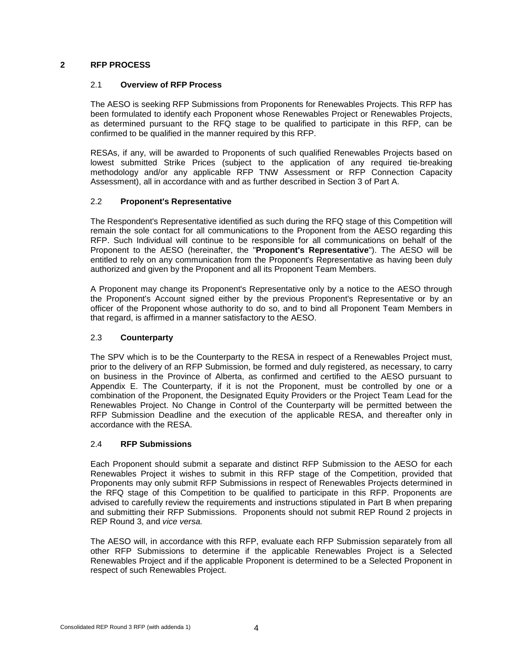#### <span id="page-8-1"></span><span id="page-8-0"></span>**2 RFP PROCESS**

#### 2.1 **Overview of RFP Process**

The AESO is seeking RFP Submissions from Proponents for Renewables Projects. This RFP has been formulated to identify each Proponent whose Renewables Project or Renewables Projects, as determined pursuant to the RFQ stage to be qualified to participate in this RFP, can be confirmed to be qualified in the manner required by this RFP.

RESAs, if any, will be awarded to Proponents of such qualified Renewables Projects based on lowest submitted Strike Prices (subject to the application of any required tie-breaking methodology and/or any applicable RFP TNW Assessment or RFP Connection Capacity Assessment), all in accordance with and as further described in Section 3 of Part A.

#### <span id="page-8-2"></span>2.2 **Proponent's Representative**

The Respondent's Representative identified as such during the RFQ stage of this Competition will remain the sole contact for all communications to the Proponent from the AESO regarding this RFP. Such Individual will continue to be responsible for all communications on behalf of the Proponent to the AESO (hereinafter, the "**Proponent's Representative**"). The AESO will be entitled to rely on any communication from the Proponent's Representative as having been duly authorized and given by the Proponent and all its Proponent Team Members.

A Proponent may change its Proponent's Representative only by a notice to the AESO through the Proponent's Account signed either by the previous Proponent's Representative or by an officer of the Proponent whose authority to do so, and to bind all Proponent Team Members in that regard, is affirmed in a manner satisfactory to the AESO.

#### <span id="page-8-3"></span>2.3 **Counterparty**

The SPV which is to be the Counterparty to the RESA in respect of a Renewables Project must, prior to the delivery of an RFP Submission, be formed and duly registered, as necessary, to carry on business in the Province of Alberta, as confirmed and certified to the AESO pursuant to Appendix E. The Counterparty, if it is not the Proponent, must be controlled by one or a combination of the Proponent, the Designated Equity Providers or the Project Team Lead for the Renewables Project. No Change in Control of the Counterparty will be permitted between the RFP Submission Deadline and the execution of the applicable RESA, and thereafter only in accordance with the RESA.

#### <span id="page-8-4"></span>2.4 **RFP Submissions**

Each Proponent should submit a separate and distinct RFP Submission to the AESO for each Renewables Project it wishes to submit in this RFP stage of the Competition, provided that Proponents may only submit RFP Submissions in respect of Renewables Projects determined in the RFQ stage of this Competition to be qualified to participate in this RFP. Proponents are advised to carefully review the requirements and instructions stipulated in Part B when preparing and submitting their RFP Submissions. Proponents should not submit REP Round 2 projects in REP Round 3, and *vice versa.*

The AESO will, in accordance with this RFP, evaluate each RFP Submission separately from all other RFP Submissions to determine if the applicable Renewables Project is a Selected Renewables Project and if the applicable Proponent is determined to be a Selected Proponent in respect of such Renewables Project.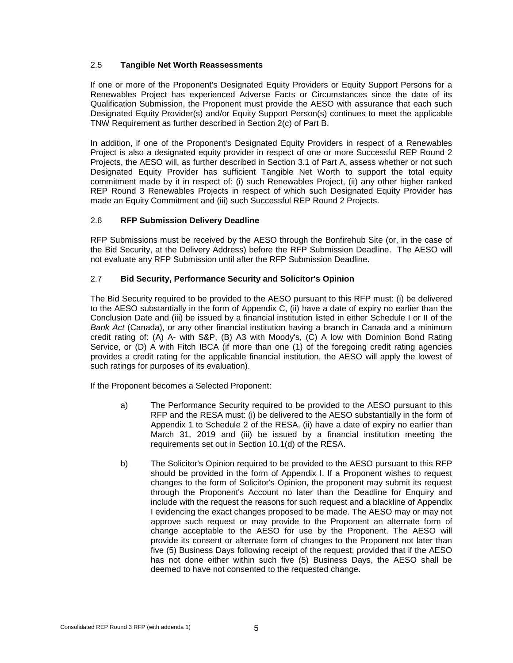#### <span id="page-9-0"></span>2.5 **Tangible Net Worth Reassessments**

If one or more of the Proponent's Designated Equity Providers or Equity Support Persons for a Renewables Project has experienced Adverse Facts or Circumstances since the date of its Qualification Submission, the Proponent must provide the AESO with assurance that each such Designated Equity Provider(s) and/or Equity Support Person(s) continues to meet the applicable TNW Requirement as further described in Section 2(c) of Part B.

In addition, if one of the Proponent's Designated Equity Providers in respect of a Renewables Project is also a designated equity provider in respect of one or more Successful REP Round 2 Projects, the AESO will, as further described in Section 3.1 of Part A, assess whether or not such Designated Equity Provider has sufficient Tangible Net Worth to support the total equity commitment made by it in respect of: (i) such Renewables Project, (ii) any other higher ranked REP Round 3 Renewables Projects in respect of which such Designated Equity Provider has made an Equity Commitment and (iii) such Successful REP Round 2 Projects.

#### <span id="page-9-1"></span>2.6 **RFP Submission Delivery Deadline**

RFP Submissions must be received by the AESO through the Bonfirehub Site (or, in the case of the Bid Security, at the Delivery Address) before the RFP Submission Deadline. The AESO will not evaluate any RFP Submission until after the RFP Submission Deadline.

#### <span id="page-9-2"></span>2.7 **Bid Security, Performance Security and Solicitor's Opinion**

The Bid Security required to be provided to the AESO pursuant to this RFP must: (i) be delivered to the AESO substantially in the form of Appendix C, (ii) have a date of expiry no earlier than the Conclusion Date and (iii) be issued by a financial institution listed in either Schedule I or II of the *Bank Act* (Canada), or any other financial institution having a branch in Canada and a minimum credit rating of: (A) A- with S&P, (B) A3 with Moody's, (C) A low with Dominion Bond Rating Service, or (D) A with Fitch IBCA (if more than one (1) of the foregoing credit rating agencies provides a credit rating for the applicable financial institution, the AESO will apply the lowest of such ratings for purposes of its evaluation).

If the Proponent becomes a Selected Proponent:

- a) The Performance Security required to be provided to the AESO pursuant to this RFP and the RESA must: (i) be delivered to the AESO substantially in the form of Appendix 1 to Schedule 2 of the RESA, (ii) have a date of expiry no earlier than March 31, 2019 and (iii) be issued by a financial institution meeting the requirements set out in Section 10.1(d) of the RESA.
- b) The Solicitor's Opinion required to be provided to the AESO pursuant to this RFP should be provided in the form of Appendix I. If a Proponent wishes to request changes to the form of Solicitor's Opinion, the proponent may submit its request through the Proponent's Account no later than the Deadline for Enquiry and include with the request the reasons for such request and a blackline of Appendix I evidencing the exact changes proposed to be made. The AESO may or may not approve such request or may provide to the Proponent an alternate form of change acceptable to the AESO for use by the Proponent. The AESO will provide its consent or alternate form of changes to the Proponent not later than five (5) Business Days following receipt of the request; provided that if the AESO has not done either within such five (5) Business Days, the AESO shall be deemed to have not consented to the requested change.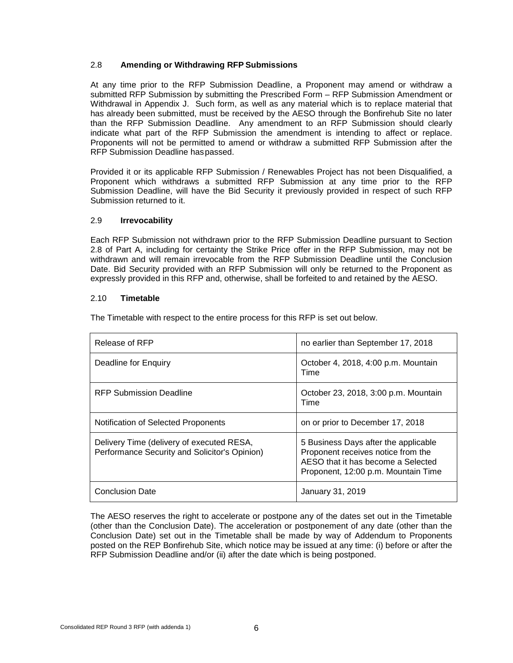#### <span id="page-10-0"></span>2.8 **Amending or Withdrawing RFP Submissions**

At any time prior to the RFP Submission Deadline, a Proponent may amend or withdraw a submitted RFP Submission by submitting the Prescribed Form – RFP Submission Amendment or Withdrawal in Appendix J. Such form, as well as any material which is to replace material that has already been submitted, must be received by the AESO through the Bonfirehub Site no later than the RFP Submission Deadline. Any amendment to an RFP Submission should clearly indicate what part of the RFP Submission the amendment is intending to affect or replace. Proponents will not be permitted to amend or withdraw a submitted RFP Submission after the RFP Submission Deadline haspassed.

Provided it or its applicable RFP Submission / Renewables Project has not been Disqualified, a Proponent which withdraws a submitted RFP Submission at any time prior to the RFP Submission Deadline, will have the Bid Security it previously provided in respect of such RFP Submission returned to it.

#### <span id="page-10-1"></span>2.9 **Irrevocability**

Each RFP Submission not withdrawn prior to the RFP Submission Deadline pursuant to Section 2.8 of Part A, including for certainty the Strike Price offer in the RFP Submission, may not be withdrawn and will remain irrevocable from the RFP Submission Deadline until the Conclusion Date. Bid Security provided with an RFP Submission will only be returned to the Proponent as expressly provided in this RFP and, otherwise, shall be forfeited to and retained by the AESO.

#### <span id="page-10-2"></span>2.10 **Timetable**

The Timetable with respect to the entire process for this RFP is set out below.

| Release of RFP                                                                             | no earlier than September 17, 2018                                                                                                                      |
|--------------------------------------------------------------------------------------------|---------------------------------------------------------------------------------------------------------------------------------------------------------|
| Deadline for Enguiry                                                                       | October 4, 2018, 4:00 p.m. Mountain<br>Time                                                                                                             |
| <b>RFP Submission Deadline</b>                                                             | October 23, 2018, 3:00 p.m. Mountain<br>Time                                                                                                            |
| Notification of Selected Proponents                                                        | on or prior to December 17, 2018                                                                                                                        |
| Delivery Time (delivery of executed RESA,<br>Performance Security and Solicitor's Opinion) | 5 Business Days after the applicable<br>Proponent receives notice from the<br>AESO that it has become a Selected<br>Proponent, 12:00 p.m. Mountain Time |
| <b>Conclusion Date</b>                                                                     | January 31, 2019                                                                                                                                        |

The AESO reserves the right to accelerate or postpone any of the dates set out in the Timetable (other than the Conclusion Date). The acceleration or postponement of any date (other than the Conclusion Date) set out in the Timetable shall be made by way of Addendum to Proponents posted on the REP Bonfirehub Site, which notice may be issued at any time: (i) before or after the RFP Submission Deadline and/or (ii) after the date which is being postponed.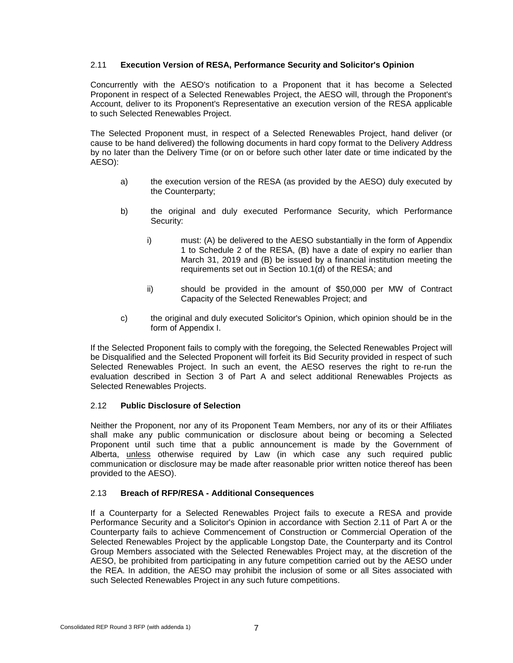#### <span id="page-11-0"></span>2.11 **Execution Version of RESA, Performance Security and Solicitor's Opinion**

Concurrently with the AESO's notification to a Proponent that it has become a Selected Proponent in respect of a Selected Renewables Project, the AESO will, through the Proponent's Account, deliver to its Proponent's Representative an execution version of the RESA applicable to such Selected Renewables Project.

The Selected Proponent must, in respect of a Selected Renewables Project, hand deliver (or cause to be hand delivered) the following documents in hard copy format to the Delivery Address by no later than the Delivery Time (or on or before such other later date or time indicated by the AESO):

- a) the execution version of the RESA (as provided by the AESO) duly executed by the Counterparty;
- b) the original and duly executed Performance Security, which Performance Security:
	- i) must: (A) be delivered to the AESO substantially in the form of Appendix 1 to Schedule 2 of the RESA, (B) have a date of expiry no earlier than March 31, 2019 and (B) be issued by a financial institution meeting the requirements set out in Section 10.1(d) of the RESA; and
	- ii) should be provided in the amount of \$50,000 per MW of Contract Capacity of the Selected Renewables Project; and
- c) the original and duly executed Solicitor's Opinion, which opinion should be in the form of Appendix I.

If the Selected Proponent fails to comply with the foregoing, the Selected Renewables Project will be Disqualified and the Selected Proponent will forfeit its Bid Security provided in respect of such Selected Renewables Project. In such an event, the AESO reserves the right to re-run the evaluation described in Section 3 of Part A and select additional Renewables Projects as Selected Renewables Projects.

#### <span id="page-11-1"></span>2.12 **Public Disclosure of Selection**

Neither the Proponent, nor any of its Proponent Team Members, nor any of its or their Affiliates shall make any public communication or disclosure about being or becoming a Selected Proponent until such time that a public announcement is made by the Government of Alberta, unless otherwise required by Law (in which case any such required public communication or disclosure may be made after reasonable prior written notice thereof has been provided to the AESO).

#### <span id="page-11-2"></span>2.13 **Breach of RFP/RESA - Additional Consequences**

If a Counterparty for a Selected Renewables Project fails to execute a RESA and provide Performance Security and a Solicitor's Opinion in accordance with Section 2.11 of Part A or the Counterparty fails to achieve Commencement of Construction or Commercial Operation of the Selected Renewables Project by the applicable Longstop Date, the Counterparty and its Control Group Members associated with the Selected Renewables Project may, at the discretion of the AESO, be prohibited from participating in any future competition carried out by the AESO under the REA. In addition, the AESO may prohibit the inclusion of some or all Sites associated with such Selected Renewables Project in any such future competitions.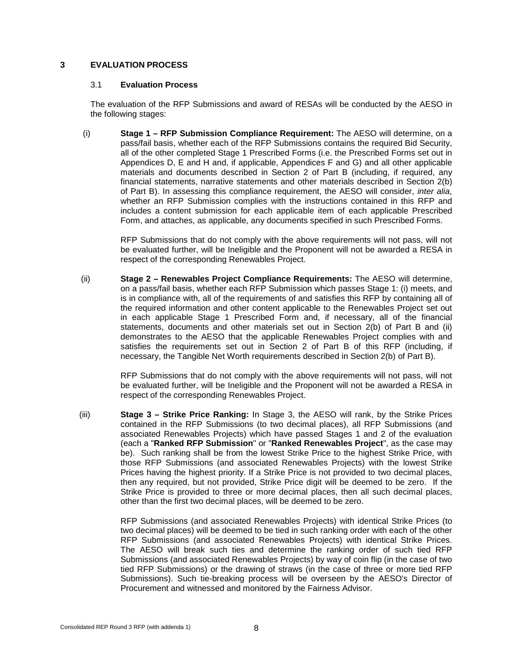#### <span id="page-12-1"></span><span id="page-12-0"></span>**3 EVALUATION PROCESS**

#### 3.1 **Evaluation Process**

The evaluation of the RFP Submissions and award of RESAs will be conducted by the AESO in the following stages:

(i) **Stage 1 – RFP Submission Compliance Requirement:** The AESO will determine, on a pass/fail basis, whether each of the RFP Submissions contains the required Bid Security, all of the other completed Stage 1 Prescribed Forms (i.e. the Prescribed Forms set out in Appendices D, E and H and, if applicable, Appendices F and G) and all other applicable materials and documents described in Section 2 of Part B (including, if required, any financial statements, narrative statements and other materials described in Section 2(b) of Part B). In assessing this compliance requirement, the AESO will consider, *inter alia*, whether an RFP Submission complies with the instructions contained in this RFP and includes a content submission for each applicable item of each applicable Prescribed Form, and attaches, as applicable, any documents specified in such Prescribed Forms.

> RFP Submissions that do not comply with the above requirements will not pass, will not be evaluated further, will be Ineligible and the Proponent will not be awarded a RESA in respect of the corresponding Renewables Project.

(ii) **Stage 2 – Renewables Project Compliance Requirements:** The AESO will determine, on a pass/fail basis, whether each RFP Submission which passes Stage 1: (i) meets, and is in compliance with, all of the requirements of and satisfies this RFP by containing all of the required information and other content applicable to the Renewables Project set out in each applicable Stage 1 Prescribed Form and, if necessary, all of the financial statements, documents and other materials set out in Section 2(b) of Part B and (ii) demonstrates to the AESO that the applicable Renewables Project complies with and satisfies the requirements set out in Section 2 of Part B of this RFP (including, if necessary, the Tangible Net Worth requirements described in Section 2(b) of Part B).

> RFP Submissions that do not comply with the above requirements will not pass, will not be evaluated further, will be Ineligible and the Proponent will not be awarded a RESA in respect of the corresponding Renewables Project.

(iii) **Stage 3 – Strike Price Ranking:** In Stage 3, the AESO will rank, by the Strike Prices contained in the RFP Submissions (to two decimal places), all RFP Submissions (and associated Renewables Projects) which have passed Stages 1 and 2 of the evaluation (each a "**Ranked RFP Submission**" or "**Ranked Renewables Project**", as the case may be). Such ranking shall be from the lowest Strike Price to the highest Strike Price, with those RFP Submissions (and associated Renewables Projects) with the lowest Strike Prices having the highest priority. If a Strike Price is not provided to two decimal places, then any required, but not provided, Strike Price digit will be deemed to be zero. If the Strike Price is provided to three or more decimal places, then all such decimal places, other than the first two decimal places, will be deemed to be zero.

> RFP Submissions (and associated Renewables Projects) with identical Strike Prices (to two decimal places) will be deemed to be tied in such ranking order with each of the other RFP Submissions (and associated Renewables Projects) with identical Strike Prices. The AESO will break such ties and determine the ranking order of such tied RFP Submissions (and associated Renewables Projects) by way of coin flip (in the case of two tied RFP Submissions) or the drawing of straws (in the case of three or more tied RFP Submissions). Such tie-breaking process will be overseen by the AESO's Director of Procurement and witnessed and monitored by the Fairness Advisor.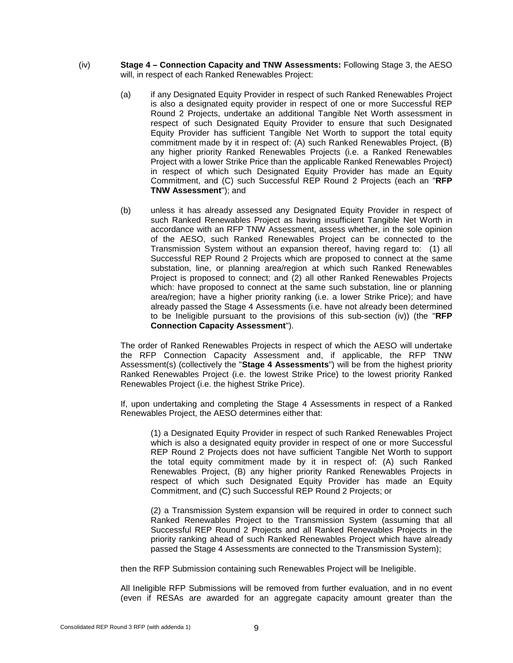#### (iv) **Stage 4 – Connection Capacity and TNW Assessments:** Following Stage 3, the AESO will, in respect of each Ranked Renewables Project:

- (a) if any Designated Equity Provider in respect of such Ranked Renewables Project is also a designated equity provider in respect of one or more Successful REP Round 2 Projects, undertake an additional Tangible Net Worth assessment in respect of such Designated Equity Provider to ensure that such Designated Equity Provider has sufficient Tangible Net Worth to support the total equity commitment made by it in respect of: (A) such Ranked Renewables Project, (B) any higher priority Ranked Renewables Projects (i.e. a Ranked Renewables Project with a lower Strike Price than the applicable Ranked Renewables Project) in respect of which such Designated Equity Provider has made an Equity Commitment, and (C) such Successful REP Round 2 Projects (each an "**RFP TNW Assessment**"); and
- (b) unless it has already assessed any Designated Equity Provider in respect of such Ranked Renewables Project as having insufficient Tangible Net Worth in accordance with an RFP TNW Assessment, assess whether, in the sole opinion of the AESO, such Ranked Renewables Project can be connected to the Transmission System without an expansion thereof, having regard to: (1) all Successful REP Round 2 Projects which are proposed to connect at the same substation, line, or planning area/region at which such Ranked Renewables Project is proposed to connect; and (2) all other Ranked Renewables Projects which: have proposed to connect at the same such substation, line or planning area/region; have a higher priority ranking (i.e. a lower Strike Price); and have already passed the Stage 4 Assessments (i.e. have not already been determined to be Ineligible pursuant to the provisions of this sub-section (iv)) (the "**RFP Connection Capacity Assessment**").

The order of Ranked Renewables Projects in respect of which the AESO will undertake the RFP Connection Capacity Assessment and, if applicable, the RFP TNW Assessment(s) (collectively the "**Stage 4 Assessments**") will be from the highest priority Ranked Renewables Project (i.e. the lowest Strike Price) to the lowest priority Ranked Renewables Project (i.e. the highest Strike Price).

If, upon undertaking and completing the Stage 4 Assessments in respect of a Ranked Renewables Project, the AESO determines either that:

(1) a Designated Equity Provider in respect of such Ranked Renewables Project which is also a designated equity provider in respect of one or more Successful REP Round 2 Projects does not have sufficient Tangible Net Worth to support the total equity commitment made by it in respect of: (A) such Ranked Renewables Project, (B) any higher priority Ranked Renewables Projects in respect of which such Designated Equity Provider has made an Equity Commitment, and (C) such Successful REP Round 2 Projects; or

(2) a Transmission System expansion will be required in order to connect such Ranked Renewables Project to the Transmission System (assuming that all Successful REP Round 2 Projects and all Ranked Renewables Projects in the priority ranking ahead of such Ranked Renewables Project which have already passed the Stage 4 Assessments are connected to the Transmission System);

then the RFP Submission containing such Renewables Project will be Ineligible.

All Ineligible RFP Submissions will be removed from further evaluation, and in no event (even if RESAs are awarded for an aggregate capacity amount greater than the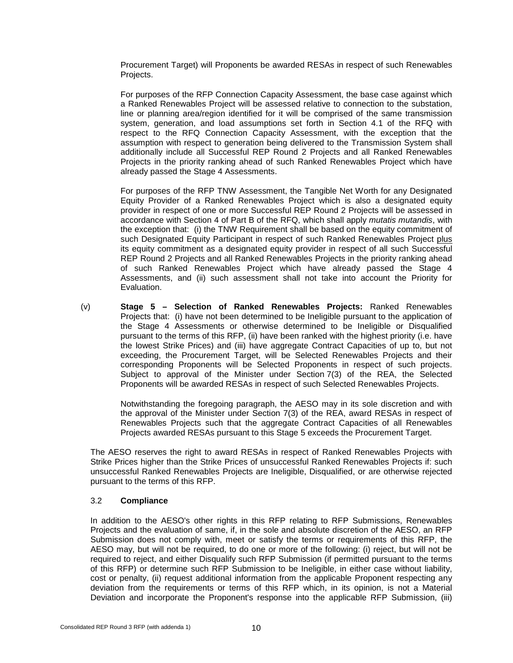Procurement Target) will Proponents be awarded RESAs in respect of such Renewables Projects.

For purposes of the RFP Connection Capacity Assessment, the base case against which a Ranked Renewables Project will be assessed relative to connection to the substation, line or planning area/region identified for it will be comprised of the same transmission system, generation, and load assumptions set forth in Section 4.1 of the RFQ with respect to the RFQ Connection Capacity Assessment, with the exception that the assumption with respect to generation being delivered to the Transmission System shall additionally include all Successful REP Round 2 Projects and all Ranked Renewables Projects in the priority ranking ahead of such Ranked Renewables Project which have already passed the Stage 4 Assessments.

For purposes of the RFP TNW Assessment, the Tangible Net Worth for any Designated Equity Provider of a Ranked Renewables Project which is also a designated equity provider in respect of one or more Successful REP Round 2 Projects will be assessed in accordance with Section 4 of Part B of the RFQ, which shall apply *mutatis mutandis*, with the exception that: (i) the TNW Requirement shall be based on the equity commitment of such Designated Equity Participant in respect of such Ranked Renewables Project plus its equity commitment as a designated equity provider in respect of all such Successful REP Round 2 Projects and all Ranked Renewables Projects in the priority ranking ahead of such Ranked Renewables Project which have already passed the Stage 4 Assessments, and (ii) such assessment shall not take into account the Priority for Evaluation.

(v) **Stage 5 – Selection of Ranked Renewables Projects:** Ranked Renewables Projects that: (i) have not been determined to be Ineligible pursuant to the application of the Stage 4 Assessments or otherwise determined to be Ineligible or Disqualified pursuant to the terms of this RFP, (ii) have been ranked with the highest priority (i.e. have the lowest Strike Prices) and (iii) have aggregate Contract Capacities of up to, but not exceeding, the Procurement Target, will be Selected Renewables Projects and their corresponding Proponents will be Selected Proponents in respect of such projects. Subject to approval of the Minister under Section 7(3) of the REA, the Selected Proponents will be awarded RESAs in respect of such Selected Renewables Projects.

> Notwithstanding the foregoing paragraph, the AESO may in its sole discretion and with the approval of the Minister under Section 7(3) of the REA, award RESAs in respect of Renewables Projects such that the aggregate Contract Capacities of all Renewables Projects awarded RESAs pursuant to this Stage 5 exceeds the Procurement Target.

The AESO reserves the right to award RESAs in respect of Ranked Renewables Projects with Strike Prices higher than the Strike Prices of unsuccessful Ranked Renewables Projects if: such unsuccessful Ranked Renewables Projects are Ineligible, Disqualified, or are otherwise rejected pursuant to the terms of this RFP.

#### <span id="page-14-0"></span>3.2 **Compliance**

In addition to the AESO's other rights in this RFP relating to RFP Submissions, Renewables Projects and the evaluation of same, if, in the sole and absolute discretion of the AESO, an RFP Submission does not comply with, meet or satisfy the terms or requirements of this RFP, the AESO may, but will not be required, to do one or more of the following: (i) reject, but will not be required to reject, and either Disqualify such RFP Submission (if permitted pursuant to the terms of this RFP) or determine such RFP Submission to be Ineligible, in either case without liability, cost or penalty, (ii) request additional information from the applicable Proponent respecting any deviation from the requirements or terms of this RFP which, in its opinion, is not a Material Deviation and incorporate the Proponent's response into the applicable RFP Submission, (iii)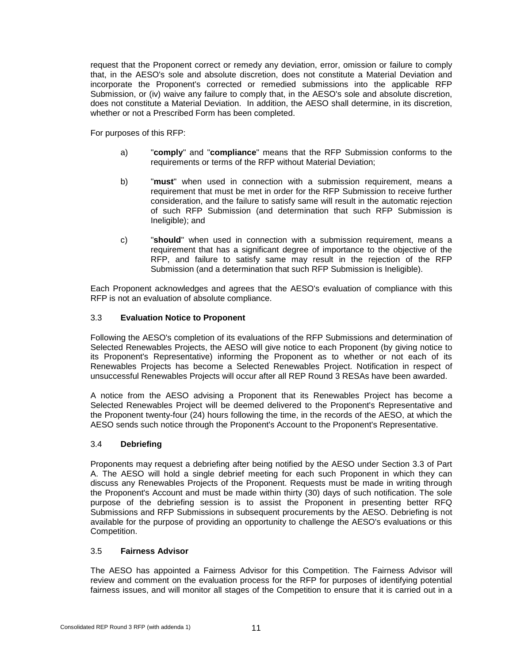request that the Proponent correct or remedy any deviation, error, omission or failure to comply that, in the AESO's sole and absolute discretion, does not constitute a Material Deviation and incorporate the Proponent's corrected or remedied submissions into the applicable RFP Submission, or (iv) waive any failure to comply that, in the AESO's sole and absolute discretion, does not constitute a Material Deviation. In addition, the AESO shall determine, in its discretion, whether or not a Prescribed Form has been completed.

For purposes of this RFP:

- a) "**comply**" and "**compliance**" means that the RFP Submission conforms to the requirements or terms of the RFP without Material Deviation;
- b) "**must**" when used in connection with a submission requirement, means a requirement that must be met in order for the RFP Submission to receive further consideration, and the failure to satisfy same will result in the automatic rejection of such RFP Submission (and determination that such RFP Submission is Ineligible); and
- c) "**should**" when used in connection with a submission requirement, means a requirement that has a significant degree of importance to the objective of the RFP, and failure to satisfy same may result in the rejection of the RFP Submission (and a determination that such RFP Submission is Ineligible).

Each Proponent acknowledges and agrees that the AESO's evaluation of compliance with this RFP is not an evaluation of absolute compliance.

#### <span id="page-15-0"></span>3.3 **Evaluation Notice to Proponent**

Following the AESO's completion of its evaluations of the RFP Submissions and determination of Selected Renewables Projects, the AESO will give notice to each Proponent (by giving notice to its Proponent's Representative) informing the Proponent as to whether or not each of its Renewables Projects has become a Selected Renewables Project. Notification in respect of unsuccessful Renewables Projects will occur after all REP Round 3 RESAs have been awarded.

A notice from the AESO advising a Proponent that its Renewables Project has become a Selected Renewables Project will be deemed delivered to the Proponent's Representative and the Proponent twenty-four (24) hours following the time, in the records of the AESO, at which the AESO sends such notice through the Proponent's Account to the Proponent's Representative.

#### <span id="page-15-1"></span>3.4 **Debriefing**

Proponents may request a debriefing after being notified by the AESO under Section 3.3 of Part A. The AESO will hold a single debrief meeting for each such Proponent in which they can discuss any Renewables Projects of the Proponent. Requests must be made in writing through the Proponent's Account and must be made within thirty (30) days of such notification. The sole purpose of the debriefing session is to assist the Proponent in presenting better RFQ Submissions and RFP Submissions in subsequent procurements by the AESO. Debriefing is not available for the purpose of providing an opportunity to challenge the AESO's evaluations or this Competition.

#### <span id="page-15-2"></span>3.5 **Fairness Advisor**

The AESO has appointed a Fairness Advisor for this Competition. The Fairness Advisor will review and comment on the evaluation process for the RFP for purposes of identifying potential fairness issues, and will monitor all stages of the Competition to ensure that it is carried out in a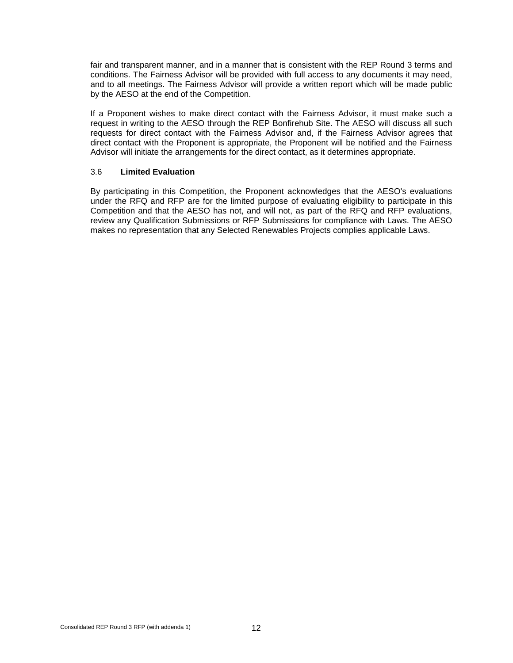fair and transparent manner, and in a manner that is consistent with the REP Round 3 terms and conditions. The Fairness Advisor will be provided with full access to any documents it may need, and to all meetings. The Fairness Advisor will provide a written report which will be made public by the AESO at the end of the Competition.

If a Proponent wishes to make direct contact with the Fairness Advisor, it must make such a request in writing to the AESO through the REP Bonfirehub Site. The AESO will discuss all such requests for direct contact with the Fairness Advisor and, if the Fairness Advisor agrees that direct contact with the Proponent is appropriate, the Proponent will be notified and the Fairness Advisor will initiate the arrangements for the direct contact, as it determines appropriate.

#### <span id="page-16-0"></span>3.6 **Limited Evaluation**

By participating in this Competition, the Proponent acknowledges that the AESO's evaluations under the RFQ and RFP are for the limited purpose of evaluating eligibility to participate in this Competition and that the AESO has not, and will not, as part of the RFQ and RFP evaluations, review any Qualification Submissions or RFP Submissions for compliance with Laws. The AESO makes no representation that any Selected Renewables Projects complies applicable Laws.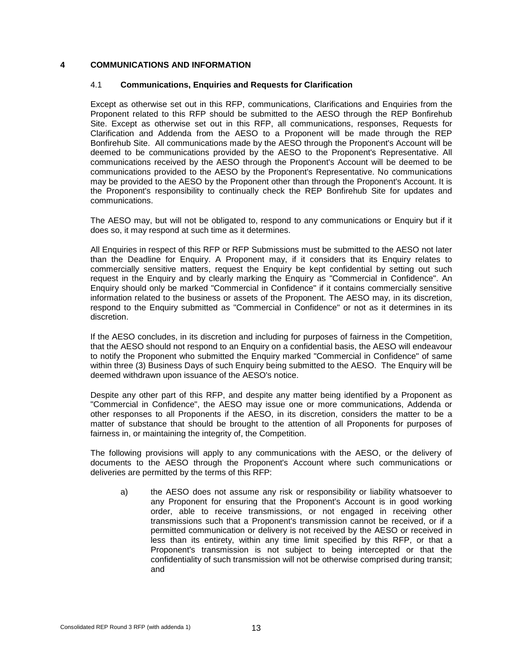#### <span id="page-17-1"></span><span id="page-17-0"></span>**4 COMMUNICATIONS AND INFORMATION**

#### 4.1 **Communications, Enquiries and Requests for Clarification**

Except as otherwise set out in this RFP, communications, Clarifications and Enquiries from the Proponent related to this RFP should be submitted to the AESO through the REP Bonfirehub Site. Except as otherwise set out in this RFP, all communications, responses, Requests for Clarification and Addenda from the AESO to a Proponent will be made through the REP Bonfirehub Site. All communications made by the AESO through the Proponent's Account will be deemed to be communications provided by the AESO to the Proponent's Representative. All communications received by the AESO through the Proponent's Account will be deemed to be communications provided to the AESO by the Proponent's Representative. No communications may be provided to the AESO by the Proponent other than through the Proponent's Account. It is the Proponent's responsibility to continually check the REP Bonfirehub Site for updates and communications.

The AESO may, but will not be obligated to, respond to any communications or Enquiry but if it does so, it may respond at such time as it determines.

All Enquiries in respect of this RFP or RFP Submissions must be submitted to the AESO not later than the Deadline for Enquiry. A Proponent may, if it considers that its Enquiry relates to commercially sensitive matters, request the Enquiry be kept confidential by setting out such request in the Enquiry and by clearly marking the Enquiry as "Commercial in Confidence". An Enquiry should only be marked "Commercial in Confidence" if it contains commercially sensitive information related to the business or assets of the Proponent. The AESO may, in its discretion, respond to the Enquiry submitted as "Commercial in Confidence" or not as it determines in its discretion.

If the AESO concludes, in its discretion and including for purposes of fairness in the Competition, that the AESO should not respond to an Enquiry on a confidential basis, the AESO will endeavour to notify the Proponent who submitted the Enquiry marked "Commercial in Confidence" of same within three (3) Business Days of such Enquiry being submitted to the AESO. The Enquiry will be deemed withdrawn upon issuance of the AESO's notice.

Despite any other part of this RFP, and despite any matter being identified by a Proponent as "Commercial in Confidence", the AESO may issue one or more communications, Addenda or other responses to all Proponents if the AESO, in its discretion, considers the matter to be a matter of substance that should be brought to the attention of all Proponents for purposes of fairness in, or maintaining the integrity of, the Competition.

The following provisions will apply to any communications with the AESO, or the delivery of documents to the AESO through the Proponent's Account where such communications or deliveries are permitted by the terms of this RFP:

a) the AESO does not assume any risk or responsibility or liability whatsoever to any Proponent for ensuring that the Proponent's Account is in good working order, able to receive transmissions, or not engaged in receiving other transmissions such that a Proponent's transmission cannot be received, or if a permitted communication or delivery is not received by the AESO or received in less than its entirety, within any time limit specified by this RFP, or that a Proponent's transmission is not subject to being intercepted or that the confidentiality of such transmission will not be otherwise comprised during transit; and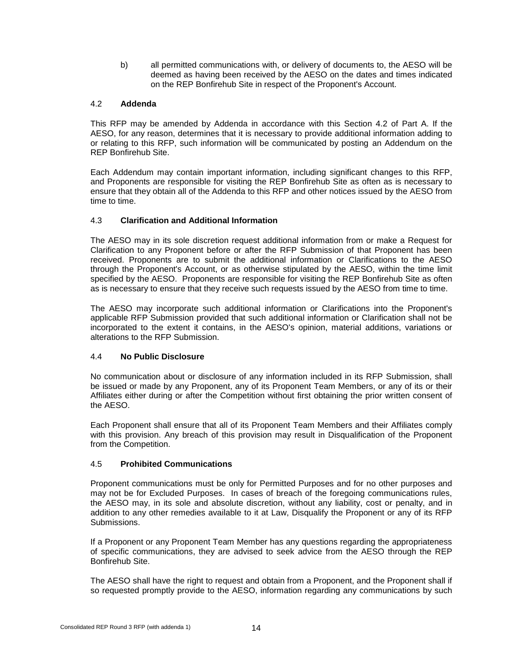b) all permitted communications with, or delivery of documents to, the AESO will be deemed as having been received by the AESO on the dates and times indicated on the REP Bonfirehub Site in respect of the Proponent's Account.

#### <span id="page-18-0"></span>4.2 **Addenda**

This RFP may be amended by Addenda in accordance with this Section 4.2 of Part A. If the AESO, for any reason, determines that it is necessary to provide additional information adding to or relating to this RFP, such information will be communicated by posting an Addendum on the REP Bonfirehub Site.

Each Addendum may contain important information, including significant changes to this RFP, and Proponents are responsible for visiting the REP Bonfirehub Site as often as is necessary to ensure that they obtain all of the Addenda to this RFP and other notices issued by the AESO from time to time.

#### <span id="page-18-1"></span>4.3 **Clarification and Additional Information**

The AESO may in its sole discretion request additional information from or make a Request for Clarification to any Proponent before or after the RFP Submission of that Proponent has been received. Proponents are to submit the additional information or Clarifications to the AESO through the Proponent's Account, or as otherwise stipulated by the AESO, within the time limit specified by the AESO. Proponents are responsible for visiting the REP Bonfirehub Site as often as is necessary to ensure that they receive such requests issued by the AESO from time to time.

The AESO may incorporate such additional information or Clarifications into the Proponent's applicable RFP Submission provided that such additional information or Clarification shall not be incorporated to the extent it contains, in the AESO's opinion, material additions, variations or alterations to the RFP Submission.

#### <span id="page-18-2"></span>4.4 **No Public Disclosure**

No communication about or disclosure of any information included in its RFP Submission, shall be issued or made by any Proponent, any of its Proponent Team Members, or any of its or their Affiliates either during or after the Competition without first obtaining the prior written consent of the AESO.

Each Proponent shall ensure that all of its Proponent Team Members and their Affiliates comply with this provision. Any breach of this provision may result in Disqualification of the Proponent from the Competition.

#### <span id="page-18-3"></span>4.5 **Prohibited Communications**

Proponent communications must be only for Permitted Purposes and for no other purposes and may not be for Excluded Purposes. In cases of breach of the foregoing communications rules, the AESO may, in its sole and absolute discretion, without any liability, cost or penalty, and in addition to any other remedies available to it at Law, Disqualify the Proponent or any of its RFP Submissions.

If a Proponent or any Proponent Team Member has any questions regarding the appropriateness of specific communications, they are advised to seek advice from the AESO through the REP Bonfirehub Site.

The AESO shall have the right to request and obtain from a Proponent, and the Proponent shall if so requested promptly provide to the AESO, information regarding any communications by such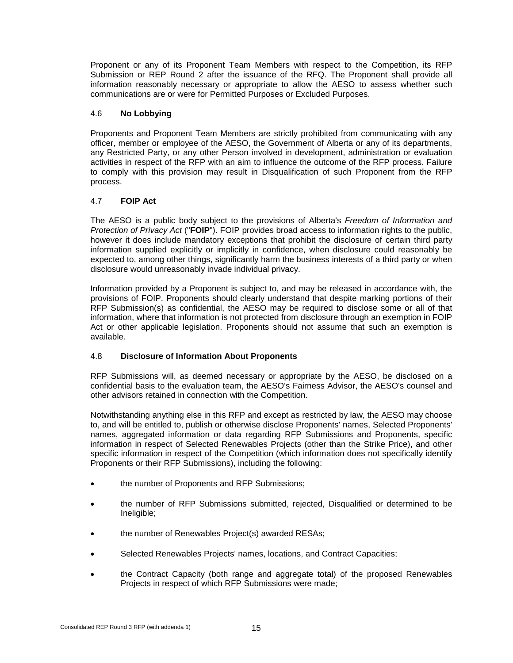Proponent or any of its Proponent Team Members with respect to the Competition, its RFP Submission or REP Round 2 after the issuance of the RFQ. The Proponent shall provide all information reasonably necessary or appropriate to allow the AESO to assess whether such communications are or were for Permitted Purposes or Excluded Purposes.

#### <span id="page-19-0"></span>4.6 **No Lobbying**

Proponents and Proponent Team Members are strictly prohibited from communicating with any officer, member or employee of the AESO, the Government of Alberta or any of its departments, any Restricted Party, or any other Person involved in development, administration or evaluation activities in respect of the RFP with an aim to influence the outcome of the RFP process. Failure to comply with this provision may result in Disqualification of such Proponent from the RFP process.

#### <span id="page-19-1"></span>4.7 **FOIP Act**

The AESO is a public body subject to the provisions of Alberta's *Freedom of Information and Protection of Privacy Act* ("**FOIP**"). FOIP provides broad access to information rights to the public, however it does include mandatory exceptions that prohibit the disclosure of certain third party information supplied explicitly or implicitly in confidence, when disclosure could reasonably be expected to, among other things, significantly harm the business interests of a third party or when disclosure would unreasonably invade individual privacy.

Information provided by a Proponent is subject to, and may be released in accordance with, the provisions of FOIP. Proponents should clearly understand that despite marking portions of their RFP Submission(s) as confidential, the AESO may be required to disclose some or all of that information, where that information is not protected from disclosure through an exemption in FOIP Act or other applicable legislation. Proponents should not assume that such an exemption is available.

#### <span id="page-19-2"></span>4.8 **Disclosure of Information About Proponents**

RFP Submissions will, as deemed necessary or appropriate by the AESO, be disclosed on a confidential basis to the evaluation team, the AESO's Fairness Advisor, the AESO's counsel and other advisors retained in connection with the Competition.

Notwithstanding anything else in this RFP and except as restricted by law, the AESO may choose to, and will be entitled to, publish or otherwise disclose Proponents' names, Selected Proponents' names, aggregated information or data regarding RFP Submissions and Proponents, specific information in respect of Selected Renewables Projects (other than the Strike Price), and other specific information in respect of the Competition (which information does not specifically identify Proponents or their RFP Submissions), including the following:

- the number of Proponents and RFP Submissions;
- the number of RFP Submissions submitted, rejected, Disqualified or determined to be Ineligible;
- the number of Renewables Project(s) awarded RESAs;
- Selected Renewables Projects' names, locations, and Contract Capacities;
- the Contract Capacity (both range and aggregate total) of the proposed Renewables Projects in respect of which RFP Submissions were made;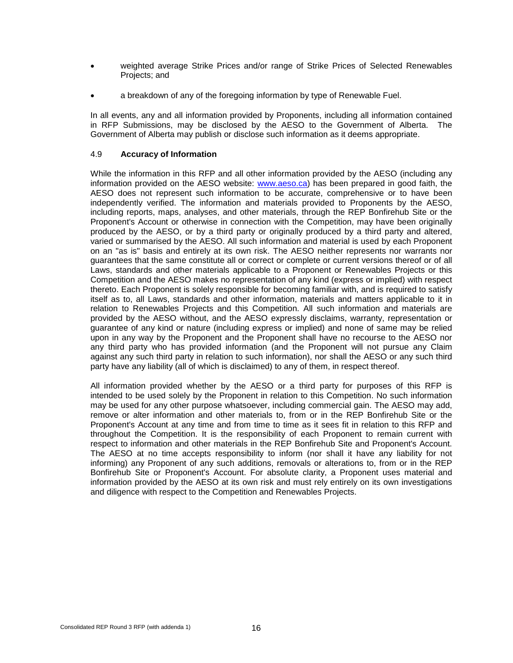- weighted average Strike Prices and/or range of Strike Prices of Selected Renewables Projects; and
- a breakdown of any of the foregoing information by type of Renewable Fuel.

In all events, any and all information provided by Proponents, including all information contained in RFP Submissions, may be disclosed by the AESO to the Government of Alberta. The Government of Alberta may publish or disclose such information as it deems appropriate.

#### <span id="page-20-0"></span>4.9 **Accuracy of Information**

While the information in this RFP and all other information provided by the AESO (including any information provided on the AESO website: [www.aeso.ca\)](http://www.aeso.ca/) has been prepared in good faith, the AESO does not represent such information to be accurate, comprehensive or to have been independently verified. The information and materials provided to Proponents by the AESO, including reports, maps, analyses, and other materials, through the REP Bonfirehub Site or the Proponent's Account or otherwise in connection with the Competition, may have been originally produced by the AESO, or by a third party or originally produced by a third party and altered, varied or summarised by the AESO. All such information and material is used by each Proponent on an "as is" basis and entirely at its own risk. The AESO neither represents nor warrants nor guarantees that the same constitute all or correct or complete or current versions thereof or of all Laws, standards and other materials applicable to a Proponent or Renewables Projects or this Competition and the AESO makes no representation of any kind (express or implied) with respect thereto. Each Proponent is solely responsible for becoming familiar with, and is required to satisfy itself as to, all Laws, standards and other information, materials and matters applicable to it in relation to Renewables Projects and this Competition. All such information and materials are provided by the AESO without, and the AESO expressly disclaims, warranty, representation or guarantee of any kind or nature (including express or implied) and none of same may be relied upon in any way by the Proponent and the Proponent shall have no recourse to the AESO nor any third party who has provided information (and the Proponent will not pursue any Claim against any such third party in relation to such information), nor shall the AESO or any such third party have any liability (all of which is disclaimed) to any of them, in respect thereof.

All information provided whether by the AESO or a third party for purposes of this RFP is intended to be used solely by the Proponent in relation to this Competition. No such information may be used for any other purpose whatsoever, including commercial gain. The AESO may add, remove or alter information and other materials to, from or in the REP Bonfirehub Site or the Proponent's Account at any time and from time to time as it sees fit in relation to this RFP and throughout the Competition. It is the responsibility of each Proponent to remain current with respect to information and other materials in the REP Bonfirehub Site and Proponent's Account. The AESO at no time accepts responsibility to inform (nor shall it have any liability for not informing) any Proponent of any such additions, removals or alterations to, from or in the REP Bonfirehub Site or Proponent's Account. For absolute clarity, a Proponent uses material and information provided by the AESO at its own risk and must rely entirely on its own investigations and diligence with respect to the Competition and Renewables Projects.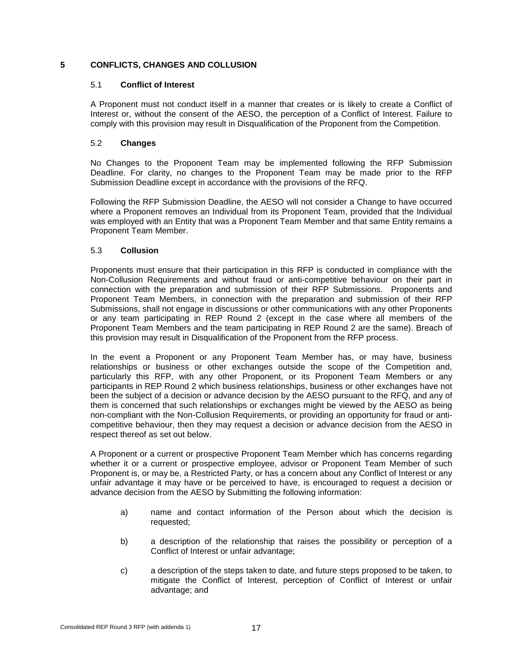#### <span id="page-21-1"></span><span id="page-21-0"></span>**5 CONFLICTS, CHANGES AND COLLUSION**

#### 5.1 **Conflict of Interest**

A Proponent must not conduct itself in a manner that creates or is likely to create a Conflict of Interest or, without the consent of the AESO, the perception of a Conflict of Interest. Failure to comply with this provision may result in Disqualification of the Proponent from the Competition.

#### <span id="page-21-2"></span>5.2 **Changes**

No Changes to the Proponent Team may be implemented following the RFP Submission Deadline. For clarity, no changes to the Proponent Team may be made prior to the RFP Submission Deadline except in accordance with the provisions of the RFQ.

Following the RFP Submission Deadline, the AESO will not consider a Change to have occurred where a Proponent removes an Individual from its Proponent Team, provided that the Individual was employed with an Entity that was a Proponent Team Member and that same Entity remains a Proponent Team Member.

#### <span id="page-21-3"></span>5.3 **Collusion**

Proponents must ensure that their participation in this RFP is conducted in compliance with the Non-Collusion Requirements and without fraud or anti-competitive behaviour on their part in connection with the preparation and submission of their RFP Submissions. Proponents and Proponent Team Members, in connection with the preparation and submission of their RFP Submissions, shall not engage in discussions or other communications with any other Proponents or any team participating in REP Round 2 (except in the case where all members of the Proponent Team Members and the team participating in REP Round 2 are the same). Breach of this provision may result in Disqualification of the Proponent from the RFP process.

In the event a Proponent or any Proponent Team Member has, or may have, business relationships or business or other exchanges outside the scope of the Competition and, particularly this RFP, with any other Proponent, or its Proponent Team Members or any participants in REP Round 2 which business relationships, business or other exchanges have not been the subject of a decision or advance decision by the AESO pursuant to the RFQ, and any of them is concerned that such relationships or exchanges might be viewed by the AESO as being non-compliant with the Non-Collusion Requirements, or providing an opportunity for fraud or anticompetitive behaviour, then they may request a decision or advance decision from the AESO in respect thereof as set out below.

A Proponent or a current or prospective Proponent Team Member which has concerns regarding whether it or a current or prospective employee, advisor or Proponent Team Member of such Proponent is, or may be, a Restricted Party, or has a concern about any Conflict of Interest or any unfair advantage it may have or be perceived to have, is encouraged to request a decision or advance decision from the AESO by Submitting the following information:

- a) name and contact information of the Person about which the decision is requested;
- b) a description of the relationship that raises the possibility or perception of a Conflict of Interest or unfair advantage;
- c) a description of the steps taken to date, and future steps proposed to be taken, to mitigate the Conflict of Interest, perception of Conflict of Interest or unfair advantage; and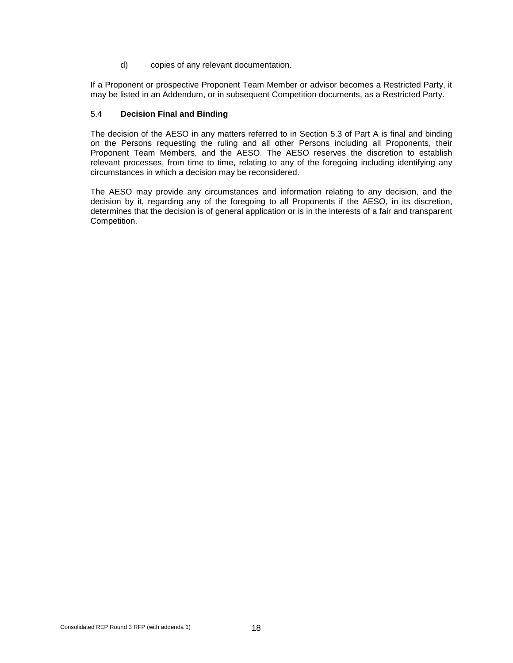d) copies of any relevant documentation.

If a Proponent or prospective Proponent Team Member or advisor becomes a Restricted Party, it may be listed in an Addendum, or in subsequent Competition documents, as a Restricted Party.

#### <span id="page-22-0"></span>5.4 **Decision Final and Binding**

The decision of the AESO in any matters referred to in Section 5.3 of Part A is final and binding on the Persons requesting the ruling and all other Persons including all Proponents, their Proponent Team Members, and the AESO. The AESO reserves the discretion to establish relevant processes, from time to time, relating to any of the foregoing including identifying any circumstances in which a decision may be reconsidered.

The AESO may provide any circumstances and information relating to any decision, and the decision by it, regarding any of the foregoing to all Proponents if the AESO, in its discretion, determines that the decision is of general application or is in the interests of a fair and transparent Competition.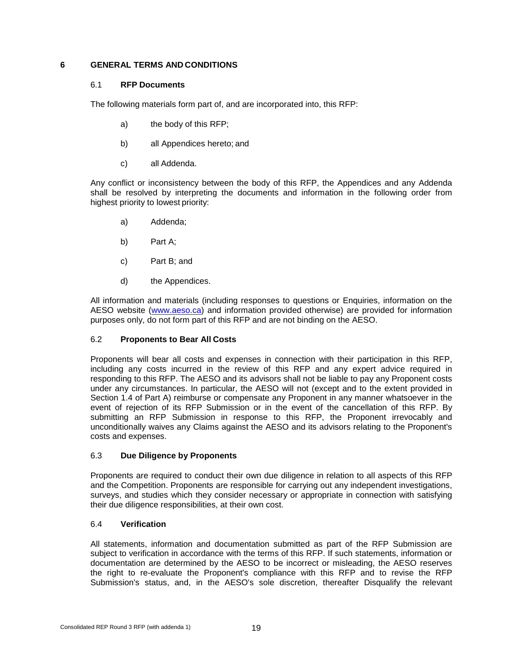#### <span id="page-23-1"></span><span id="page-23-0"></span>**6 GENERAL TERMS AND CONDITIONS**

#### 6.1 **RFP Documents**

The following materials form part of, and are incorporated into, this RFP:

- a) the body of this RFP;
- b) all Appendices hereto; and
- c) all Addenda.

Any conflict or inconsistency between the body of this RFP, the Appendices and any Addenda shall be resolved by interpreting the documents and information in the following order from highest priority to lowest priority:

- a) Addenda;
- b) Part A;
- c) Part B; and
- d) the Appendices.

All information and materials (including responses to questions or Enquiries, information on the AESO website [\(www.aeso.ca\)](http://www.aeso.ca/) and information provided otherwise) are provided for information purposes only, do not form part of this RFP and are not binding on the AESO.

#### <span id="page-23-2"></span>6.2 **Proponents to Bear All Costs**

Proponents will bear all costs and expenses in connection with their participation in this RFP, including any costs incurred in the review of this RFP and any expert advice required in responding to this RFP. The AESO and its advisors shall not be liable to pay any Proponent costs under any circumstances. In particular, the AESO will not (except and to the extent provided in Section 1.4 of Part A) reimburse or compensate any Proponent in any manner whatsoever in the event of rejection of its RFP Submission or in the event of the cancellation of this RFP. By submitting an RFP Submission in response to this RFP, the Proponent irrevocably and unconditionally waives any Claims against the AESO and its advisors relating to the Proponent's costs and expenses.

#### <span id="page-23-3"></span>6.3 **Due Diligence by Proponents**

Proponents are required to conduct their own due diligence in relation to all aspects of this RFP and the Competition. Proponents are responsible for carrying out any independent investigations, surveys, and studies which they consider necessary or appropriate in connection with satisfying their due diligence responsibilities, at their own cost.

#### <span id="page-23-4"></span>6.4 **Verification**

All statements, information and documentation submitted as part of the RFP Submission are subject to verification in accordance with the terms of this RFP. If such statements, information or documentation are determined by the AESO to be incorrect or misleading, the AESO reserves the right to re-evaluate the Proponent's compliance with this RFP and to revise the RFP Submission's status, and, in the AESO's sole discretion, thereafter Disqualify the relevant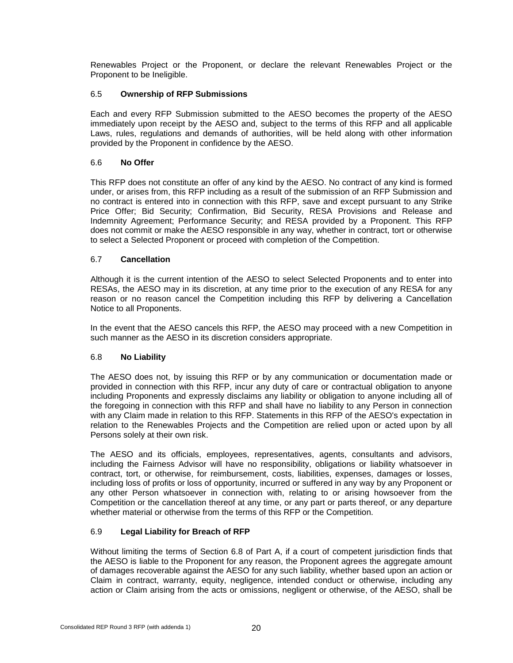Renewables Project or the Proponent, or declare the relevant Renewables Project or the Proponent to be Ineligible.

#### <span id="page-24-0"></span>6.5 **Ownership of RFP Submissions**

Each and every RFP Submission submitted to the AESO becomes the property of the AESO immediately upon receipt by the AESO and, subject to the terms of this RFP and all applicable Laws, rules, regulations and demands of authorities, will be held along with other information provided by the Proponent in confidence by the AESO.

#### <span id="page-24-1"></span>6.6 **No Offer**

This RFP does not constitute an offer of any kind by the AESO. No contract of any kind is formed under, or arises from, this RFP including as a result of the submission of an RFP Submission and no contract is entered into in connection with this RFP, save and except pursuant to any Strike Price Offer; Bid Security; Confirmation, Bid Security, RESA Provisions and Release and Indemnity Agreement; Performance Security; and RESA provided by a Proponent. This RFP does not commit or make the AESO responsible in any way, whether in contract, tort or otherwise to select a Selected Proponent or proceed with completion of the Competition.

#### <span id="page-24-2"></span>6.7 **Cancellation**

Although it is the current intention of the AESO to select Selected Proponents and to enter into RESAs, the AESO may in its discretion, at any time prior to the execution of any RESA for any reason or no reason cancel the Competition including this RFP by delivering a Cancellation Notice to all Proponents.

In the event that the AESO cancels this RFP, the AESO may proceed with a new Competition in such manner as the AESO in its discretion considers appropriate.

#### <span id="page-24-3"></span>6.8 **No Liability**

The AESO does not, by issuing this RFP or by any communication or documentation made or provided in connection with this RFP, incur any duty of care or contractual obligation to anyone including Proponents and expressly disclaims any liability or obligation to anyone including all of the foregoing in connection with this RFP and shall have no liability to any Person in connection with any Claim made in relation to this RFP. Statements in this RFP of the AESO's expectation in relation to the Renewables Projects and the Competition are relied upon or acted upon by all Persons solely at their own risk.

The AESO and its officials, employees, representatives, agents, consultants and advisors, including the Fairness Advisor will have no responsibility, obligations or liability whatsoever in contract, tort, or otherwise, for reimbursement, costs, liabilities, expenses, damages or losses, including loss of profits or loss of opportunity, incurred or suffered in any way by any Proponent or any other Person whatsoever in connection with, relating to or arising howsoever from the Competition or the cancellation thereof at any time, or any part or parts thereof, or any departure whether material or otherwise from the terms of this RFP or the Competition.

#### <span id="page-24-4"></span>6.9 **Legal Liability for Breach of RFP**

Without limiting the terms of Section 6.8 of Part A, if a court of competent jurisdiction finds that the AESO is liable to the Proponent for any reason, the Proponent agrees the aggregate amount of damages recoverable against the AESO for any such liability, whether based upon an action or Claim in contract, warranty, equity, negligence, intended conduct or otherwise, including any action or Claim arising from the acts or omissions, negligent or otherwise, of the AESO, shall be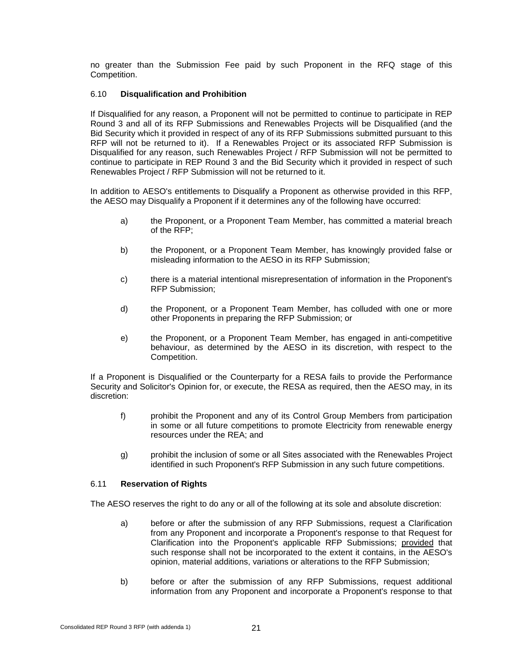no greater than the Submission Fee paid by such Proponent in the RFQ stage of this Competition.

#### <span id="page-25-0"></span>6.10 **Disqualification and Prohibition**

If Disqualified for any reason, a Proponent will not be permitted to continue to participate in REP Round 3 and all of its RFP Submissions and Renewables Projects will be Disqualified (and the Bid Security which it provided in respect of any of its RFP Submissions submitted pursuant to this RFP will not be returned to it). If a Renewables Project or its associated RFP Submission is Disqualified for any reason, such Renewables Project / RFP Submission will not be permitted to continue to participate in REP Round 3 and the Bid Security which it provided in respect of such Renewables Project / RFP Submission will not be returned to it.

In addition to AESO's entitlements to Disqualify a Proponent as otherwise provided in this RFP, the AESO may Disqualify a Proponent if it determines any of the following have occurred:

- a) the Proponent, or a Proponent Team Member, has committed a material breach of the RFP;
- b) the Proponent, or a Proponent Team Member, has knowingly provided false or misleading information to the AESO in its RFP Submission;
- c) there is a material intentional misrepresentation of information in the Proponent's RFP Submission;
- d) the Proponent, or a Proponent Team Member, has colluded with one or more other Proponents in preparing the RFP Submission; or
- e) the Proponent, or a Proponent Team Member, has engaged in anti-competitive behaviour, as determined by the AESO in its discretion, with respect to the Competition.

If a Proponent is Disqualified or the Counterparty for a RESA fails to provide the Performance Security and Solicitor's Opinion for, or execute, the RESA as required, then the AESO may, in its discretion:

- f) prohibit the Proponent and any of its Control Group Members from participation in some or all future competitions to promote Electricity from renewable energy resources under the REA; and
- g) prohibit the inclusion of some or all Sites associated with the Renewables Project identified in such Proponent's RFP Submission in any such future competitions.

#### <span id="page-25-1"></span>6.11 **Reservation of Rights**

The AESO reserves the right to do any or all of the following at its sole and absolute discretion:

- a) before or after the submission of any RFP Submissions, request a Clarification from any Proponent and incorporate a Proponent's response to that Request for Clarification into the Proponent's applicable RFP Submissions; provided that such response shall not be incorporated to the extent it contains, in the AESO's opinion, material additions, variations or alterations to the RFP Submission;
- b) before or after the submission of any RFP Submissions, request additional information from any Proponent and incorporate a Proponent's response to that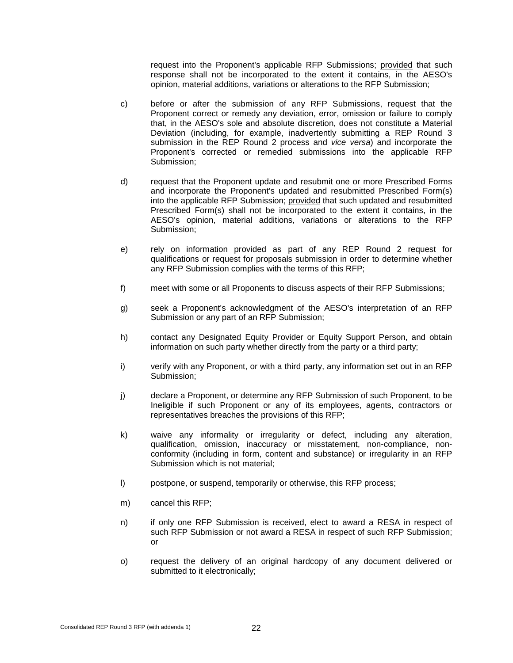request into the Proponent's applicable RFP Submissions; provided that such response shall not be incorporated to the extent it contains, in the AESO's opinion, material additions, variations or alterations to the RFP Submission;

- c) before or after the submission of any RFP Submissions, request that the Proponent correct or remedy any deviation, error, omission or failure to comply that, in the AESO's sole and absolute discretion, does not constitute a Material Deviation (including, for example, inadvertently submitting a REP Round 3 submission in the REP Round 2 process and *vice versa*) and incorporate the Proponent's corrected or remedied submissions into the applicable RFP Submission;
- d) request that the Proponent update and resubmit one or more Prescribed Forms and incorporate the Proponent's updated and resubmitted Prescribed Form(s) into the applicable RFP Submission; provided that such updated and resubmitted Prescribed Form(s) shall not be incorporated to the extent it contains, in the AESO's opinion, material additions, variations or alterations to the RFP Submission;
- e) rely on information provided as part of any REP Round 2 request for qualifications or request for proposals submission in order to determine whether any RFP Submission complies with the terms of this RFP;
- f) meet with some or all Proponents to discuss aspects of their RFP Submissions;
- g) seek a Proponent's acknowledgment of the AESO's interpretation of an RFP Submission or any part of an RFP Submission;
- h) contact any Designated Equity Provider or Equity Support Person, and obtain information on such party whether directly from the party or a third party;
- i) verify with any Proponent, or with a third party, any information set out in an RFP Submission;
- j) declare a Proponent, or determine any RFP Submission of such Proponent, to be Ineligible if such Proponent or any of its employees, agents, contractors or representatives breaches the provisions of this RFP;
- k) waive any informality or irregularity or defect, including any alteration, qualification, omission, inaccuracy or misstatement, non-compliance, nonconformity (including in form, content and substance) or irregularity in an RFP Submission which is not material;
- l) postpone, or suspend, temporarily or otherwise, this RFP process;
- m) cancel this RFP;
- n) if only one RFP Submission is received, elect to award a RESA in respect of such RFP Submission or not award a RESA in respect of such RFP Submission; or
- o) request the delivery of an original hardcopy of any document delivered or submitted to it electronically;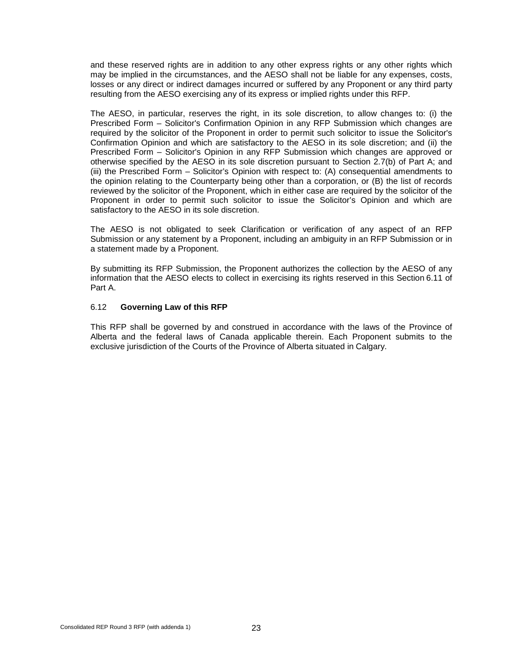and these reserved rights are in addition to any other express rights or any other rights which may be implied in the circumstances, and the AESO shall not be liable for any expenses, costs, losses or any direct or indirect damages incurred or suffered by any Proponent or any third party resulting from the AESO exercising any of its express or implied rights under this RFP.

The AESO, in particular, reserves the right, in its sole discretion, to allow changes to: (i) the Prescribed Form – Solicitor's Confirmation Opinion in any RFP Submission which changes are required by the solicitor of the Proponent in order to permit such solicitor to issue the Solicitor's Confirmation Opinion and which are satisfactory to the AESO in its sole discretion; and (ii) the Prescribed Form – Solicitor's Opinion in any RFP Submission which changes are approved or otherwise specified by the AESO in its sole discretion pursuant to Section 2.7(b) of Part A; and (iii) the Prescribed Form – Solicitor's Opinion with respect to: (A) consequential amendments to the opinion relating to the Counterparty being other than a corporation, or (B) the list of records reviewed by the solicitor of the Proponent, which in either case are required by the solicitor of the Proponent in order to permit such solicitor to issue the Solicitor's Opinion and which are satisfactory to the AESO in its sole discretion.

The AESO is not obligated to seek Clarification or verification of any aspect of an RFP Submission or any statement by a Proponent, including an ambiguity in an RFP Submission or in a statement made by a Proponent.

By submitting its RFP Submission, the Proponent authorizes the collection by the AESO of any information that the AESO elects to collect in exercising its rights reserved in this Section 6.11 of Part A.

#### <span id="page-27-0"></span>6.12 **Governing Law of this RFP**

This RFP shall be governed by and construed in accordance with the laws of the Province of Alberta and the federal laws of Canada applicable therein. Each Proponent submits to the exclusive jurisdiction of the Courts of the Province of Alberta situated in Calgary.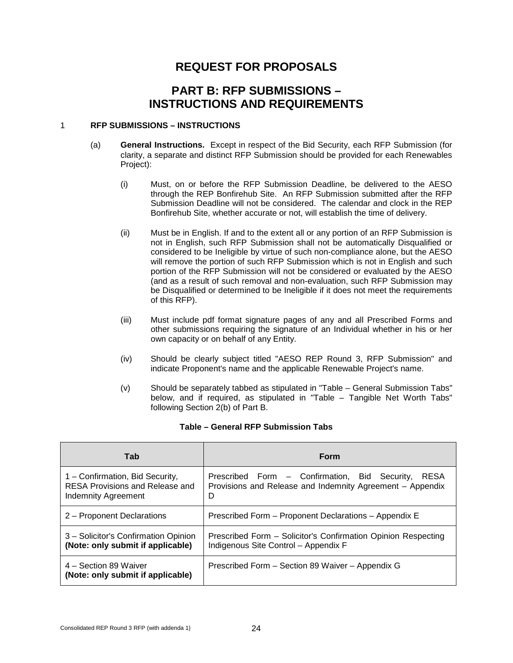## **REQUEST FOR PROPOSALS**

## **PART B: RFP SUBMISSIONS – INSTRUCTIONS AND REQUIREMENTS**

#### <span id="page-28-0"></span>1 **RFP SUBMISSIONS – INSTRUCTIONS**

- (a) **General Instructions.** Except in respect of the Bid Security, each RFP Submission (for clarity, a separate and distinct RFP Submission should be provided for each Renewables Project):
	- (i) Must, on or before the RFP Submission Deadline, be delivered to the AESO through the REP Bonfirehub Site. An RFP Submission submitted after the RFP Submission Deadline will not be considered. The calendar and clock in the REP Bonfirehub Site, whether accurate or not, will establish the time of delivery.
	- (ii) Must be in English. If and to the extent all or any portion of an RFP Submission is not in English, such RFP Submission shall not be automatically Disqualified or considered to be Ineligible by virtue of such non-compliance alone, but the AESO will remove the portion of such RFP Submission which is not in English and such portion of the RFP Submission will not be considered or evaluated by the AESO (and as a result of such removal and non-evaluation, such RFP Submission may be Disqualified or determined to be Ineligible if it does not meet the requirements of this RFP).
	- (iii) Must include pdf format signature pages of any and all Prescribed Forms and other submissions requiring the signature of an Individual whether in his or her own capacity or on behalf of any Entity.
	- (iv) Should be clearly subject titled "AESO REP Round 3, RFP Submission" and indicate Proponent's name and the applicable Renewable Project's name.
	- (v) Should be separately tabbed as stipulated in "Table General Submission Tabs" below, and if required, as stipulated in "Table – Tangible Net Worth Tabs" following Section 2(b) of Part B.

| Tab                                                                                              | Form                                                                                                                           |
|--------------------------------------------------------------------------------------------------|--------------------------------------------------------------------------------------------------------------------------------|
| 1 - Confirmation, Bid Security,<br>RESA Provisions and Release and<br><b>Indemnity Agreement</b> | Prescribed Form - Confirmation, Bid Security,<br><b>RESA</b><br>Provisions and Release and Indemnity Agreement - Appendix<br>D |
| 2 – Proponent Declarations                                                                       | Prescribed Form - Proponent Declarations - Appendix E                                                                          |
| 3 – Solicitor's Confirmation Opinion<br>(Note: only submit if applicable)                        | Prescribed Form – Solicitor's Confirmation Opinion Respecting<br>Indigenous Site Control - Appendix F                          |
| 4 – Section 89 Waiver<br>(Note: only submit if applicable)                                       | Prescribed Form – Section 89 Waiver – Appendix G                                                                               |

#### **Table – General RFP Submission Tabs**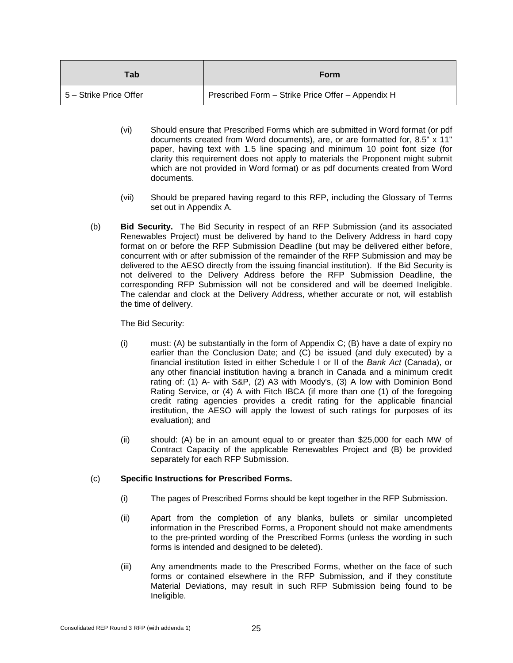| Tab                        | Form                                              |
|----------------------------|---------------------------------------------------|
| l 5 – Strike Price Offer I | Prescribed Form - Strike Price Offer - Appendix H |

- (vi) Should ensure that Prescribed Forms which are submitted in Word format (or pdf documents created from Word documents), are, or are formatted for, 8.5" x 11" paper, having text with 1.5 line spacing and minimum 10 point font size (for clarity this requirement does not apply to materials the Proponent might submit which are not provided in Word format) or as pdf documents created from Word documents.
- (vii) Should be prepared having regard to this RFP, including the Glossary of Terms set out in Appendix A.
- (b) **Bid Security.** The Bid Security in respect of an RFP Submission (and its associated Renewables Project) must be delivered by hand to the Delivery Address in hard copy format on or before the RFP Submission Deadline (but may be delivered either before, concurrent with or after submission of the remainder of the RFP Submission and may be delivered to the AESO directly from the issuing financial institution). If the Bid Security is not delivered to the Delivery Address before the RFP Submission Deadline, the corresponding RFP Submission will not be considered and will be deemed Ineligible. The calendar and clock at the Delivery Address, whether accurate or not, will establish the time of delivery.

#### The Bid Security:

- (i) must: (A) be substantially in the form of Appendix C; (B) have a date of expiry no earlier than the Conclusion Date; and (C) be issued (and duly executed) by a financial institution listed in either Schedule I or II of the *Bank Act* (Canada), or any other financial institution having a branch in Canada and a minimum credit rating of: (1) A- with S&P, (2) A3 with Moody's, (3) A low with Dominion Bond Rating Service, or (4) A with Fitch IBCA (if more than one (1) of the foregoing credit rating agencies provides a credit rating for the applicable financial institution, the AESO will apply the lowest of such ratings for purposes of its evaluation); and
- (ii) should: (A) be in an amount equal to or greater than \$25,000 for each MW of Contract Capacity of the applicable Renewables Project and (B) be provided separately for each RFP Submission.

#### (c) **Specific Instructions for Prescribed Forms.**

- (i) The pages of Prescribed Forms should be kept together in the RFP Submission.
- (ii) Apart from the completion of any blanks, bullets or similar uncompleted information in the Prescribed Forms, a Proponent should not make amendments to the pre-printed wording of the Prescribed Forms (unless the wording in such forms is intended and designed to be deleted).
- (iii) Any amendments made to the Prescribed Forms, whether on the face of such forms or contained elsewhere in the RFP Submission, and if they constitute Material Deviations, may result in such RFP Submission being found to be Ineligible.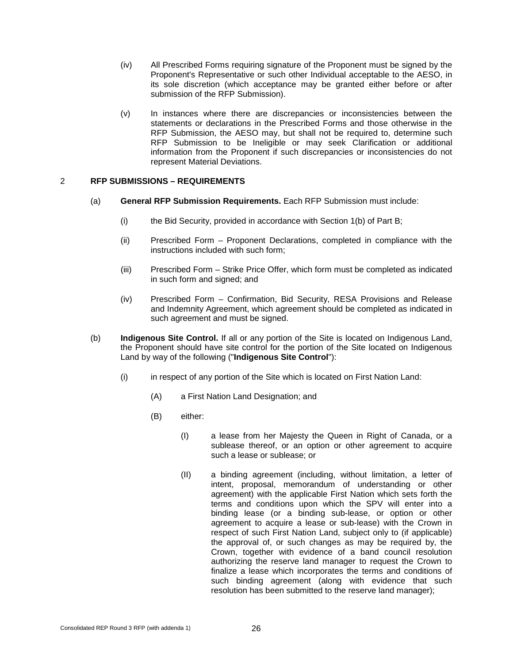- (iv) All Prescribed Forms requiring signature of the Proponent must be signed by the Proponent's Representative or such other Individual acceptable to the AESO, in its sole discretion (which acceptance may be granted either before or after submission of the RFP Submission).
- (v) In instances where there are discrepancies or inconsistencies between the statements or declarations in the Prescribed Forms and those otherwise in the RFP Submission, the AESO may, but shall not be required to, determine such RFP Submission to be Ineligible or may seek Clarification or additional information from the Proponent if such discrepancies or inconsistencies do not represent Material Deviations.

#### <span id="page-30-0"></span>2 **RFP SUBMISSIONS – REQUIREMENTS**

- (a) **General RFP Submission Requirements.** Each RFP Submission must include:
	- (i) the Bid Security, provided in accordance with Section 1(b) of Part B;
	- (ii) Prescribed Form Proponent Declarations, completed in compliance with the instructions included with such form;
	- (iii) Prescribed Form Strike Price Offer, which form must be completed as indicated in such form and signed; and
	- (iv) Prescribed Form Confirmation, Bid Security, RESA Provisions and Release and Indemnity Agreement, which agreement should be completed as indicated in such agreement and must be signed.
- (b) **Indigenous Site Control.** If all or any portion of the Site is located on Indigenous Land, the Proponent should have site control for the portion of the Site located on Indigenous Land by way of the following ("**Indigenous Site Control**"):
	- (i) in respect of any portion of the Site which is located on First Nation Land:
		- (A) a First Nation Land Designation; and
		- (B) either:
			- (I) a lease from her Majesty the Queen in Right of Canada, or a sublease thereof, or an option or other agreement to acquire such a lease or sublease; or
			- (II) a binding agreement (including, without limitation, a letter of intent, proposal, memorandum of understanding or other agreement) with the applicable First Nation which sets forth the terms and conditions upon which the SPV will enter into a binding lease (or a binding sub-lease, or option or other agreement to acquire a lease or sub-lease) with the Crown in respect of such First Nation Land, subject only to (if applicable) the approval of, or such changes as may be required by, the Crown, together with evidence of a band council resolution authorizing the reserve land manager to request the Crown to finalize a lease which incorporates the terms and conditions of such binding agreement (along with evidence that such resolution has been submitted to the reserve land manager);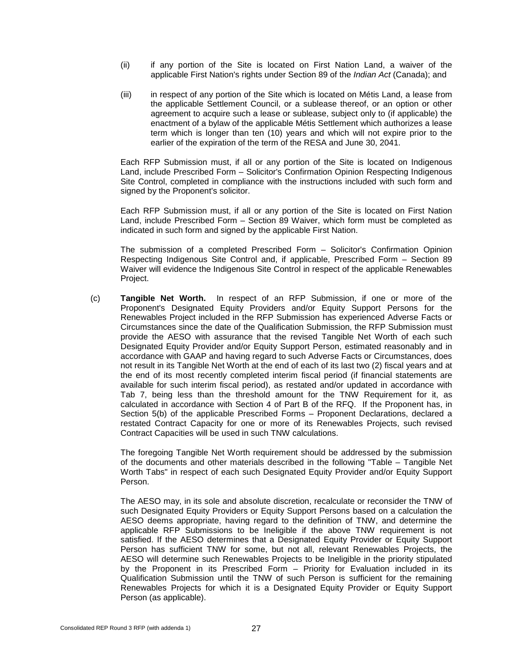- (ii) if any portion of the Site is located on First Nation Land, a waiver of the applicable First Nation's rights under Section 89 of the *Indian Act* (Canada); and
- (iii) in respect of any portion of the Site which is located on Métis Land, a lease from the applicable Settlement Council, or a sublease thereof, or an option or other agreement to acquire such a lease or sublease, subject only to (if applicable) the enactment of a bylaw of the applicable Métis Settlement which authorizes a lease term which is longer than ten (10) years and which will not expire prior to the earlier of the expiration of the term of the RESA and June 30, 2041.

Each RFP Submission must, if all or any portion of the Site is located on Indigenous Land, include Prescribed Form – Solicitor's Confirmation Opinion Respecting Indigenous Site Control, completed in compliance with the instructions included with such form and signed by the Proponent's solicitor.

Each RFP Submission must, if all or any portion of the Site is located on First Nation Land, include Prescribed Form – Section 89 Waiver, which form must be completed as indicated in such form and signed by the applicable First Nation.

The submission of a completed Prescribed Form – Solicitor's Confirmation Opinion Respecting Indigenous Site Control and, if applicable, Prescribed Form – Section 89 Waiver will evidence the Indigenous Site Control in respect of the applicable Renewables Project.

(c) **Tangible Net Worth.** In respect of an RFP Submission, if one or more of the Proponent's Designated Equity Providers and/or Equity Support Persons for the Renewables Project included in the RFP Submission has experienced Adverse Facts or Circumstances since the date of the Qualification Submission, the RFP Submission must provide the AESO with assurance that the revised Tangible Net Worth of each such Designated Equity Provider and/or Equity Support Person, estimated reasonably and in accordance with GAAP and having regard to such Adverse Facts or Circumstances, does not result in its Tangible Net Worth at the end of each of its last two (2) fiscal years and at the end of its most recently completed interim fiscal period (if financial statements are available for such interim fiscal period), as restated and/or updated in accordance with Tab 7, being less than the threshold amount for the TNW Requirement for it, as calculated in accordance with Section 4 of Part B of the RFQ. If the Proponent has, in Section 5(b) of the applicable Prescribed Forms – Proponent Declarations, declared a restated Contract Capacity for one or more of its Renewables Projects, such revised Contract Capacities will be used in such TNW calculations.

The foregoing Tangible Net Worth requirement should be addressed by the submission of the documents and other materials described in the following "Table – Tangible Net Worth Tabs" in respect of each such Designated Equity Provider and/or Equity Support Person.

The AESO may, in its sole and absolute discretion, recalculate or reconsider the TNW of such Designated Equity Providers or Equity Support Persons based on a calculation the AESO deems appropriate, having regard to the definition of TNW, and determine the applicable RFP Submissions to be Ineligible if the above TNW requirement is not satisfied. If the AESO determines that a Designated Equity Provider or Equity Support Person has sufficient TNW for some, but not all, relevant Renewables Projects, the AESO will determine such Renewables Projects to be Ineligible in the priority stipulated by the Proponent in its Prescribed Form – Priority for Evaluation included in its Qualification Submission until the TNW of such Person is sufficient for the remaining Renewables Projects for which it is a Designated Equity Provider or Equity Support Person (as applicable).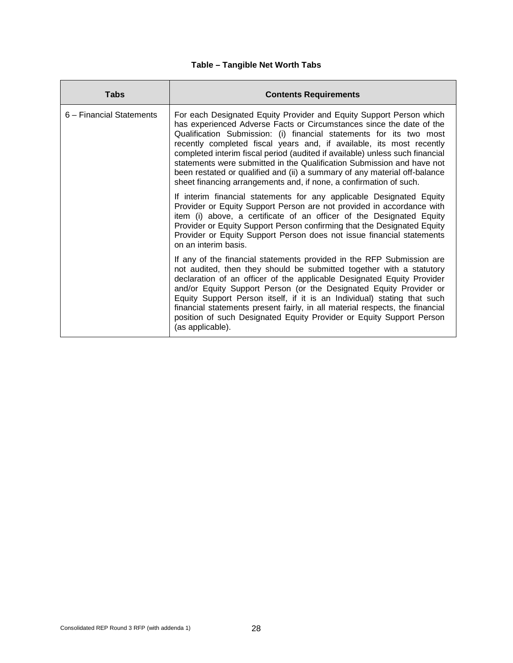#### **Table – Tangible Net Worth Tabs**

| <b>Tabs</b>              | <b>Contents Requirements</b>                                                                                                                                                                                                                                                                                                                                                                                                                                                                                                                                                                            |
|--------------------------|---------------------------------------------------------------------------------------------------------------------------------------------------------------------------------------------------------------------------------------------------------------------------------------------------------------------------------------------------------------------------------------------------------------------------------------------------------------------------------------------------------------------------------------------------------------------------------------------------------|
| 6 – Financial Statements | For each Designated Equity Provider and Equity Support Person which<br>has experienced Adverse Facts or Circumstances since the date of the<br>Qualification Submission: (i) financial statements for its two most<br>recently completed fiscal years and, if available, its most recently<br>completed interim fiscal period (audited if available) unless such financial<br>statements were submitted in the Qualification Submission and have not<br>been restated or qualified and (ii) a summary of any material off-balance<br>sheet financing arrangements and, if none, a confirmation of such. |
|                          | If interim financial statements for any applicable Designated Equity<br>Provider or Equity Support Person are not provided in accordance with<br>item (i) above, a certificate of an officer of the Designated Equity<br>Provider or Equity Support Person confirming that the Designated Equity<br>Provider or Equity Support Person does not issue financial statements<br>on an interim basis.                                                                                                                                                                                                       |
|                          | If any of the financial statements provided in the RFP Submission are<br>not audited, then they should be submitted together with a statutory<br>declaration of an officer of the applicable Designated Equity Provider<br>and/or Equity Support Person (or the Designated Equity Provider or<br>Equity Support Person itself, if it is an Individual) stating that such<br>financial statements present fairly, in all material respects, the financial<br>position of such Designated Equity Provider or Equity Support Person<br>(as applicable).                                                    |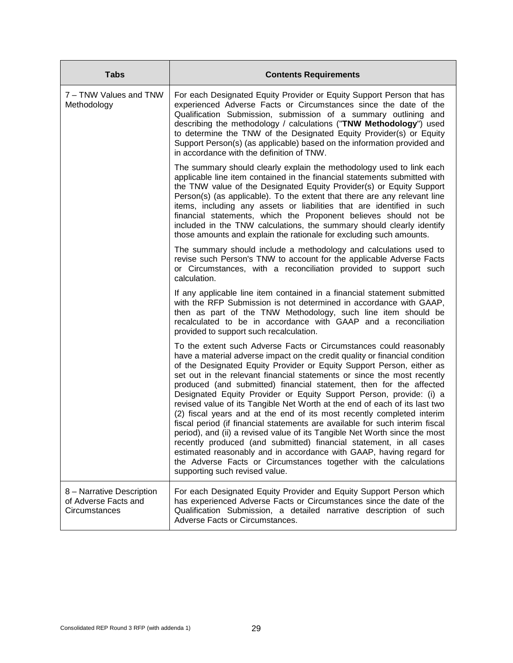| <b>Tabs</b>                                                        | <b>Contents Requirements</b>                                                                                                                                                                                                                                                                                                                                                                                                                                                                                                                                                                                                                                                                                                                                                                                                                                                                                                                                                                                                   |
|--------------------------------------------------------------------|--------------------------------------------------------------------------------------------------------------------------------------------------------------------------------------------------------------------------------------------------------------------------------------------------------------------------------------------------------------------------------------------------------------------------------------------------------------------------------------------------------------------------------------------------------------------------------------------------------------------------------------------------------------------------------------------------------------------------------------------------------------------------------------------------------------------------------------------------------------------------------------------------------------------------------------------------------------------------------------------------------------------------------|
| 7 - TNW Values and TNW<br>Methodology                              | For each Designated Equity Provider or Equity Support Person that has<br>experienced Adverse Facts or Circumstances since the date of the<br>Qualification Submission, submission of a summary outlining and<br>describing the methodology / calculations ("TNW Methodology") used<br>to determine the TNW of the Designated Equity Provider(s) or Equity<br>Support Person(s) (as applicable) based on the information provided and<br>in accordance with the definition of TNW.                                                                                                                                                                                                                                                                                                                                                                                                                                                                                                                                              |
|                                                                    | The summary should clearly explain the methodology used to link each<br>applicable line item contained in the financial statements submitted with<br>the TNW value of the Designated Equity Provider(s) or Equity Support<br>Person(s) (as applicable). To the extent that there are any relevant line<br>items, including any assets or liabilities that are identified in such<br>financial statements, which the Proponent believes should not be<br>included in the TNW calculations, the summary should clearly identify<br>those amounts and explain the rationale for excluding such amounts.                                                                                                                                                                                                                                                                                                                                                                                                                           |
|                                                                    | The summary should include a methodology and calculations used to<br>revise such Person's TNW to account for the applicable Adverse Facts<br>or Circumstances, with a reconciliation provided to support such<br>calculation.                                                                                                                                                                                                                                                                                                                                                                                                                                                                                                                                                                                                                                                                                                                                                                                                  |
|                                                                    | If any applicable line item contained in a financial statement submitted<br>with the RFP Submission is not determined in accordance with GAAP,<br>then as part of the TNW Methodology, such line item should be<br>recalculated to be in accordance with GAAP and a reconciliation<br>provided to support such recalculation.                                                                                                                                                                                                                                                                                                                                                                                                                                                                                                                                                                                                                                                                                                  |
|                                                                    | To the extent such Adverse Facts or Circumstances could reasonably<br>have a material adverse impact on the credit quality or financial condition<br>of the Designated Equity Provider or Equity Support Person, either as<br>set out in the relevant financial statements or since the most recently<br>produced (and submitted) financial statement, then for the affected<br>Designated Equity Provider or Equity Support Person, provide: (i) a<br>revised value of its Tangible Net Worth at the end of each of its last two<br>(2) fiscal years and at the end of its most recently completed interim<br>fiscal period (if financial statements are available for such interim fiscal<br>period), and (ii) a revised value of its Tangible Net Worth since the most<br>recently produced (and submitted) financial statement, in all cases<br>estimated reasonably and in accordance with GAAP, having regard for<br>the Adverse Facts or Circumstances together with the calculations<br>supporting such revised value. |
| 8 - Narrative Description<br>of Adverse Facts and<br>Circumstances | For each Designated Equity Provider and Equity Support Person which<br>has experienced Adverse Facts or Circumstances since the date of the<br>Qualification Submission, a detailed narrative description of such<br>Adverse Facts or Circumstances.                                                                                                                                                                                                                                                                                                                                                                                                                                                                                                                                                                                                                                                                                                                                                                           |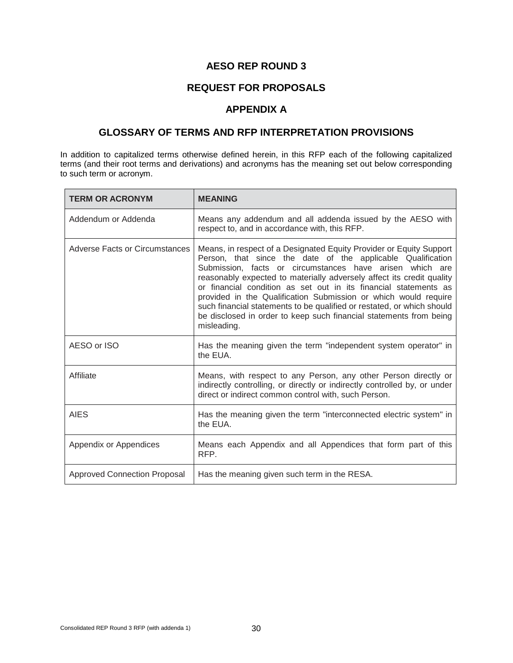### **AESO REP ROUND 3**

#### **REQUEST FOR PROPOSALS**

#### **APPENDIX A**

#### **GLOSSARY OF TERMS AND RFP INTERPRETATION PROVISIONS**

In addition to capitalized terms otherwise defined herein, in this RFP each of the following capitalized terms (and their root terms and derivations) and acronyms has the meaning set out below corresponding to such term or acronym.

| <b>TERM OR ACRONYM</b>                | <b>MEANING</b>                                                                                                                                                                                                                                                                                                                                                                                                                                                                                                                                                                |
|---------------------------------------|-------------------------------------------------------------------------------------------------------------------------------------------------------------------------------------------------------------------------------------------------------------------------------------------------------------------------------------------------------------------------------------------------------------------------------------------------------------------------------------------------------------------------------------------------------------------------------|
| Addendum or Addenda                   | Means any addendum and all addenda issued by the AESO with<br>respect to, and in accordance with, this RFP.                                                                                                                                                                                                                                                                                                                                                                                                                                                                   |
| <b>Adverse Facts or Circumstances</b> | Means, in respect of a Designated Equity Provider or Equity Support<br>Person, that since the date of the applicable Qualification<br>Submission, facts or circumstances have arisen which are<br>reasonably expected to materially adversely affect its credit quality<br>or financial condition as set out in its financial statements as<br>provided in the Qualification Submission or which would require<br>such financial statements to be qualified or restated, or which should<br>be disclosed in order to keep such financial statements from being<br>misleading. |
| AESO or ISO                           | Has the meaning given the term "independent system operator" in<br>the EUA.                                                                                                                                                                                                                                                                                                                                                                                                                                                                                                   |
| Affiliate                             | Means, with respect to any Person, any other Person directly or<br>indirectly controlling, or directly or indirectly controlled by, or under<br>direct or indirect common control with, such Person.                                                                                                                                                                                                                                                                                                                                                                          |
| <b>AIES</b>                           | Has the meaning given the term "interconnected electric system" in<br>the EUA.                                                                                                                                                                                                                                                                                                                                                                                                                                                                                                |
| Appendix or Appendices                | Means each Appendix and all Appendices that form part of this<br>RFP.                                                                                                                                                                                                                                                                                                                                                                                                                                                                                                         |
| <b>Approved Connection Proposal</b>   | Has the meaning given such term in the RESA.                                                                                                                                                                                                                                                                                                                                                                                                                                                                                                                                  |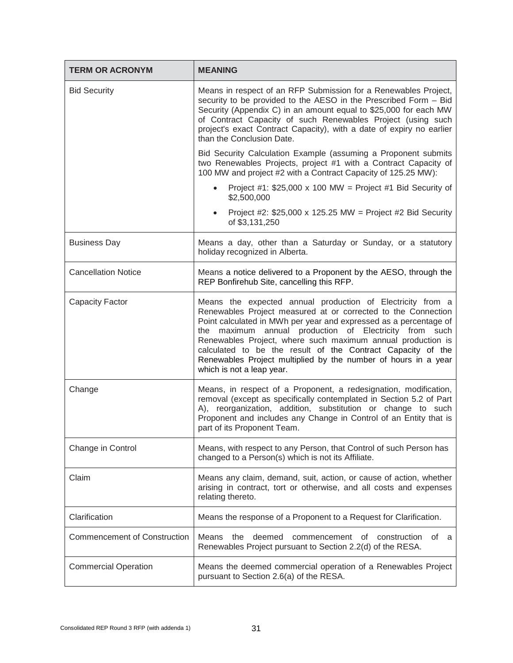| <b>TERM OR ACRONYM</b>              | <b>MEANING</b>                                                                                                                                                                                                                                                                                                                                                                                                                                                                          |
|-------------------------------------|-----------------------------------------------------------------------------------------------------------------------------------------------------------------------------------------------------------------------------------------------------------------------------------------------------------------------------------------------------------------------------------------------------------------------------------------------------------------------------------------|
| <b>Bid Security</b>                 | Means in respect of an RFP Submission for a Renewables Project,<br>security to be provided to the AESO in the Prescribed Form - Bid<br>Security (Appendix C) in an amount equal to \$25,000 for each MW<br>of Contract Capacity of such Renewables Project (using such<br>project's exact Contract Capacity), with a date of expiry no earlier<br>than the Conclusion Date.                                                                                                             |
|                                     | Bid Security Calculation Example (assuming a Proponent submits<br>two Renewables Projects, project #1 with a Contract Capacity of<br>100 MW and project #2 with a Contract Capacity of 125.25 MW):                                                                                                                                                                                                                                                                                      |
|                                     | Project #1: $$25,000 \times 100$ MW = Project #1 Bid Security of<br>\$2,500,000                                                                                                                                                                                                                                                                                                                                                                                                         |
|                                     | Project #2: $$25,000 \times 125.25$ MW = Project #2 Bid Security<br>of \$3,131,250                                                                                                                                                                                                                                                                                                                                                                                                      |
| <b>Business Day</b>                 | Means a day, other than a Saturday or Sunday, or a statutory<br>holiday recognized in Alberta.                                                                                                                                                                                                                                                                                                                                                                                          |
| <b>Cancellation Notice</b>          | Means a notice delivered to a Proponent by the AESO, through the<br>REP Bonfirehub Site, cancelling this RFP.                                                                                                                                                                                                                                                                                                                                                                           |
| <b>Capacity Factor</b>              | Means the expected annual production of Electricity from a<br>Renewables Project measured at or corrected to the Connection<br>Point calculated in MWh per year and expressed as a percentage of<br>the maximum annual production of Electricity from such<br>Renewables Project, where such maximum annual production is<br>calculated to be the result of the Contract Capacity of the<br>Renewables Project multiplied by the number of hours in a year<br>which is not a leap year. |
| Change                              | Means, in respect of a Proponent, a redesignation, modification,<br>removal (except as specifically contemplated in Section 5.2 of Part<br>A), reorganization, addition, substitution or change to such<br>Proponent and includes any Change in Control of an Entity that is<br>part of its Proponent Team.                                                                                                                                                                             |
| Change in Control                   | Means, with respect to any Person, that Control of such Person has<br>changed to a Person(s) which is not its Affiliate.                                                                                                                                                                                                                                                                                                                                                                |
| Claim                               | Means any claim, demand, suit, action, or cause of action, whether<br>arising in contract, tort or otherwise, and all costs and expenses<br>relating thereto.                                                                                                                                                                                                                                                                                                                           |
| Clarification                       | Means the response of a Proponent to a Request for Clarification.                                                                                                                                                                                                                                                                                                                                                                                                                       |
| <b>Commencement of Construction</b> | Means the<br>deemed<br>commencement of<br>construction<br>of a<br>Renewables Project pursuant to Section 2.2(d) of the RESA.                                                                                                                                                                                                                                                                                                                                                            |
| <b>Commercial Operation</b>         | Means the deemed commercial operation of a Renewables Project<br>pursuant to Section 2.6(a) of the RESA.                                                                                                                                                                                                                                                                                                                                                                                |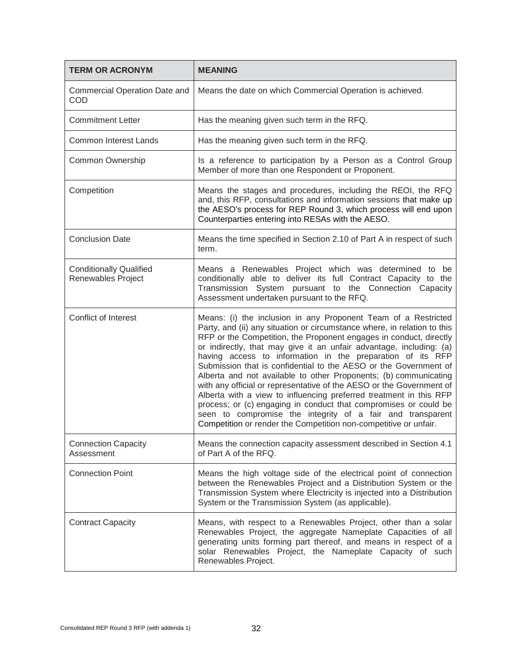| <b>TERM OR ACRONYM</b>                                      | <b>MEANING</b>                                                                                                                                                                                                                                                                                                                                                                                                                                                                                                                                                                                                                                                                                                                                                                                                                                    |
|-------------------------------------------------------------|---------------------------------------------------------------------------------------------------------------------------------------------------------------------------------------------------------------------------------------------------------------------------------------------------------------------------------------------------------------------------------------------------------------------------------------------------------------------------------------------------------------------------------------------------------------------------------------------------------------------------------------------------------------------------------------------------------------------------------------------------------------------------------------------------------------------------------------------------|
| <b>Commercial Operation Date and</b><br>COD                 | Means the date on which Commercial Operation is achieved.                                                                                                                                                                                                                                                                                                                                                                                                                                                                                                                                                                                                                                                                                                                                                                                         |
| <b>Commitment Letter</b>                                    | Has the meaning given such term in the RFQ.                                                                                                                                                                                                                                                                                                                                                                                                                                                                                                                                                                                                                                                                                                                                                                                                       |
| <b>Common Interest Lands</b>                                | Has the meaning given such term in the RFQ.                                                                                                                                                                                                                                                                                                                                                                                                                                                                                                                                                                                                                                                                                                                                                                                                       |
| Common Ownership                                            | Is a reference to participation by a Person as a Control Group<br>Member of more than one Respondent or Proponent.                                                                                                                                                                                                                                                                                                                                                                                                                                                                                                                                                                                                                                                                                                                                |
| Competition                                                 | Means the stages and procedures, including the REOI, the RFQ<br>and, this RFP, consultations and information sessions that make up<br>the AESO's process for REP Round 3, which process will end upon<br>Counterparties entering into RESAs with the AESO.                                                                                                                                                                                                                                                                                                                                                                                                                                                                                                                                                                                        |
| <b>Conclusion Date</b>                                      | Means the time specified in Section 2.10 of Part A in respect of such<br>term.                                                                                                                                                                                                                                                                                                                                                                                                                                                                                                                                                                                                                                                                                                                                                                    |
| <b>Conditionally Qualified</b><br><b>Renewables Project</b> | Means a Renewables Project which was determined to be<br>conditionally able to deliver its full Contract Capacity to the<br>Transmission System pursuant to the Connection Capacity<br>Assessment undertaken pursuant to the RFQ.                                                                                                                                                                                                                                                                                                                                                                                                                                                                                                                                                                                                                 |
| <b>Conflict of Interest</b>                                 | Means: (i) the inclusion in any Proponent Team of a Restricted<br>Party, and (ii) any situation or circumstance where, in relation to this<br>RFP or the Competition, the Proponent engages in conduct, directly<br>or indirectly, that may give it an unfair advantage, including: (a)<br>having access to information in the preparation of its RFP<br>Submission that is confidential to the AESO or the Government of<br>Alberta and not available to other Proponents; (b) communicating<br>with any official or representative of the AESO or the Government of<br>Alberta with a view to influencing preferred treatment in this RFP<br>process; or (c) engaging in conduct that compromises or could be<br>seen to compromise the integrity of a fair and transparent<br>Competition or render the Competition non-competitive or unfair. |
| <b>Connection Capacity</b><br>Assessment                    | Means the connection capacity assessment described in Section 4.1<br>of Part A of the RFQ.                                                                                                                                                                                                                                                                                                                                                                                                                                                                                                                                                                                                                                                                                                                                                        |
| <b>Connection Point</b>                                     | Means the high voltage side of the electrical point of connection<br>between the Renewables Project and a Distribution System or the<br>Transmission System where Electricity is injected into a Distribution<br>System or the Transmission System (as applicable).                                                                                                                                                                                                                                                                                                                                                                                                                                                                                                                                                                               |
| <b>Contract Capacity</b>                                    | Means, with respect to a Renewables Project, other than a solar<br>Renewables Project, the aggregate Nameplate Capacities of all<br>generating units forming part thereof, and means in respect of a<br>solar Renewables Project, the Nameplate Capacity of such<br>Renewables Project.                                                                                                                                                                                                                                                                                                                                                                                                                                                                                                                                                           |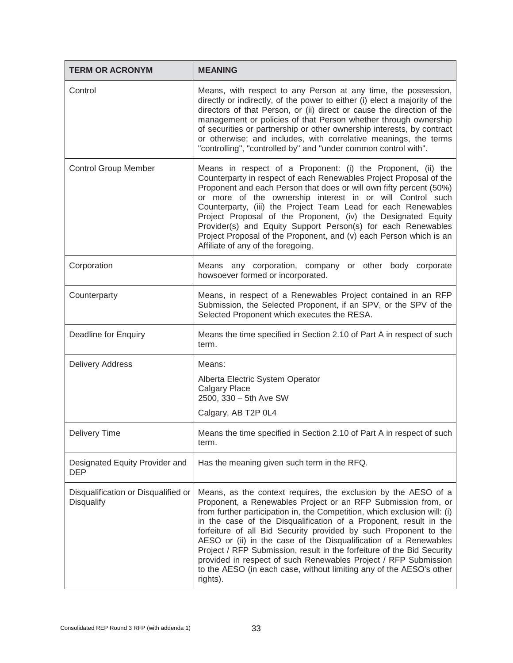| <b>TERM OR ACRONYM</b>                            | <b>MEANING</b>                                                                                                                                                                                                                                                                                                                                                                                                                                                                                                                                                                                                                                            |
|---------------------------------------------------|-----------------------------------------------------------------------------------------------------------------------------------------------------------------------------------------------------------------------------------------------------------------------------------------------------------------------------------------------------------------------------------------------------------------------------------------------------------------------------------------------------------------------------------------------------------------------------------------------------------------------------------------------------------|
| Control                                           | Means, with respect to any Person at any time, the possession,<br>directly or indirectly, of the power to either (i) elect a majority of the<br>directors of that Person, or (ii) direct or cause the direction of the<br>management or policies of that Person whether through ownership<br>of securities or partnership or other ownership interests, by contract<br>or otherwise; and includes, with correlative meanings, the terms<br>"controlling", "controlled by" and "under common control with".                                                                                                                                                |
| <b>Control Group Member</b>                       | Means in respect of a Proponent: (i) the Proponent, (ii) the<br>Counterparty in respect of each Renewables Project Proposal of the<br>Proponent and each Person that does or will own fifty percent (50%)<br>or more of the ownership interest in or will Control such<br>Counterparty, (iii) the Project Team Lead for each Renewables<br>Project Proposal of the Proponent, (iv) the Designated Equity<br>Provider(s) and Equity Support Person(s) for each Renewables<br>Project Proposal of the Proponent, and (v) each Person which is an<br>Affiliate of any of the foregoing.                                                                      |
| Corporation                                       | Means any corporation, company or other body corporate<br>howsoever formed or incorporated.                                                                                                                                                                                                                                                                                                                                                                                                                                                                                                                                                               |
| Counterparty                                      | Means, in respect of a Renewables Project contained in an RFP<br>Submission, the Selected Proponent, if an SPV, or the SPV of the<br>Selected Proponent which executes the RESA.                                                                                                                                                                                                                                                                                                                                                                                                                                                                          |
| <b>Deadline for Enquiry</b>                       | Means the time specified in Section 2.10 of Part A in respect of such<br>term.                                                                                                                                                                                                                                                                                                                                                                                                                                                                                                                                                                            |
| <b>Delivery Address</b>                           | Means:                                                                                                                                                                                                                                                                                                                                                                                                                                                                                                                                                                                                                                                    |
|                                                   | Alberta Electric System Operator<br>Calgary Place<br>2500, 330 - 5th Ave SW                                                                                                                                                                                                                                                                                                                                                                                                                                                                                                                                                                               |
|                                                   | Calgary, AB T2P 0L4                                                                                                                                                                                                                                                                                                                                                                                                                                                                                                                                                                                                                                       |
| <b>Delivery Time</b>                              | Means the time specified in Section 2.10 of Part A in respect of such<br>term.                                                                                                                                                                                                                                                                                                                                                                                                                                                                                                                                                                            |
| Designated Equity Provider and<br><b>DEP</b>      | Has the meaning given such term in the RFQ.                                                                                                                                                                                                                                                                                                                                                                                                                                                                                                                                                                                                               |
| Disqualification or Disqualified or<br>Disqualify | Means, as the context requires, the exclusion by the AESO of a<br>Proponent, a Renewables Project or an RFP Submission from, or<br>from further participation in, the Competition, which exclusion will: (i)<br>in the case of the Disqualification of a Proponent, result in the<br>forfeiture of all Bid Security provided by such Proponent to the<br>AESO or (ii) in the case of the Disqualification of a Renewables<br>Project / RFP Submission, result in the forfeiture of the Bid Security<br>provided in respect of such Renewables Project / RFP Submission<br>to the AESO (in each case, without limiting any of the AESO's other<br>rights). |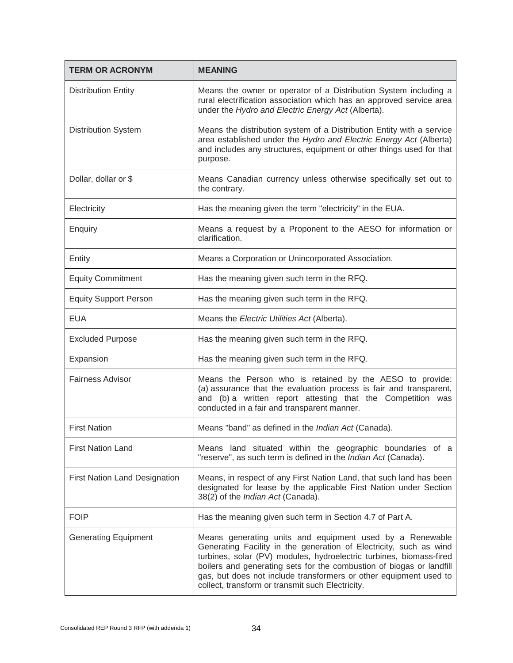| <b>TERM OR ACRONYM</b>               | <b>MEANING</b>                                                                                                                                                                                                                                                                                                                                                                                         |
|--------------------------------------|--------------------------------------------------------------------------------------------------------------------------------------------------------------------------------------------------------------------------------------------------------------------------------------------------------------------------------------------------------------------------------------------------------|
| <b>Distribution Entity</b>           | Means the owner or operator of a Distribution System including a<br>rural electrification association which has an approved service area<br>under the Hydro and Electric Energy Act (Alberta).                                                                                                                                                                                                         |
| <b>Distribution System</b>           | Means the distribution system of a Distribution Entity with a service<br>area established under the Hydro and Electric Energy Act (Alberta)<br>and includes any structures, equipment or other things used for that<br>purpose.                                                                                                                                                                        |
| Dollar, dollar or \$                 | Means Canadian currency unless otherwise specifically set out to<br>the contrary.                                                                                                                                                                                                                                                                                                                      |
| Electricity                          | Has the meaning given the term "electricity" in the EUA.                                                                                                                                                                                                                                                                                                                                               |
| Enquiry                              | Means a request by a Proponent to the AESO for information or<br>clarification.                                                                                                                                                                                                                                                                                                                        |
| Entity                               | Means a Corporation or Unincorporated Association.                                                                                                                                                                                                                                                                                                                                                     |
| <b>Equity Commitment</b>             | Has the meaning given such term in the RFQ.                                                                                                                                                                                                                                                                                                                                                            |
| <b>Equity Support Person</b>         | Has the meaning given such term in the RFQ.                                                                                                                                                                                                                                                                                                                                                            |
| <b>EUA</b>                           | Means the Electric Utilities Act (Alberta).                                                                                                                                                                                                                                                                                                                                                            |
| <b>Excluded Purpose</b>              | Has the meaning given such term in the RFQ.                                                                                                                                                                                                                                                                                                                                                            |
| Expansion                            | Has the meaning given such term in the RFQ.                                                                                                                                                                                                                                                                                                                                                            |
| <b>Fairness Advisor</b>              | Means the Person who is retained by the AESO to provide:<br>(a) assurance that the evaluation process is fair and transparent,<br>and (b) a written report attesting that the Competition was<br>conducted in a fair and transparent manner.                                                                                                                                                           |
| <b>First Nation</b>                  | Means "band" as defined in the Indian Act (Canada).                                                                                                                                                                                                                                                                                                                                                    |
| <b>First Nation Land</b>             | Means land situated within the geographic boundaries of a<br>"reserve", as such term is defined in the Indian Act (Canada).                                                                                                                                                                                                                                                                            |
| <b>First Nation Land Designation</b> | Means, in respect of any First Nation Land, that such land has been<br>designated for lease by the applicable First Nation under Section<br>38(2) of the Indian Act (Canada).                                                                                                                                                                                                                          |
| <b>FOIP</b>                          | Has the meaning given such term in Section 4.7 of Part A.                                                                                                                                                                                                                                                                                                                                              |
| <b>Generating Equipment</b>          | Means generating units and equipment used by a Renewable<br>Generating Facility in the generation of Electricity, such as wind<br>turbines, solar (PV) modules, hydroelectric turbines, biomass-fired<br>boilers and generating sets for the combustion of biogas or landfill<br>gas, but does not include transformers or other equipment used to<br>collect, transform or transmit such Electricity. |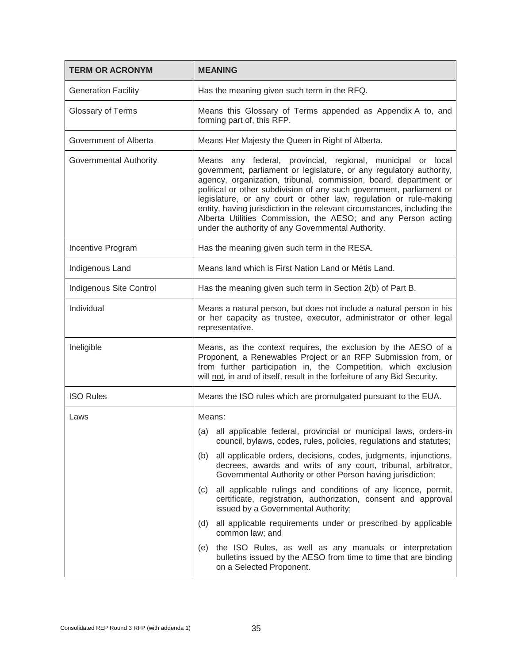| <b>TERM OR ACRONYM</b>     | <b>MEANING</b>                                                                                                                                                                                                                                                                                                                                                                                                                                                                                                                                         |
|----------------------------|--------------------------------------------------------------------------------------------------------------------------------------------------------------------------------------------------------------------------------------------------------------------------------------------------------------------------------------------------------------------------------------------------------------------------------------------------------------------------------------------------------------------------------------------------------|
| <b>Generation Facility</b> | Has the meaning given such term in the RFQ.                                                                                                                                                                                                                                                                                                                                                                                                                                                                                                            |
| Glossary of Terms          | Means this Glossary of Terms appended as Appendix A to, and<br>forming part of, this RFP.                                                                                                                                                                                                                                                                                                                                                                                                                                                              |
| Government of Alberta      | Means Her Majesty the Queen in Right of Alberta.                                                                                                                                                                                                                                                                                                                                                                                                                                                                                                       |
| Governmental Authority     | Means any federal, provincial, regional, municipal or local<br>government, parliament or legislature, or any regulatory authority,<br>agency, organization, tribunal, commission, board, department or<br>political or other subdivision of any such government, parliament or<br>legislature, or any court or other law, regulation or rule-making<br>entity, having jurisdiction in the relevant circumstances, including the<br>Alberta Utilities Commission, the AESO; and any Person acting<br>under the authority of any Governmental Authority. |
| Incentive Program          | Has the meaning given such term in the RESA.                                                                                                                                                                                                                                                                                                                                                                                                                                                                                                           |
| Indigenous Land            | Means land which is First Nation Land or Métis Land.                                                                                                                                                                                                                                                                                                                                                                                                                                                                                                   |
| Indigenous Site Control    | Has the meaning given such term in Section 2(b) of Part B.                                                                                                                                                                                                                                                                                                                                                                                                                                                                                             |
| Individual                 | Means a natural person, but does not include a natural person in his<br>or her capacity as trustee, executor, administrator or other legal<br>representative.                                                                                                                                                                                                                                                                                                                                                                                          |
| Ineligible                 | Means, as the context requires, the exclusion by the AESO of a<br>Proponent, a Renewables Project or an RFP Submission from, or<br>from further participation in, the Competition, which exclusion<br>will not, in and of itself, result in the forfeiture of any Bid Security.                                                                                                                                                                                                                                                                        |
| <b>ISO Rules</b>           | Means the ISO rules which are promulgated pursuant to the EUA.                                                                                                                                                                                                                                                                                                                                                                                                                                                                                         |
| Laws                       | Means:                                                                                                                                                                                                                                                                                                                                                                                                                                                                                                                                                 |
|                            | (a) all applicable federal, provincial or municipal laws, orders-in<br>council, bylaws, codes, rules, policies, regulations and statutes;                                                                                                                                                                                                                                                                                                                                                                                                              |
|                            | all applicable orders, decisions, codes, judgments, injunctions,<br>(b)<br>decrees, awards and writs of any court, tribunal, arbitrator,<br>Governmental Authority or other Person having jurisdiction;                                                                                                                                                                                                                                                                                                                                                |
|                            | all applicable rulings and conditions of any licence, permit,<br>(c)<br>certificate, registration, authorization, consent and approval<br>issued by a Governmental Authority;                                                                                                                                                                                                                                                                                                                                                                          |
|                            | all applicable requirements under or prescribed by applicable<br>(d)<br>common law; and                                                                                                                                                                                                                                                                                                                                                                                                                                                                |
|                            | the ISO Rules, as well as any manuals or interpretation<br>(e)<br>bulletins issued by the AESO from time to time that are binding<br>on a Selected Proponent.                                                                                                                                                                                                                                                                                                                                                                                          |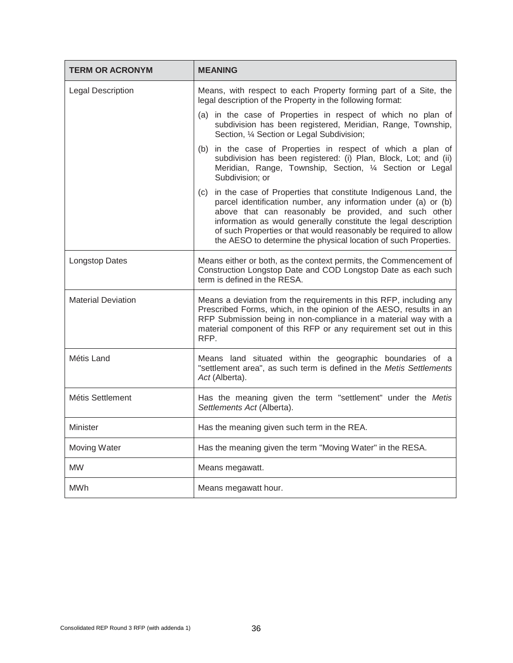| <b>TERM OR ACRONYM</b>    | <b>MEANING</b>                                                                                                                                                                                                                                                                                                                                                                                          |
|---------------------------|---------------------------------------------------------------------------------------------------------------------------------------------------------------------------------------------------------------------------------------------------------------------------------------------------------------------------------------------------------------------------------------------------------|
| <b>Legal Description</b>  | Means, with respect to each Property forming part of a Site, the<br>legal description of the Property in the following format:                                                                                                                                                                                                                                                                          |
|                           | (a) in the case of Properties in respect of which no plan of<br>subdivision has been registered, Meridian, Range, Township,<br>Section, 1/4 Section or Legal Subdivision;                                                                                                                                                                                                                               |
|                           | (b) in the case of Properties in respect of which a plan of<br>subdivision has been registered: (i) Plan, Block, Lot; and (ii)<br>Meridian, Range, Township, Section, 1/4 Section or Legal<br>Subdivision; or                                                                                                                                                                                           |
|                           | (c) in the case of Properties that constitute Indigenous Land, the<br>parcel identification number, any information under (a) or (b)<br>above that can reasonably be provided, and such other<br>information as would generally constitute the legal description<br>of such Properties or that would reasonably be required to allow<br>the AESO to determine the physical location of such Properties. |
| <b>Longstop Dates</b>     | Means either or both, as the context permits, the Commencement of<br>Construction Longstop Date and COD Longstop Date as each such<br>term is defined in the RESA.                                                                                                                                                                                                                                      |
| <b>Material Deviation</b> | Means a deviation from the requirements in this RFP, including any<br>Prescribed Forms, which, in the opinion of the AESO, results in an<br>RFP Submission being in non-compliance in a material way with a<br>material component of this RFP or any requirement set out in this<br>RFP.                                                                                                                |
| Métis Land                | Means land situated within the geographic boundaries of a<br>"settlement area", as such term is defined in the Metis Settlements<br>Act (Alberta).                                                                                                                                                                                                                                                      |
| Métis Settlement          | Has the meaning given the term "settlement" under the Metis<br>Settlements Act (Alberta).                                                                                                                                                                                                                                                                                                               |
| Minister                  | Has the meaning given such term in the REA.                                                                                                                                                                                                                                                                                                                                                             |
| Moving Water              | Has the meaning given the term "Moving Water" in the RESA.                                                                                                                                                                                                                                                                                                                                              |
| <b>MW</b>                 | Means megawatt.                                                                                                                                                                                                                                                                                                                                                                                         |
| <b>MWh</b>                | Means megawatt hour.                                                                                                                                                                                                                                                                                                                                                                                    |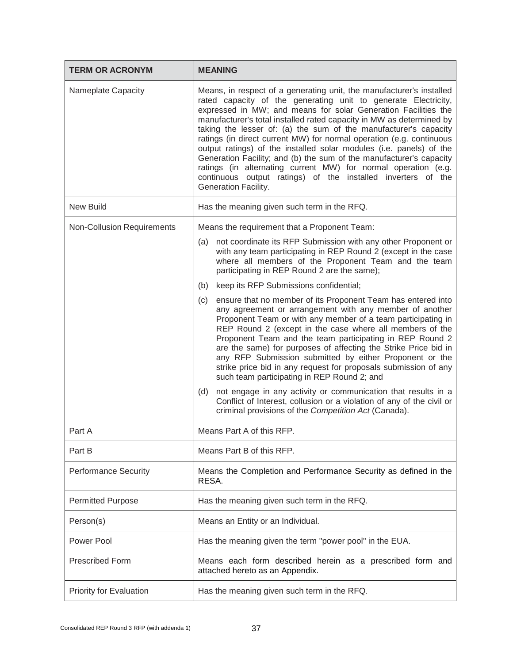| <b>TERM OR ACRONYM</b>            | <b>MEANING</b>                                                                                                                                                                                                                                                                                                                                                                                                                                                                                                                                                                                                                                                                                                                       |
|-----------------------------------|--------------------------------------------------------------------------------------------------------------------------------------------------------------------------------------------------------------------------------------------------------------------------------------------------------------------------------------------------------------------------------------------------------------------------------------------------------------------------------------------------------------------------------------------------------------------------------------------------------------------------------------------------------------------------------------------------------------------------------------|
| Nameplate Capacity                | Means, in respect of a generating unit, the manufacturer's installed<br>rated capacity of the generating unit to generate Electricity,<br>expressed in MW; and means for solar Generation Facilities the<br>manufacturer's total installed rated capacity in MW as determined by<br>taking the lesser of: (a) the sum of the manufacturer's capacity<br>ratings (in direct current MW) for normal operation (e.g. continuous<br>output ratings) of the installed solar modules (i.e. panels) of the<br>Generation Facility; and (b) the sum of the manufacturer's capacity<br>ratings (in alternating current MW) for normal operation (e.g.<br>continuous output ratings) of the installed inverters of the<br>Generation Facility. |
| <b>New Build</b>                  | Has the meaning given such term in the RFQ.                                                                                                                                                                                                                                                                                                                                                                                                                                                                                                                                                                                                                                                                                          |
| <b>Non-Collusion Requirements</b> | Means the requirement that a Proponent Team:                                                                                                                                                                                                                                                                                                                                                                                                                                                                                                                                                                                                                                                                                         |
|                                   | not coordinate its RFP Submission with any other Proponent or<br>(a)<br>with any team participating in REP Round 2 (except in the case<br>where all members of the Proponent Team and the team<br>participating in REP Round 2 are the same);                                                                                                                                                                                                                                                                                                                                                                                                                                                                                        |
|                                   | keep its RFP Submissions confidential;<br>(b)                                                                                                                                                                                                                                                                                                                                                                                                                                                                                                                                                                                                                                                                                        |
|                                   | ensure that no member of its Proponent Team has entered into<br>(c)<br>any agreement or arrangement with any member of another<br>Proponent Team or with any member of a team participating in<br>REP Round 2 (except in the case where all members of the<br>Proponent Team and the team participating in REP Round 2<br>are the same) for purposes of affecting the Strike Price bid in<br>any RFP Submission submitted by either Proponent or the<br>strike price bid in any request for proposals submission of any<br>such team participating in REP Round 2; and                                                                                                                                                               |
|                                   | not engage in any activity or communication that results in a<br>(d)<br>Conflict of Interest, collusion or a violation of any of the civil or<br>criminal provisions of the Competition Act (Canada).                                                                                                                                                                                                                                                                                                                                                                                                                                                                                                                                |
| Part A                            | Means Part A of this RFP.                                                                                                                                                                                                                                                                                                                                                                                                                                                                                                                                                                                                                                                                                                            |
| Part B                            | Means Part B of this RFP.                                                                                                                                                                                                                                                                                                                                                                                                                                                                                                                                                                                                                                                                                                            |
| <b>Performance Security</b>       | Means the Completion and Performance Security as defined in the<br>RESA.                                                                                                                                                                                                                                                                                                                                                                                                                                                                                                                                                                                                                                                             |
| <b>Permitted Purpose</b>          | Has the meaning given such term in the RFQ.                                                                                                                                                                                                                                                                                                                                                                                                                                                                                                                                                                                                                                                                                          |
| Person(s)                         | Means an Entity or an Individual.                                                                                                                                                                                                                                                                                                                                                                                                                                                                                                                                                                                                                                                                                                    |
| Power Pool                        | Has the meaning given the term "power pool" in the EUA.                                                                                                                                                                                                                                                                                                                                                                                                                                                                                                                                                                                                                                                                              |
| Prescribed Form                   | Means each form described herein as a prescribed form and<br>attached hereto as an Appendix.                                                                                                                                                                                                                                                                                                                                                                                                                                                                                                                                                                                                                                         |
| Priority for Evaluation           | Has the meaning given such term in the RFQ.                                                                                                                                                                                                                                                                                                                                                                                                                                                                                                                                                                                                                                                                                          |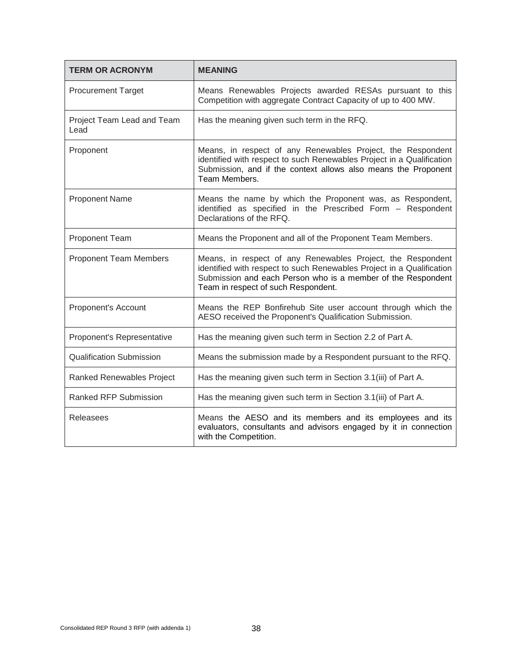| <b>TERM OR ACRONYM</b>             | <b>MEANING</b>                                                                                                                                                                                                                              |
|------------------------------------|---------------------------------------------------------------------------------------------------------------------------------------------------------------------------------------------------------------------------------------------|
| <b>Procurement Target</b>          | Means Renewables Projects awarded RESAs pursuant to this<br>Competition with aggregate Contract Capacity of up to 400 MW.                                                                                                                   |
| Project Team Lead and Team<br>Lead | Has the meaning given such term in the RFQ.                                                                                                                                                                                                 |
| Proponent                          | Means, in respect of any Renewables Project, the Respondent<br>identified with respect to such Renewables Project in a Qualification<br>Submission, and if the context allows also means the Proponent<br>Team Members.                     |
| <b>Proponent Name</b>              | Means the name by which the Proponent was, as Respondent,<br>identified as specified in the Prescribed Form - Respondent<br>Declarations of the RFQ.                                                                                        |
| Proponent Team                     | Means the Proponent and all of the Proponent Team Members.                                                                                                                                                                                  |
| <b>Proponent Team Members</b>      | Means, in respect of any Renewables Project, the Respondent<br>identified with respect to such Renewables Project in a Qualification<br>Submission and each Person who is a member of the Respondent<br>Team in respect of such Respondent. |
| Proponent's Account                | Means the REP Bonfirehub Site user account through which the<br>AESO received the Proponent's Qualification Submission.                                                                                                                     |
| Proponent's Representative         | Has the meaning given such term in Section 2.2 of Part A.                                                                                                                                                                                   |
| <b>Qualification Submission</b>    | Means the submission made by a Respondent pursuant to the RFQ.                                                                                                                                                                              |
| Ranked Renewables Project          | Has the meaning given such term in Section 3.1(iii) of Part A.                                                                                                                                                                              |
| Ranked RFP Submission              | Has the meaning given such term in Section 3.1(iii) of Part A.                                                                                                                                                                              |
| Releasees                          | Means the AESO and its members and its employees and its<br>evaluators, consultants and advisors engaged by it in connection<br>with the Competition.                                                                                       |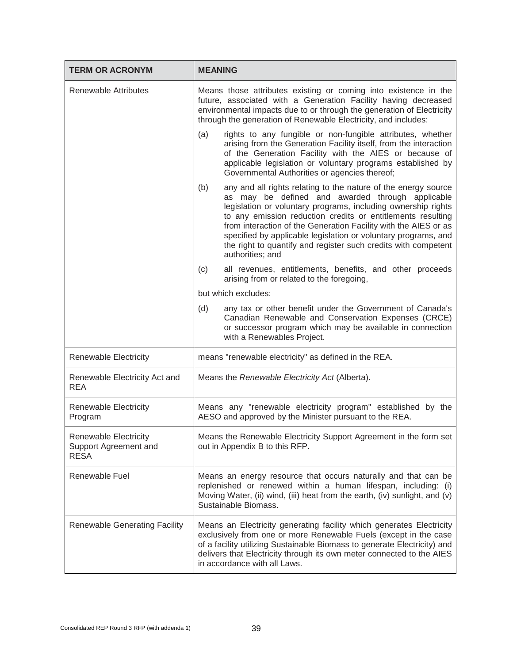| <b>TERM OR ACRONYM</b>                                               | <b>MEANING</b>                                                                                                                                                                                                                                                                                                                                                                                                                                                                       |
|----------------------------------------------------------------------|--------------------------------------------------------------------------------------------------------------------------------------------------------------------------------------------------------------------------------------------------------------------------------------------------------------------------------------------------------------------------------------------------------------------------------------------------------------------------------------|
| Renewable Attributes                                                 | Means those attributes existing or coming into existence in the<br>future, associated with a Generation Facility having decreased<br>environmental impacts due to or through the generation of Electricity<br>through the generation of Renewable Electricity, and includes:                                                                                                                                                                                                         |
|                                                                      | rights to any fungible or non-fungible attributes, whether<br>(a)<br>arising from the Generation Facility itself, from the interaction<br>of the Generation Facility with the AIES or because of<br>applicable legislation or voluntary programs established by<br>Governmental Authorities or agencies thereof;                                                                                                                                                                     |
|                                                                      | any and all rights relating to the nature of the energy source<br>(b)<br>as may be defined and awarded through applicable<br>legislation or voluntary programs, including ownership rights<br>to any emission reduction credits or entitlements resulting<br>from interaction of the Generation Facility with the AIES or as<br>specified by applicable legislation or voluntary programs, and<br>the right to quantify and register such credits with competent<br>authorities; and |
|                                                                      | all revenues, entitlements, benefits, and other proceeds<br>(c)<br>arising from or related to the foregoing,                                                                                                                                                                                                                                                                                                                                                                         |
|                                                                      | but which excludes:                                                                                                                                                                                                                                                                                                                                                                                                                                                                  |
|                                                                      | (d)<br>any tax or other benefit under the Government of Canada's<br>Canadian Renewable and Conservation Expenses (CRCE)<br>or successor program which may be available in connection<br>with a Renewables Project.                                                                                                                                                                                                                                                                   |
| Renewable Electricity                                                | means "renewable electricity" as defined in the REA.                                                                                                                                                                                                                                                                                                                                                                                                                                 |
| Renewable Electricity Act and<br><b>REA</b>                          | Means the Renewable Electricity Act (Alberta).                                                                                                                                                                                                                                                                                                                                                                                                                                       |
| <b>Renewable Electricity</b><br>Program                              | Means any "renewable electricity program" established by the<br>AESO and approved by the Minister pursuant to the REA.                                                                                                                                                                                                                                                                                                                                                               |
| <b>Renewable Electricity</b><br>Support Agreement and<br><b>RESA</b> | Means the Renewable Electricity Support Agreement in the form set<br>out in Appendix B to this RFP.                                                                                                                                                                                                                                                                                                                                                                                  |
| Renewable Fuel                                                       | Means an energy resource that occurs naturally and that can be<br>replenished or renewed within a human lifespan, including: (i)<br>Moving Water, (ii) wind, (iii) heat from the earth, (iv) sunlight, and (v)<br>Sustainable Biomass.                                                                                                                                                                                                                                               |
| <b>Renewable Generating Facility</b>                                 | Means an Electricity generating facility which generates Electricity<br>exclusively from one or more Renewable Fuels (except in the case<br>of a facility utilizing Sustainable Biomass to generate Electricity) and<br>delivers that Electricity through its own meter connected to the AIES<br>in accordance with all Laws.                                                                                                                                                        |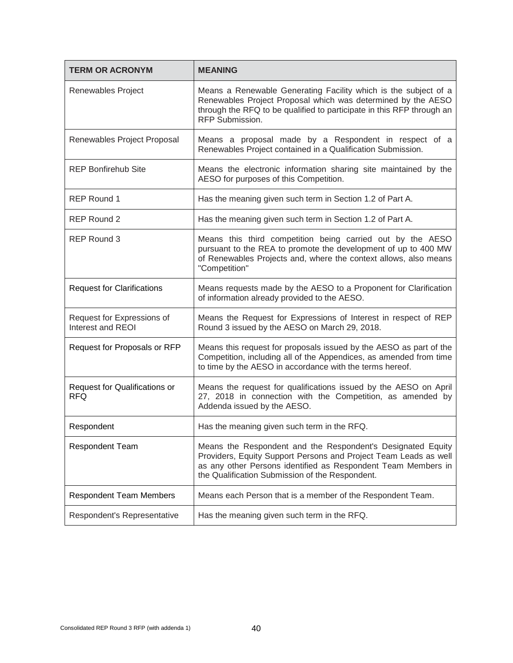| <b>TERM OR ACRONYM</b>                          | <b>MEANING</b>                                                                                                                                                                                                                                      |
|-------------------------------------------------|-----------------------------------------------------------------------------------------------------------------------------------------------------------------------------------------------------------------------------------------------------|
| Renewables Project                              | Means a Renewable Generating Facility which is the subject of a<br>Renewables Project Proposal which was determined by the AESO<br>through the RFQ to be qualified to participate in this RFP through an<br>RFP Submission.                         |
| Renewables Project Proposal                     | Means a proposal made by a Respondent in respect of a<br>Renewables Project contained in a Qualification Submission.                                                                                                                                |
| <b>REP Bonfirehub Site</b>                      | Means the electronic information sharing site maintained by the<br>AESO for purposes of this Competition.                                                                                                                                           |
| <b>REP Round 1</b>                              | Has the meaning given such term in Section 1.2 of Part A.                                                                                                                                                                                           |
| REP Round 2                                     | Has the meaning given such term in Section 1.2 of Part A.                                                                                                                                                                                           |
| <b>REP Round 3</b>                              | Means this third competition being carried out by the AESO<br>pursuant to the REA to promote the development of up to 400 MW<br>of Renewables Projects and, where the context allows, also means<br>"Competition"                                   |
| <b>Request for Clarifications</b>               | Means requests made by the AESO to a Proponent for Clarification<br>of information already provided to the AESO.                                                                                                                                    |
| Request for Expressions of<br>Interest and REOI | Means the Request for Expressions of Interest in respect of REP<br>Round 3 issued by the AESO on March 29, 2018.                                                                                                                                    |
| Request for Proposals or RFP                    | Means this request for proposals issued by the AESO as part of the<br>Competition, including all of the Appendices, as amended from time<br>to time by the AESO in accordance with the terms hereof.                                                |
| Request for Qualifications or<br><b>RFQ</b>     | Means the request for qualifications issued by the AESO on April<br>27, 2018 in connection with the Competition, as amended by<br>Addenda issued by the AESO.                                                                                       |
| Respondent                                      | Has the meaning given such term in the RFQ.                                                                                                                                                                                                         |
| <b>Respondent Team</b>                          | Means the Respondent and the Respondent's Designated Equity<br>Providers, Equity Support Persons and Project Team Leads as well<br>as any other Persons identified as Respondent Team Members in<br>the Qualification Submission of the Respondent. |
| <b>Respondent Team Members</b>                  | Means each Person that is a member of the Respondent Team.                                                                                                                                                                                          |
| Respondent's Representative                     | Has the meaning given such term in the RFQ.                                                                                                                                                                                                         |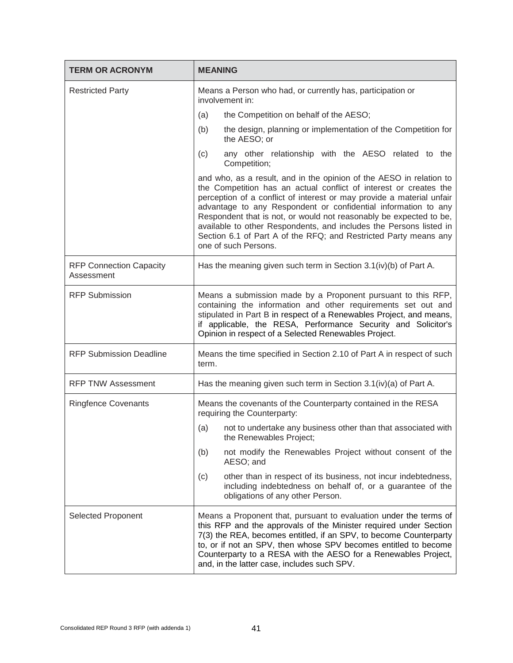| <b>TERM OR ACRONYM</b>                       | <b>MEANING</b>                                                                                                                                                                                                                                                                                                                                                                                                                                                                                                              |
|----------------------------------------------|-----------------------------------------------------------------------------------------------------------------------------------------------------------------------------------------------------------------------------------------------------------------------------------------------------------------------------------------------------------------------------------------------------------------------------------------------------------------------------------------------------------------------------|
| <b>Restricted Party</b>                      | Means a Person who had, or currently has, participation or<br>involvement in:                                                                                                                                                                                                                                                                                                                                                                                                                                               |
|                                              | (a)<br>the Competition on behalf of the AESO;                                                                                                                                                                                                                                                                                                                                                                                                                                                                               |
|                                              | the design, planning or implementation of the Competition for<br>(b)<br>the AESO; or                                                                                                                                                                                                                                                                                                                                                                                                                                        |
|                                              | any other relationship with the AESO related to the<br>(c)<br>Competition;                                                                                                                                                                                                                                                                                                                                                                                                                                                  |
|                                              | and who, as a result, and in the opinion of the AESO in relation to<br>the Competition has an actual conflict of interest or creates the<br>perception of a conflict of interest or may provide a material unfair<br>advantage to any Respondent or confidential information to any<br>Respondent that is not, or would not reasonably be expected to be,<br>available to other Respondents, and includes the Persons listed in<br>Section 6.1 of Part A of the RFQ; and Restricted Party means any<br>one of such Persons. |
| <b>RFP Connection Capacity</b><br>Assessment | Has the meaning given such term in Section 3.1(iv)(b) of Part A.                                                                                                                                                                                                                                                                                                                                                                                                                                                            |
| <b>RFP Submission</b>                        | Means a submission made by a Proponent pursuant to this RFP,<br>containing the information and other requirements set out and<br>stipulated in Part B in respect of a Renewables Project, and means,<br>if applicable, the RESA, Performance Security and Solicitor's<br>Opinion in respect of a Selected Renewables Project.                                                                                                                                                                                               |
| <b>RFP Submission Deadline</b>               | Means the time specified in Section 2.10 of Part A in respect of such<br>term.                                                                                                                                                                                                                                                                                                                                                                                                                                              |
| <b>RFP TNW Assessment</b>                    | Has the meaning given such term in Section 3.1(iv)(a) of Part A.                                                                                                                                                                                                                                                                                                                                                                                                                                                            |
| <b>Ringfence Covenants</b>                   | Means the covenants of the Counterparty contained in the RESA<br>requiring the Counterparty:                                                                                                                                                                                                                                                                                                                                                                                                                                |
|                                              | not to undertake any business other than that associated with<br>(a)<br>the Renewables Project;                                                                                                                                                                                                                                                                                                                                                                                                                             |
|                                              | (b)<br>not modify the Renewables Project without consent of the<br>AESO; and                                                                                                                                                                                                                                                                                                                                                                                                                                                |
|                                              | other than in respect of its business, not incur indebtedness,<br>(c)<br>including indebtedness on behalf of, or a guarantee of the<br>obligations of any other Person.                                                                                                                                                                                                                                                                                                                                                     |
| <b>Selected Proponent</b>                    | Means a Proponent that, pursuant to evaluation under the terms of<br>this RFP and the approvals of the Minister required under Section<br>7(3) the REA, becomes entitled, if an SPV, to become Counterparty<br>to, or if not an SPV, then whose SPV becomes entitled to become<br>Counterparty to a RESA with the AESO for a Renewables Project,<br>and, in the latter case, includes such SPV.                                                                                                                             |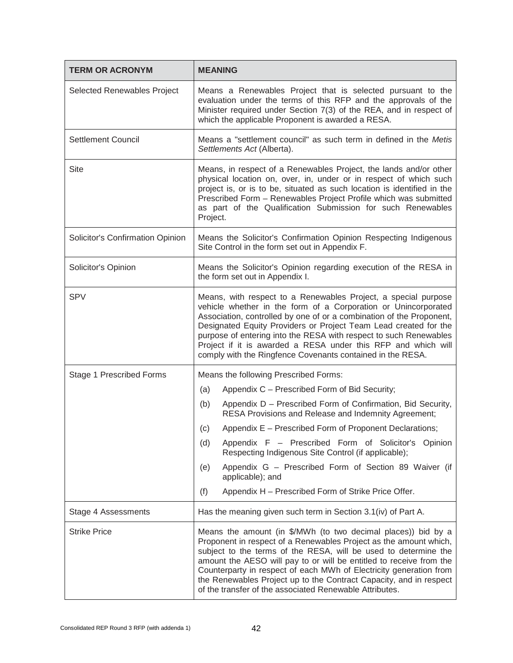| <b>TERM OR ACRONYM</b>           | <b>MEANING</b>                                                                                                                                                                                                                                                                                                                                                                                                                                                                      |
|----------------------------------|-------------------------------------------------------------------------------------------------------------------------------------------------------------------------------------------------------------------------------------------------------------------------------------------------------------------------------------------------------------------------------------------------------------------------------------------------------------------------------------|
| Selected Renewables Project      | Means a Renewables Project that is selected pursuant to the<br>evaluation under the terms of this RFP and the approvals of the<br>Minister required under Section 7(3) of the REA, and in respect of<br>which the applicable Proponent is awarded a RESA.                                                                                                                                                                                                                           |
| <b>Settlement Council</b>        | Means a "settlement council" as such term in defined in the Metis<br>Settlements Act (Alberta).                                                                                                                                                                                                                                                                                                                                                                                     |
| <b>Site</b>                      | Means, in respect of a Renewables Project, the lands and/or other<br>physical location on, over, in, under or in respect of which such<br>project is, or is to be, situated as such location is identified in the<br>Prescribed Form - Renewables Project Profile which was submitted<br>as part of the Qualification Submission for such Renewables<br>Project.                                                                                                                    |
| Solicitor's Confirmation Opinion | Means the Solicitor's Confirmation Opinion Respecting Indigenous<br>Site Control in the form set out in Appendix F.                                                                                                                                                                                                                                                                                                                                                                 |
| Solicitor's Opinion              | Means the Solicitor's Opinion regarding execution of the RESA in<br>the form set out in Appendix I.                                                                                                                                                                                                                                                                                                                                                                                 |
| <b>SPV</b>                       | Means, with respect to a Renewables Project, a special purpose<br>vehicle whether in the form of a Corporation or Unincorporated<br>Association, controlled by one of or a combination of the Proponent,<br>Designated Equity Providers or Project Team Lead created for the<br>purpose of entering into the RESA with respect to such Renewables<br>Project if it is awarded a RESA under this RFP and which will<br>comply with the Ringfence Covenants contained in the RESA.    |
| Stage 1 Prescribed Forms         | Means the following Prescribed Forms:                                                                                                                                                                                                                                                                                                                                                                                                                                               |
|                                  | Appendix C - Prescribed Form of Bid Security;<br>(a)                                                                                                                                                                                                                                                                                                                                                                                                                                |
|                                  | Appendix D - Prescribed Form of Confirmation, Bid Security,<br>(b)<br>RESA Provisions and Release and Indemnity Agreement;                                                                                                                                                                                                                                                                                                                                                          |
|                                  | Appendix E - Prescribed Form of Proponent Declarations;<br>(c)                                                                                                                                                                                                                                                                                                                                                                                                                      |
|                                  | Appendix F - Prescribed Form of Solicitor's Opinion<br>(d)<br>Respecting Indigenous Site Control (if applicable);                                                                                                                                                                                                                                                                                                                                                                   |
|                                  | Appendix G - Prescribed Form of Section 89 Waiver (if<br>(e)<br>applicable); and                                                                                                                                                                                                                                                                                                                                                                                                    |
|                                  | (f)<br>Appendix H - Prescribed Form of Strike Price Offer.                                                                                                                                                                                                                                                                                                                                                                                                                          |
| Stage 4 Assessments              | Has the meaning given such term in Section 3.1(iv) of Part A.                                                                                                                                                                                                                                                                                                                                                                                                                       |
| <b>Strike Price</b>              | Means the amount (in \$/MWh (to two decimal places)) bid by a<br>Proponent in respect of a Renewables Project as the amount which,<br>subject to the terms of the RESA, will be used to determine the<br>amount the AESO will pay to or will be entitled to receive from the<br>Counterparty in respect of each MWh of Electricity generation from<br>the Renewables Project up to the Contract Capacity, and in respect<br>of the transfer of the associated Renewable Attributes. |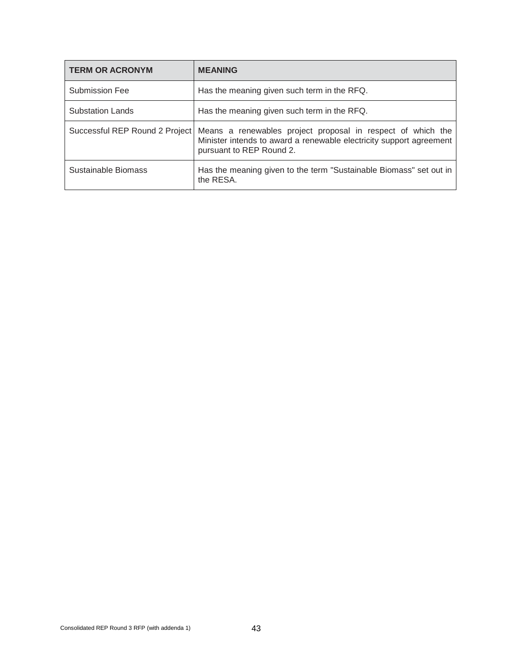| <b>TERM OR ACRONYM</b>         | <b>MEANING</b>                                                                                                                                                 |
|--------------------------------|----------------------------------------------------------------------------------------------------------------------------------------------------------------|
| Submission Fee                 | Has the meaning given such term in the RFQ.                                                                                                                    |
| <b>Substation Lands</b>        | Has the meaning given such term in the RFQ.                                                                                                                    |
| Successful REP Round 2 Project | Means a renewables project proposal in respect of which the<br>Minister intends to award a renewable electricity support agreement<br>pursuant to REP Round 2. |
| Sustainable Biomass            | Has the meaning given to the term "Sustainable Biomass" set out in<br>the RESA.                                                                                |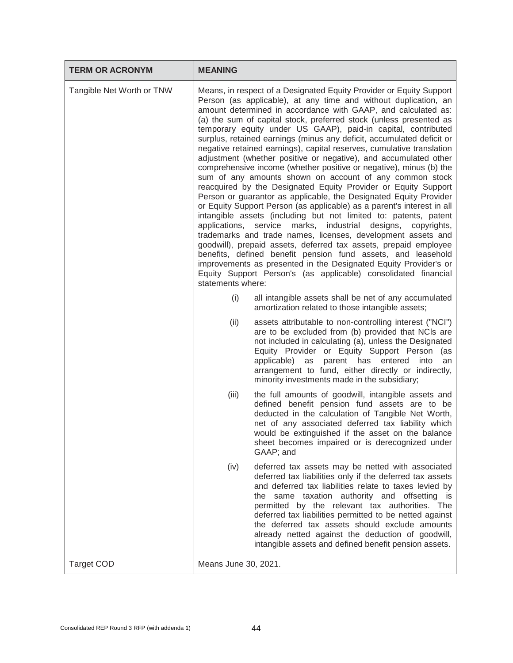| <b>TERM OR ACRONYM</b>    | <b>MEANING</b>                                                                                                                                                                                                                                                                                                                                                                                                                                                                                                                                                                                                                                                                                                                                                                                                                                                                                                                                                                                                                                                                                                                                                                                                                                                                                                                                                                                                                  |                                                                                                                                                                                                                                                                                                                                                                                                                                                                                                       |  |  |
|---------------------------|---------------------------------------------------------------------------------------------------------------------------------------------------------------------------------------------------------------------------------------------------------------------------------------------------------------------------------------------------------------------------------------------------------------------------------------------------------------------------------------------------------------------------------------------------------------------------------------------------------------------------------------------------------------------------------------------------------------------------------------------------------------------------------------------------------------------------------------------------------------------------------------------------------------------------------------------------------------------------------------------------------------------------------------------------------------------------------------------------------------------------------------------------------------------------------------------------------------------------------------------------------------------------------------------------------------------------------------------------------------------------------------------------------------------------------|-------------------------------------------------------------------------------------------------------------------------------------------------------------------------------------------------------------------------------------------------------------------------------------------------------------------------------------------------------------------------------------------------------------------------------------------------------------------------------------------------------|--|--|
| Tangible Net Worth or TNW | Means, in respect of a Designated Equity Provider or Equity Support<br>Person (as applicable), at any time and without duplication, an<br>amount determined in accordance with GAAP, and calculated as:<br>(a) the sum of capital stock, preferred stock (unless presented as<br>temporary equity under US GAAP), paid-in capital, contributed<br>surplus, retained earnings (minus any deficit, accumulated deficit or<br>negative retained earnings), capital reserves, cumulative translation<br>adjustment (whether positive or negative), and accumulated other<br>comprehensive income (whether positive or negative), minus (b) the<br>sum of any amounts shown on account of any common stock<br>reacquired by the Designated Equity Provider or Equity Support<br>Person or guarantor as applicable, the Designated Equity Provider<br>or Equity Support Person (as applicable) as a parent's interest in all<br>intangible assets (including but not limited to: patents, patent<br>applications,<br>service marks, industrial designs,<br>copyrights,<br>trademarks and trade names, licenses, development assets and<br>goodwill), prepaid assets, deferred tax assets, prepaid employee<br>benefits, defined benefit pension fund assets, and leasehold<br>improvements as presented in the Designated Equity Provider's or<br>Equity Support Person's (as applicable) consolidated financial<br>statements where: |                                                                                                                                                                                                                                                                                                                                                                                                                                                                                                       |  |  |
|                           | (i)                                                                                                                                                                                                                                                                                                                                                                                                                                                                                                                                                                                                                                                                                                                                                                                                                                                                                                                                                                                                                                                                                                                                                                                                                                                                                                                                                                                                                             | all intangible assets shall be net of any accumulated<br>amortization related to those intangible assets;                                                                                                                                                                                                                                                                                                                                                                                             |  |  |
|                           | (ii)                                                                                                                                                                                                                                                                                                                                                                                                                                                                                                                                                                                                                                                                                                                                                                                                                                                                                                                                                                                                                                                                                                                                                                                                                                                                                                                                                                                                                            | assets attributable to non-controlling interest ("NCI")<br>are to be excluded from (b) provided that NCIs are<br>not included in calculating (a), unless the Designated<br>Equity Provider or Equity Support Person (as<br>applicable)<br>as<br>parent has<br>entered<br>into<br>an<br>arrangement to fund, either directly or indirectly,<br>minority investments made in the subsidiary;                                                                                                            |  |  |
|                           | (iii)                                                                                                                                                                                                                                                                                                                                                                                                                                                                                                                                                                                                                                                                                                                                                                                                                                                                                                                                                                                                                                                                                                                                                                                                                                                                                                                                                                                                                           | the full amounts of goodwill, intangible assets and<br>defined benefit pension fund assets are to be<br>deducted in the calculation of Tangible Net Worth,<br>net of any associated deferred tax liability which<br>would be extinguished if the asset on the balance<br>sheet becomes impaired or is derecognized under<br>GAAP; and                                                                                                                                                                 |  |  |
|                           | (iv)                                                                                                                                                                                                                                                                                                                                                                                                                                                                                                                                                                                                                                                                                                                                                                                                                                                                                                                                                                                                                                                                                                                                                                                                                                                                                                                                                                                                                            | deferred tax assets may be netted with associated<br>deferred tax liabilities only if the deferred tax assets<br>and deferred tax liabilities relate to taxes levied by<br>the same taxation authority and offsetting is<br>permitted by the relevant tax authorities. The<br>deferred tax liabilities permitted to be netted against<br>the deferred tax assets should exclude amounts<br>already netted against the deduction of goodwill,<br>intangible assets and defined benefit pension assets. |  |  |
| <b>Target COD</b>         | Means June 30, 2021.                                                                                                                                                                                                                                                                                                                                                                                                                                                                                                                                                                                                                                                                                                                                                                                                                                                                                                                                                                                                                                                                                                                                                                                                                                                                                                                                                                                                            |                                                                                                                                                                                                                                                                                                                                                                                                                                                                                                       |  |  |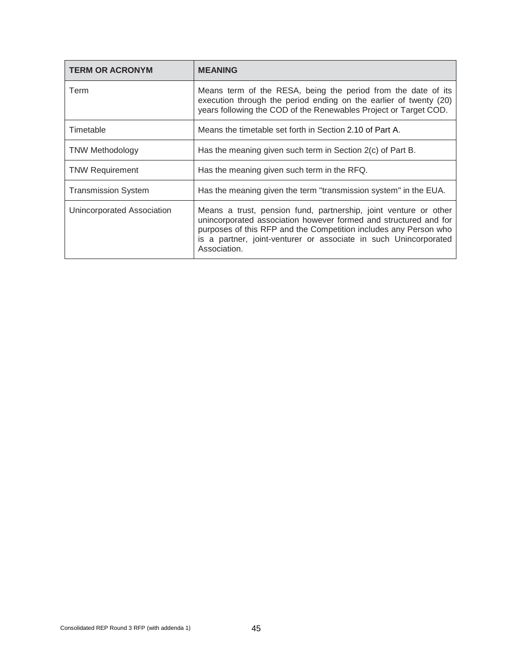| <b>TERM OR ACRONYM</b>     | <b>MEANING</b>                                                                                                                                                                                                                                                                               |
|----------------------------|----------------------------------------------------------------------------------------------------------------------------------------------------------------------------------------------------------------------------------------------------------------------------------------------|
| Term                       | Means term of the RESA, being the period from the date of its<br>execution through the period ending on the earlier of twenty (20)<br>years following the COD of the Renewables Project or Target COD.                                                                                       |
| Timetable                  | Means the timetable set forth in Section 2.10 of Part A.                                                                                                                                                                                                                                     |
| <b>TNW Methodology</b>     | Has the meaning given such term in Section 2(c) of Part B.                                                                                                                                                                                                                                   |
| <b>TNW Requirement</b>     | Has the meaning given such term in the RFQ.                                                                                                                                                                                                                                                  |
| <b>Transmission System</b> | Has the meaning given the term "transmission system" in the EUA.                                                                                                                                                                                                                             |
| Unincorporated Association | Means a trust, pension fund, partnership, joint venture or other<br>unincorporated association however formed and structured and for<br>purposes of this RFP and the Competition includes any Person who<br>is a partner, joint-venturer or associate in such Unincorporated<br>Association. |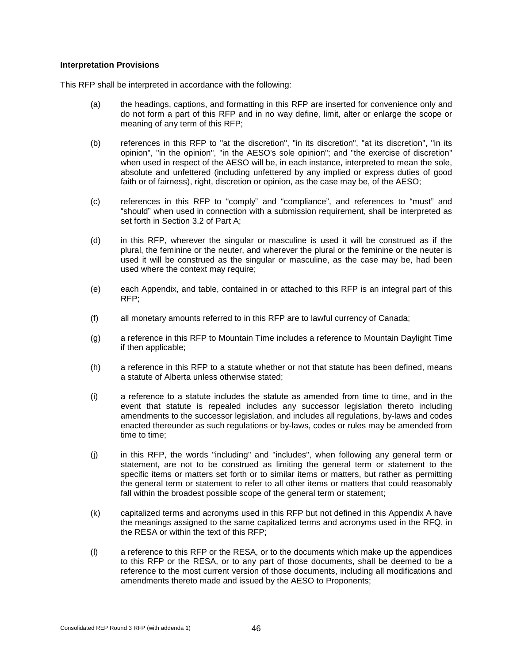#### **Interpretation Provisions**

This RFP shall be interpreted in accordance with the following:

- (a) the headings, captions, and formatting in this RFP are inserted for convenience only and do not form a part of this RFP and in no way define, limit, alter or enlarge the scope or meaning of any term of this RFP;
- (b) references in this RFP to "at the discretion", "in its discretion", "at its discretion", "in its opinion", "in the opinion", "in the AESO's sole opinion"; and "the exercise of discretion" when used in respect of the AESO will be, in each instance, interpreted to mean the sole, absolute and unfettered (including unfettered by any implied or express duties of good faith or of fairness), right, discretion or opinion, as the case may be, of the AESO;
- (c) references in this RFP to "comply" and "compliance", and references to "must" and "should" when used in connection with a submission requirement, shall be interpreted as set forth in Section 3.2 of Part A;
- (d) in this RFP, wherever the singular or masculine is used it will be construed as if the plural, the feminine or the neuter, and wherever the plural or the feminine or the neuter is used it will be construed as the singular or masculine, as the case may be, had been used where the context may require;
- (e) each Appendix, and table, contained in or attached to this RFP is an integral part of this RFP;
- (f) all monetary amounts referred to in this RFP are to lawful currency of Canada;
- (g) a reference in this RFP to Mountain Time includes a reference to Mountain Daylight Time if then applicable;
- (h) a reference in this RFP to a statute whether or not that statute has been defined, means a statute of Alberta unless otherwise stated;
- (i) a reference to а statute includes the statute as amended from time to time, and in the event that statute is repealed includes any successor legislation thereto including amendments to the successor legislation, and includes all regulations, by-laws and codes enacted thereunder as such regulations or by-laws, codes or rules may be amended from time to time;
- (j) in this RFP, the words "including" and "includes", when following any general term or statement, are not to be construed as limiting the general term or statement to the specific items or matters set forth or to similar items or matters, but rather as permitting the general term or statement to refer to all other items or matters that could reasonably fall within the broadest possible scope of the general term or statement;
- (k) capitalized terms and acronyms used in this RFP but not defined in this Appendix A have the meanings assigned to the same capitalized terms and acronyms used in the RFQ, in the RESA or within the text of this RFP;
- (l) a reference to this RFP or the RESA, or to the documents which make up the appendices to this RFP or the RESA, or to any part of those documents, shall be deemed to be a reference to the most current version of those documents, including all modifications and amendments thereto made and issued by the AESO to Proponents;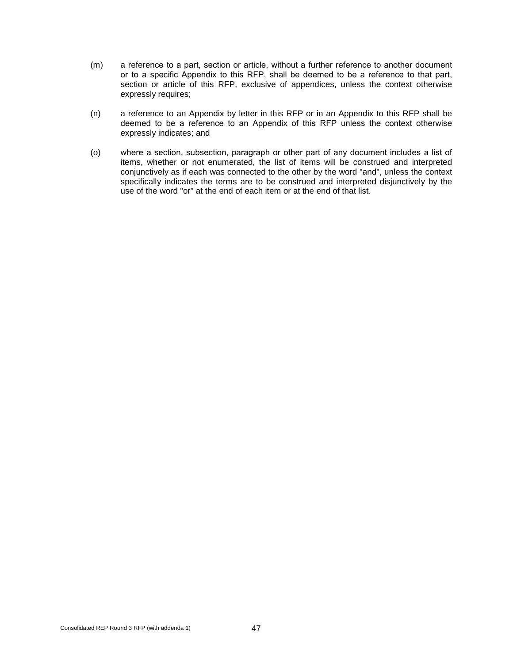- (m) a reference to а part, section or article, without а further reference to another document or to а specific Appendix to this RFP, shall be deemed to be a reference to that part, section or article of this RFP, exclusive of appendices, unless the context otherwise expressly requires;
- (n) a reference to an Appendix by letter in this RFP or in an Appendix to this RFP shall be deemed to be а reference to an Appendix of this RFP unless the context otherwise expressly indicates; and
- (o) where а section, subsection, paragraph or other part of any document includes а list of items, whether or not enumerated, the list of items will be construed and interpreted conjunctively as if each was connected to the other by the word "and", unless the context specifically indicates the terms are to be construed and interpreted disjunctively by the use of the word "or" at the end of each item or at the end of that list.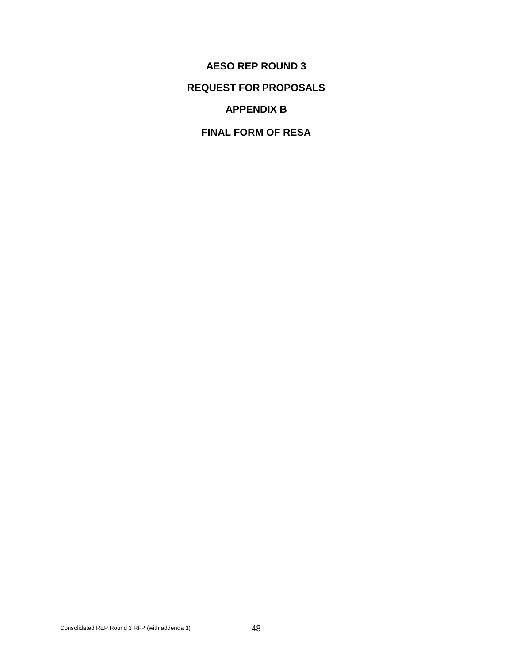**AESO REP ROUND 3 REQUEST FOR PROPOSALS APPENDIX B**

**FINAL FORM OF RESA**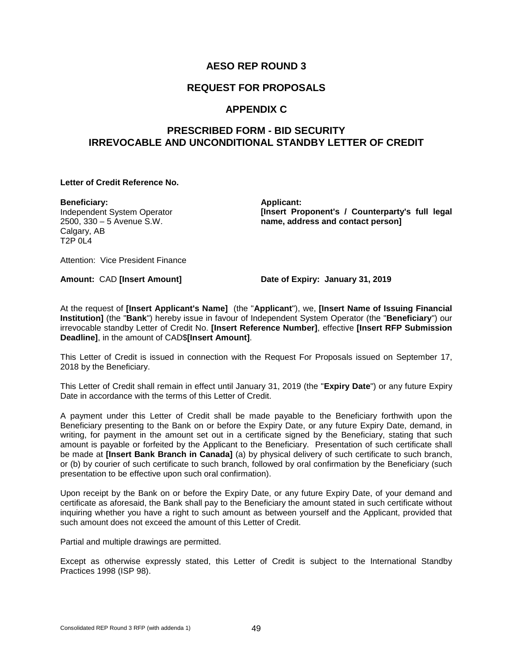### **REQUEST FOR PROPOSALS**

### **APPENDIX C**

# **PRESCRIBED FORM - BID SECURITY IRREVOCABLE AND UNCONDITIONAL STANDBY LETTER OF CREDIT**

#### **Letter of Credit Reference No.**

**Beneficiary:** Independent System Operator 2500, 330 – 5 Avenue S.W. Calgary, AB  $T2P 0L4$ 

**Applicant: [Insert Proponent's / Counterparty's full legal name, address and contact person]**

Attention: Vice President Finance

**Amount:** CAD **[Insert Amount] Date of Expiry: January 31, 2019**

At the request of **[Insert Applicant's Name]** (the "**Applicant**"), we, **[Insert Name of Issuing Financial Institution]** (the "**Bank**") hereby issue in favour of Independent System Operator (the "**Beneficiary**") our irrevocable standby Letter of Credit No. **[Insert Reference Number]**, effective **[Insert RFP Submission Deadline]**, in the amount of CAD\$**[Insert Amount]**.

This Letter of Credit is issued in connection with the Request For Proposals issued on September 17, 2018 by the Beneficiary.

This Letter of Credit shall remain in effect until January 31, 2019 (the "**Expiry Date**") or any future Expiry Date in accordance with the terms of this Letter of Credit.

A payment under this Letter of Credit shall be made payable to the Beneficiary forthwith upon the Beneficiary presenting to the Bank on or before the Expiry Date, or any future Expiry Date, demand, in writing, for payment in the amount set out in a certificate signed by the Beneficiary, stating that such amount is payable or forfeited by the Applicant to the Beneficiary. Presentation of such certificate shall be made at **[Insert Bank Branch in Canada]** (a) by physical delivery of such certificate to such branch, or (b) by courier of such certificate to such branch, followed by oral confirmation by the Beneficiary (such presentation to be effective upon such oral confirmation).

Upon receipt by the Bank on or before the Expiry Date, or any future Expiry Date, of your demand and certificate as aforesaid, the Bank shall pay to the Beneficiary the amount stated in such certificate without inquiring whether you have a right to such amount as between yourself and the Applicant, provided that such amount does not exceed the amount of this Letter of Credit.

Partial and multiple drawings are permitted.

Except as otherwise expressly stated, this Letter of Credit is subject to the International Standby Practices 1998 (ISP 98).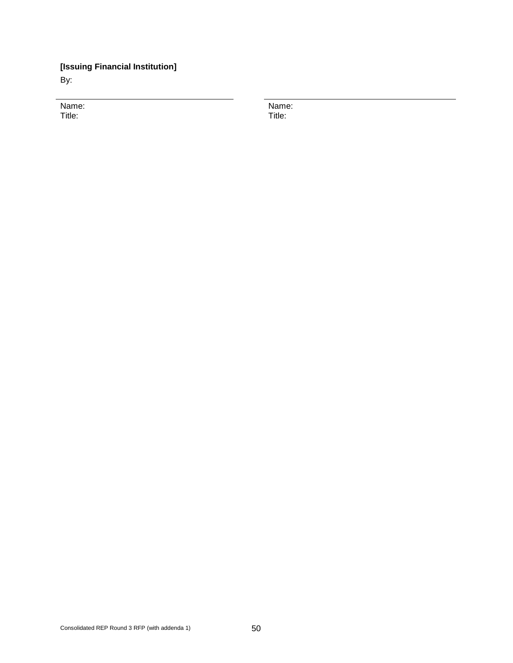# **[Issuing Financial Institution]**

By:

Name: Title:

Name: Title: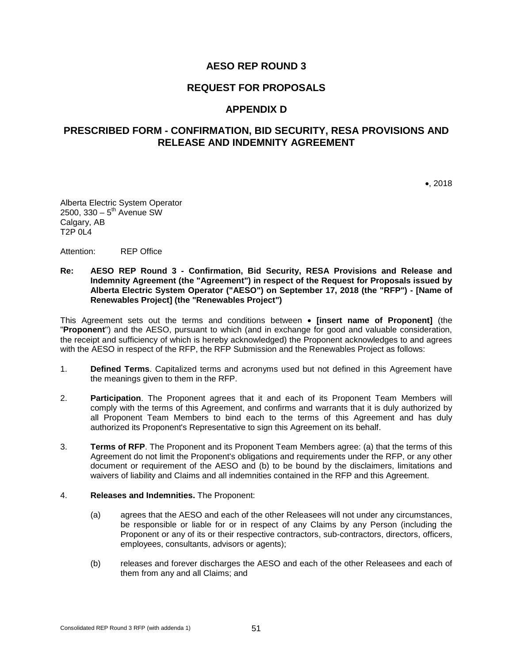### **REQUEST FOR PROPOSALS**

### **APPENDIX D**

### **PRESCRIBED FORM - CONFIRMATION, BID SECURITY, RESA PROVISIONS AND RELEASE AND INDEMNITY AGREEMENT**

•, 2018

Alberta Electric System Operator 2500, 330 –  $5^{th}$  Avenue SW Calgary, AB T2P 0L4

Attention: REP Office

#### **Re: AESO REP Round 3 - Confirmation, Bid Security, RESA Provisions and Release and Indemnity Agreement (the "Agreement") in respect of the Request for Proposals issued by Alberta Electric System Operator ("AESO") on September 17, 2018 (the "RFP") - [Name of Renewables Project] (the "Renewables Project")**

This Agreement sets out the terms and conditions between • **[insert name of Proponent]** (the "**Proponent**") and the AESO, pursuant to which (and in exchange for good and valuable consideration, the receipt and sufficiency of which is hereby acknowledged) the Proponent acknowledges to and agrees with the AESO in respect of the RFP, the RFP Submission and the Renewables Project as follows:

- 1. **Defined Terms**. Capitalized terms and acronyms used but not defined in this Agreement have the meanings given to them in the RFP.
- 2. **Participation**. The Proponent agrees that it and each of its Proponent Team Members will comply with the terms of this Agreement, and confirms and warrants that it is duly authorized by all Proponent Team Members to bind each to the terms of this Agreement and has duly authorized its Proponent's Representative to sign this Agreement on its behalf.
- 3. **Terms of RFP**. The Proponent and its Proponent Team Members agree: (a) that the terms of this Agreement do not limit the Proponent's obligations and requirements under the RFP, or any other document or requirement of the AESO and (b) to be bound by the disclaimers, limitations and waivers of liability and Claims and all indemnities contained in the RFP and this Agreement.
- 4. **Releases and Indemnities.** The Proponent:
	- (a) agrees that the AESO and each of the other Releasees will not under any circumstances, be responsible or liable for or in respect of any Claims by any Person (including the Proponent or any of its or their respective contractors, sub-contractors, directors, officers, employees, consultants, advisors or agents);
	- (b) releases and forever discharges the AESO and each of the other Releasees and each of them from any and all Claims; and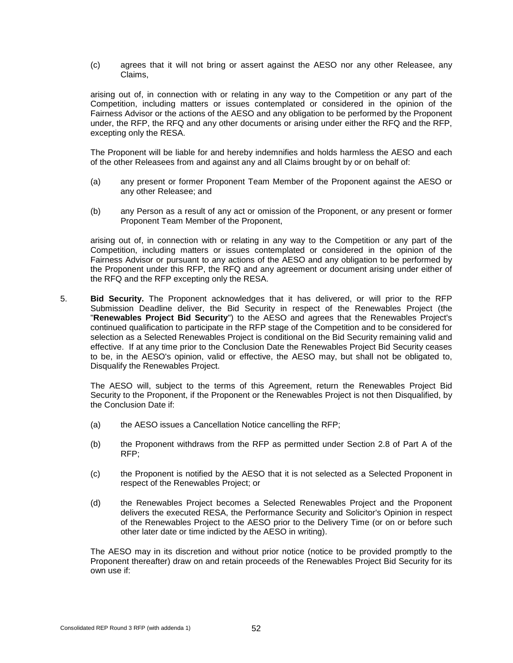(c) agrees that it will not bring or assert against the AESO nor any other Releasee, any Claims,

arising out of, in connection with or relating in any way to the Competition or any part of the Competition, including matters or issues contemplated or considered in the opinion of the Fairness Advisor or the actions of the AESO and any obligation to be performed by the Proponent under, the RFP, the RFQ and any other documents or arising under either the RFQ and the RFP, excepting only the RESA.

The Proponent will be liable for and hereby indemnifies and holds harmless the AESO and each of the other Releasees from and against any and all Claims brought by or on behalf of:

- (a) any present or former Proponent Team Member of the Proponent against the AESO or any other Releasee; and
- (b) any Person as a result of any act or omission of the Proponent, or any present or former Proponent Team Member of the Proponent,

arising out of, in connection with or relating in any way to the Competition or any part of the Competition, including matters or issues contemplated or considered in the opinion of the Fairness Advisor or pursuant to any actions of the AESO and any obligation to be performed by the Proponent under this RFP, the RFQ and any agreement or document arising under either of the RFQ and the RFP excepting only the RESA.

5. **Bid Security.** The Proponent acknowledges that it has delivered, or will prior to the RFP Submission Deadline deliver, the Bid Security in respect of the Renewables Project (the "**Renewables Project Bid Security**") to the AESO and agrees that the Renewables Project's continued qualification to participate in the RFP stage of the Competition and to be considered for selection as a Selected Renewables Project is conditional on the Bid Security remaining valid and effective. If at any time prior to the Conclusion Date the Renewables Project Bid Security ceases to be, in the AESO's opinion, valid or effective, the AESO may, but shall not be obligated to, Disqualify the Renewables Project.

The AESO will, subject to the terms of this Agreement, return the Renewables Project Bid Security to the Proponent, if the Proponent or the Renewables Project is not then Disqualified, by the Conclusion Date if:

- (a) the AESO issues a Cancellation Notice cancelling the RFP;
- (b) the Proponent withdraws from the RFP as permitted under Section 2.8 of Part A of the RFP;
- (c) the Proponent is notified by the AESO that it is not selected as a Selected Proponent in respect of the Renewables Project; or
- (d) the Renewables Project becomes a Selected Renewables Project and the Proponent delivers the executed RESA, the Performance Security and Solicitor's Opinion in respect of the Renewables Project to the AESO prior to the Delivery Time (or on or before such other later date or time indicted by the AESO in writing).

The AESO may in its discretion and without prior notice (notice to be provided promptly to the Proponent thereafter) draw on and retain proceeds of the Renewables Project Bid Security for its own use if: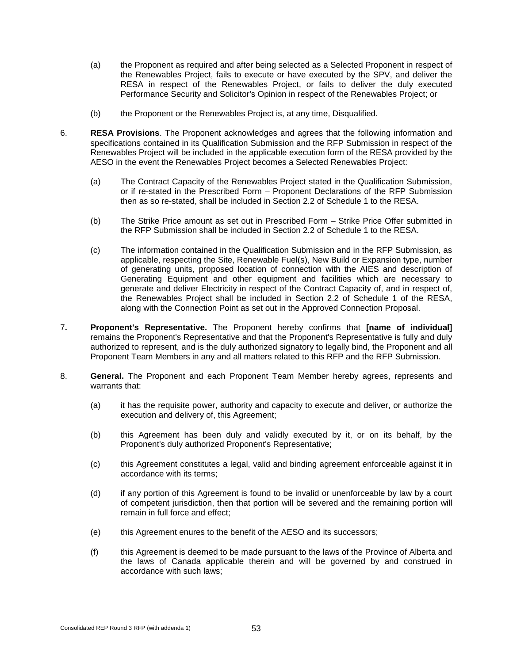- (a) the Proponent as required and after being selected as a Selected Proponent in respect of the Renewables Project, fails to execute or have executed by the SPV, and deliver the RESA in respect of the Renewables Project, or fails to deliver the duly executed Performance Security and Solicitor's Opinion in respect of the Renewables Project; or
- (b) the Proponent or the Renewables Project is, at any time, Disqualified.
- 6. **RESA Provisions**. The Proponent acknowledges and agrees that the following information and specifications contained in its Qualification Submission and the RFP Submission in respect of the Renewables Project will be included in the applicable execution form of the RESA provided by the AESO in the event the Renewables Project becomes a Selected Renewables Project:
	- (a) The Contract Capacity of the Renewables Project stated in the Qualification Submission, or if re-stated in the Prescribed Form – Proponent Declarations of the RFP Submission then as so re-stated, shall be included in Section 2.2 of Schedule 1 to the RESA.
	- (b) The Strike Price amount as set out in Prescribed Form Strike Price Offer submitted in the RFP Submission shall be included in Section 2.2 of Schedule 1 to the RESA.
	- (c) The information contained in the Qualification Submission and in the RFP Submission, as applicable, respecting the Site, Renewable Fuel(s), New Build or Expansion type, number of generating units, proposed location of connection with the AIES and description of Generating Equipment and other equipment and facilities which are necessary to generate and deliver Electricity in respect of the Contract Capacity of, and in respect of, the Renewables Project shall be included in Section 2.2 of Schedule 1 of the RESA, along with the Connection Point as set out in the Approved Connection Proposal.
- 7**. Proponent's Representative.** The Proponent hereby confirms that **[name of individual]** remains the Proponent's Representative and that the Proponent's Representative is fully and duly authorized to represent, and is the duly authorized signatory to legally bind, the Proponent and all Proponent Team Members in any and all matters related to this RFP and the RFP Submission.
- 8. **General.** The Proponent and each Proponent Team Member hereby agrees, represents and warrants that:
	- (a) it has the requisite power, authority and capacity to execute and deliver, or authorize the execution and delivery of, this Agreement;
	- (b) this Agreement has been duly and validly executed by it, or on its behalf, by the Proponent's duly authorized Proponent's Representative;
	- (c) this Agreement constitutes a legal, valid and binding agreement enforceable against it in accordance with its terms;
	- (d) if any portion of this Agreement is found to be invalid or unenforceable by law by a court of competent jurisdiction, then that portion will be severed and the remaining portion will remain in full force and effect;
	- (e) this Agreement enures to the benefit of the AESO and its successors;
	- (f) this Agreement is deemed to be made pursuant to the laws of the Province of Alberta and the laws of Canada applicable therein and will be governed by and construed in accordance with such laws;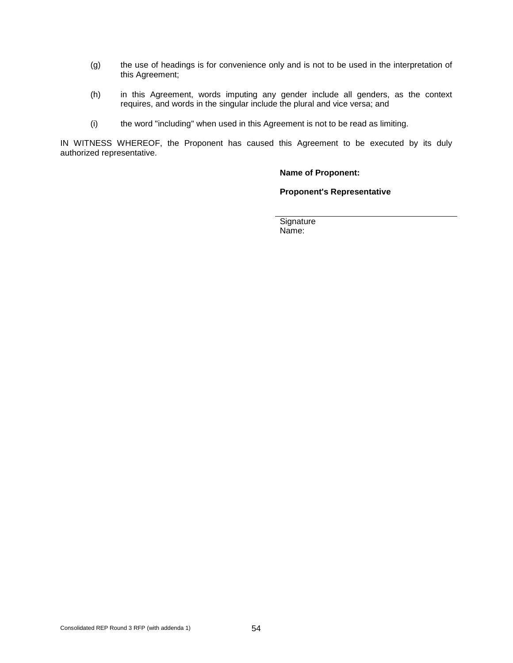- (g) the use of headings is for convenience only and is not to be used in the interpretation of this Agreement;
- (h) in this Agreement, words imputing any gender include all genders, as the context requires, and words in the singular include the plural and vice versa; and
- (i) the word "including" when used in this Agreement is not to be read as limiting.

IN WITNESS WHEREOF, the Proponent has caused this Agreement to be executed by its duly authorized representative.

#### **Name of Proponent:**

**Proponent's Representative**

**Signature** Name: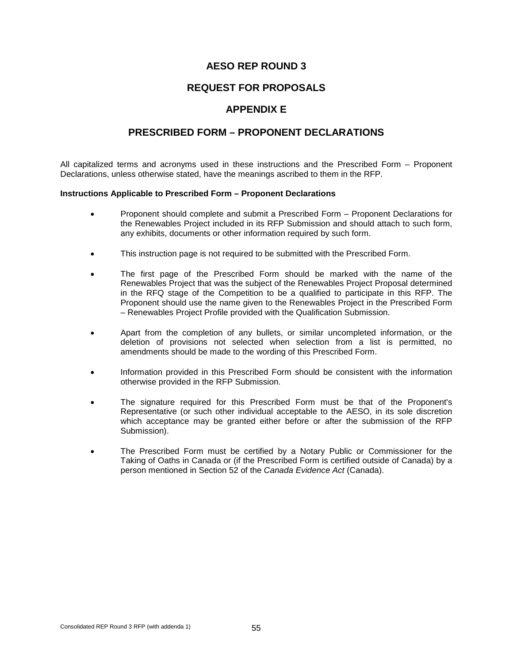### **REQUEST FOR PROPOSALS**

### **APPENDIX E**

### **PRESCRIBED FORM – PROPONENT DECLARATIONS**

All capitalized terms and acronyms used in these instructions and the Prescribed Form – Proponent Declarations, unless otherwise stated, have the meanings ascribed to them in the RFP.

#### **Instructions Applicable to Prescribed Form – Proponent Declarations**

- Proponent should complete and submit a Prescribed Form Proponent Declarations for the Renewables Project included in its RFP Submission and should attach to such form, any exhibits, documents or other information required by such form.
- This instruction page is not required to be submitted with the Prescribed Form.
- The first page of the Prescribed Form should be marked with the name of the Renewables Project that was the subject of the Renewables Project Proposal determined in the RFQ stage of the Competition to be a qualified to participate in this RFP. The Proponent should use the name given to the Renewables Project in the Prescribed Form – Renewables Project Profile provided with the Qualification Submission.
- Apart from the completion of any bullets, or similar uncompleted information, or the deletion of provisions not selected when selection from a list is permitted, no amendments should be made to the wording of this Prescribed Form.
- Information provided in this Prescribed Form should be consistent with the information otherwise provided in the RFP Submission.
- The signature required for this Prescribed Form must be that of the Proponent's Representative (or such other individual acceptable to the AESO, in its sole discretion which acceptance may be granted either before or after the submission of the RFP Submission).
- The Prescribed Form must be certified by a Notary Public or Commissioner for the Taking of Oaths in Canada or (if the Prescribed Form is certified outside of Canada) by a person mentioned in Section 52 of the *Canada Evidence Act* (Canada).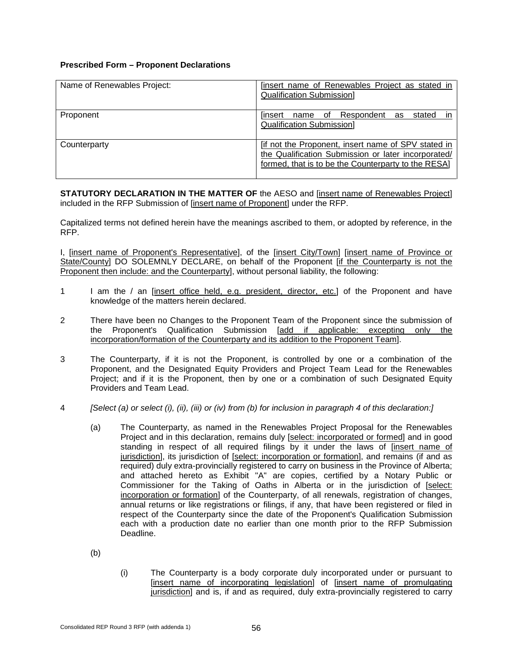### **Prescribed Form – Proponent Declarations**

| Name of Renewables Project: | <u>Sinsert name of Renewables Project as stated in</u><br><b>Qualification Submission]</b>                                                                        |  |  |
|-----------------------------|-------------------------------------------------------------------------------------------------------------------------------------------------------------------|--|--|
| Proponent                   | name of Respondent<br>stated<br>linsert<br>as<br><b>Qualification Submission]</b>                                                                                 |  |  |
| Counterparty                | Tif not the Proponent, insert name of SPV stated in<br>the Qualification Submission or later incorporated/<br>formed, that is to be the Counterparty to the RESA] |  |  |

**STATUTORY DECLARATION IN THE MATTER OF** the AESO and [insert name of Renewables Project] included in the RFP Submission of [insert name of Proponent] under the RFP.

Capitalized terms not defined herein have the meanings ascribed to them, or adopted by reference, in the RFP.

I, [insert name of Proponent's Representative], of the [insert City/Town] [insert name of Province or State/County] DO SOLEMNLY DECLARE, on behalf of the Proponent [if the Counterparty is not the Proponent then include: and the Counterparty], without personal liability, the following:

- 1 I am the / an [insert office held, e.g. president, director, etc.] of the Proponent and have knowledge of the matters herein declared.
- 2 There have been no Changes to the Proponent Team of the Proponent since the submission of the Proponent's Qualification Submission [add if applicable: excepting only the incorporation/formation of the Counterparty and its addition to the Proponent Team].
- 3 The Counterparty, if it is not the Proponent, is controlled by one or a combination of the Proponent, and the Designated Equity Providers and Project Team Lead for the Renewables Project; and if it is the Proponent, then by one or a combination of such Designated Equity Providers and Team Lead.
- 4 *[Select (a) or select (i), (ii), (iii) or (iv) from (b) for inclusion in paragraph 4 of this declaration:]*
	- (a) The Counterparty, as named in the Renewables Project Proposal for the Renewables Project and in this declaration, remains duly [select: incorporated or formed] and in good standing in respect of all required filings by it under the laws of [insert name of jurisdiction], its jurisdiction of [select: incorporation or formation], and remains (if and as required) duly extra-provincially registered to carry on business in the Province of Alberta; and attached hereto as Exhibit "A" are copies, certified by a Notary Public or Commissioner for the Taking of Oaths in Alberta or in the jurisdiction of [select: incorporation or formation] of the Counterparty, of all renewals, registration of changes, annual returns or like registrations or filings, if any, that have been registered or filed in respect of the Counterparty since the date of the Proponent's Qualification Submission each with a production date no earlier than one month prior to the RFP Submission Deadline.
	- (b)
- (i) The Counterparty is a body corporate duly incorporated under or pursuant to [insert name of incorporating legislation] of [insert name of promulgating jurisdiction] and is, if and as required, duly extra-provincially registered to carry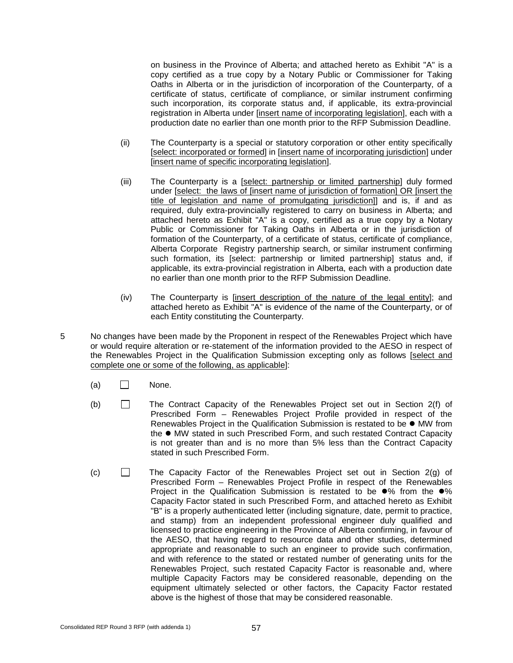on business in the Province of Alberta; and attached hereto as Exhibit "A" is a copy certified as a true copy by a Notary Public or Commissioner for Taking Oaths in Alberta or in the jurisdiction of incorporation of the Counterparty, of a certificate of status, certificate of compliance, or similar instrument confirming such incorporation, its corporate status and, if applicable, its extra-provincial registration in Alberta under [insert name of incorporating legislation], each with a production date no earlier than one month prior to the RFP Submission Deadline.

- (ii) The Counterparty is a special or statutory corporation or other entity specifically [select: incorporated or formed] in [insert name of incorporating jurisdiction] under [insert name of specific incorporating legislation].
- (iii) The Counterparty is a [select: partnership or limited partnership] duly formed under [select: the laws of [insert name of jurisdiction of formation] OR [insert the title of legislation and name of promulgating jurisdiction]] and is, if and as required, duly extra-provincially registered to carry on business in Alberta; and attached hereto as Exhibit "A" is a copy, certified as a true copy by a Notary Public or Commissioner for Taking Oaths in Alberta or in the jurisdiction of formation of the Counterparty, of a certificate of status, certificate of compliance, Alberta Corporate Registry partnership search, or similar instrument confirming such formation, its [select: partnership or limited partnership] status and, if applicable, its extra-provincial registration in Alberta, each with a production date no earlier than one month prior to the RFP Submission Deadline.
- (iv) The Counterparty is [insert description of the nature of the legal entity]; and attached hereto as Exhibit "A" is evidence of the name of the Counterparty, or of each Entity constituting the Counterparty.
- 5 No changes have been made by the Proponent in respect of the Renewables Project which have or would require alteration or re-statement of the information provided to the AESO in respect of the Renewables Project in the Qualification Submission excepting only as follows [select and complete one or some of the following, as applicable]:
	- $(a)$   $\Box$  None.
	- (b) The Contract Capacity of the Renewables Project set out in Section 2(f) of Prescribed Form – Renewables Project Profile provided in respect of the Renewables Project in the Qualification Submission is restated to be  $\bullet$  MW from the ● MW stated in such Prescribed Form, and such restated Contract Capacity is not greater than and is no more than 5% less than the Contract Capacity stated in such Prescribed Form.
	- (c)  $\Box$  The Capacity Factor of the Renewables Project set out in Section 2(g) of Prescribed Form – Renewables Project Profile in respect of the Renewables Project in the Qualification Submission is restated to be  $\bullet\%$  from the  $\bullet\%$ Capacity Factor stated in such Prescribed Form, and attached hereto as Exhibit "B" is a properly authenticated letter (including signature, date, permit to practice, and stamp) from an independent professional engineer duly qualified and licensed to practice engineering in the Province of Alberta confirming, in favour of the AESO, that having regard to resource data and other studies, determined appropriate and reasonable to such an engineer to provide such confirmation, and with reference to the stated or restated number of generating units for the Renewables Project, such restated Capacity Factor is reasonable and, where multiple Capacity Factors may be considered reasonable, depending on the equipment ultimately selected or other factors, the Capacity Factor restated above is the highest of those that may be considered reasonable.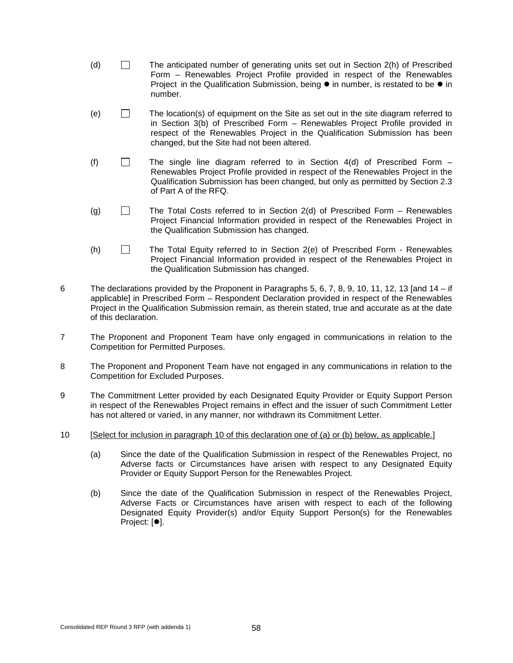- (d)  $\Box$  The anticipated number of generating units set out in Section 2(h) of Prescribed Form – Renewables Project Profile provided in respect of the Renewables Project in the Qualification Submission, being  $\bullet$  in number, is restated to be  $\bullet$  in number.
- $(e)$  The location(s) of equipment on the Site as set out in the site diagram referred to in Section 3(b) of Prescribed Form – Renewables Project Profile provided in respect of the Renewables Project in the Qualification Submission has been changed, but the Site had not been altered.
- (f)  $\Box$  The single line diagram referred to in Section 4(d) of Prescribed Form Renewables Project Profile provided in respect of the Renewables Project in the Qualification Submission has been changed, but only as permitted by Section 2.3 of Part A of the RFQ.
- (g)  $\Box$  The Total Costs referred to in Section 2(d) of Prescribed Form Renewables Project Financial Information provided in respect of the Renewables Project in the Qualification Submission has changed.
- (h) The Total Equity referred to in Section 2(e) of Prescribed Form Renewables Project Financial Information provided in respect of the Renewables Project in the Qualification Submission has changed.
- 6 The declarations provided by the Proponent in Paragraphs 5, 6, 7, 8, 9, 10, 11, 12, 13 [and 14 if applicable] in Prescribed Form – Respondent Declaration provided in respect of the Renewables Project in the Qualification Submission remain, as therein stated, true and accurate as at the date of this declaration.
- 7 The Proponent and Proponent Team have only engaged in communications in relation to the Competition for Permitted Purposes.
- 8 The Proponent and Proponent Team have not engaged in any communications in relation to the Competition for Excluded Purposes.
- 9 The Commitment Letter provided by each Designated Equity Provider or Equity Support Person in respect of the Renewables Project remains in effect and the issuer of such Commitment Letter has not altered or varied, in any manner, nor withdrawn its Commitment Letter.
- 10 [Select for inclusion in paragraph 10 of this declaration one of (a) or (b) below, as applicable.]
	- (a) Since the date of the Qualification Submission in respect of the Renewables Project, no Adverse facts or Circumstances have arisen with respect to any Designated Equity Provider or Equity Support Person for the Renewables Project.
	- (b) Since the date of the Qualification Submission in respect of the Renewables Project, Adverse Facts or Circumstances have arisen with respect to each of the following Designated Equity Provider(s) and/or Equity Support Person(s) for the Renewables Project: [<sup>0</sup>].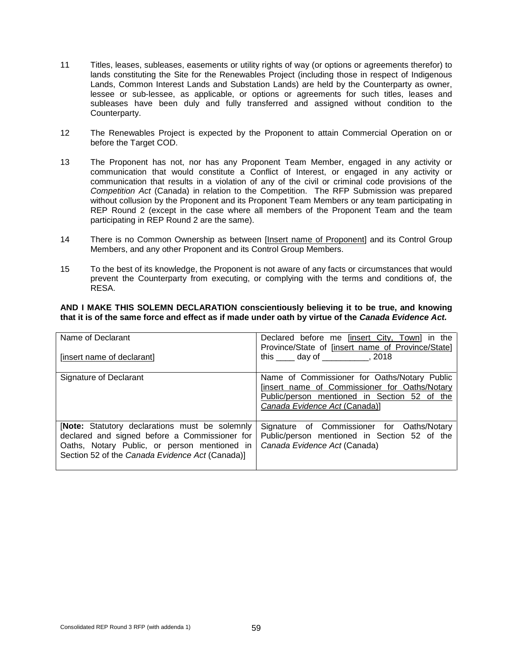- 11 Titles, leases, subleases, easements or utility rights of way (or options or agreements therefor) to lands constituting the Site for the Renewables Project (including those in respect of Indigenous Lands, Common Interest Lands and Substation Lands) are held by the Counterparty as owner, lessee or sub-lessee, as applicable, or options or agreements for such titles, leases and subleases have been duly and fully transferred and assigned without condition to the Counterparty.
- 12 The Renewables Project is expected by the Proponent to attain Commercial Operation on or before the Target COD.
- 13 The Proponent has not, nor has any Proponent Team Member, engaged in any activity or communication that would constitute a Conflict of Interest, or engaged in any activity or communication that results in a violation of any of the civil or criminal code provisions of the *Competition Act* (Canada) in relation to the Competition. The RFP Submission was prepared without collusion by the Proponent and its Proponent Team Members or any team participating in REP Round 2 (except in the case where all members of the Proponent Team and the team participating in REP Round 2 are the same).
- 14 There is no Common Ownership as between [Insert name of Proponent] and its Control Group Members, and any other Proponent and its Control Group Members.
- 15 To the best of its knowledge, the Proponent is not aware of any facts or circumstances that would prevent the Counterparty from executing, or complying with the terms and conditions of, the RESA.

#### **AND I MAKE THIS SOLEMN DECLARATION conscientiously believing it to be true, and knowing that it is of the same force and effect as if made under oath by virtue of the** *Canada Evidence Act.*

| Name of Declarant<br>[insert name of declarant]                                                                                                                                                    | Declared before me finsert City, Town in the<br>Province/State of [insert name of Province/State]<br>this ______ day of ____________, 2018                                     |
|----------------------------------------------------------------------------------------------------------------------------------------------------------------------------------------------------|--------------------------------------------------------------------------------------------------------------------------------------------------------------------------------|
| Signature of Declarant                                                                                                                                                                             | Name of Commissioner for Oaths/Notary Public<br>finsert name of Commissioner for Oaths/Notary<br>Public/person mentioned in Section 52 of the<br>Canada Evidence Act (Canada)] |
| [Note: Statutory declarations must be solemnly<br>declared and signed before a Commissioner for<br>Oaths, Notary Public, or person mentioned in<br>Section 52 of the Canada Evidence Act (Canada)] | Signature of Commissioner for Oaths/Notary<br>Public/person mentioned in Section 52 of the<br>Canada Evidence Act (Canada)                                                     |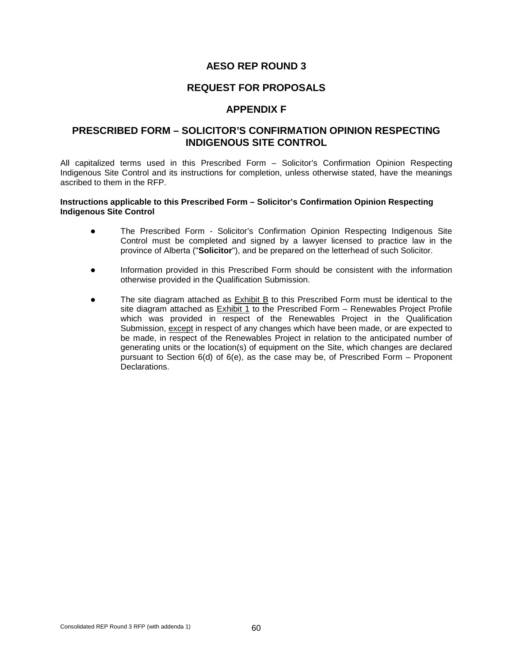### **REQUEST FOR PROPOSALS**

### **APPENDIX F**

### **PRESCRIBED FORM – SOLICITOR'S CONFIRMATION OPINION RESPECTING INDIGENOUS SITE CONTROL**

All capitalized terms used in this Prescribed Form – Solicitor's Confirmation Opinion Respecting Indigenous Site Control and its instructions for completion, unless otherwise stated, have the meanings ascribed to them in the RFP.

#### **Instructions applicable to this Prescribed Form – Solicitor's Confirmation Opinion Respecting Indigenous Site Control**

- The Prescribed Form Solicitor's Confirmation Opinion Respecting Indigenous Site Control must be completed and signed by a lawyer licensed to practice law in the province of Alberta ("**Solicitor**"), and be prepared on the letterhead of such Solicitor.
- Information provided in this Prescribed Form should be consistent with the information otherwise provided in the Qualification Submission.
- The site diagram attached as **Exhibit B** to this Prescribed Form must be identical to the site diagram attached as Exhibit 1 to the Prescribed Form – Renewables Project Profile which was provided in respect of the Renewables Project in the Qualification Submission, except in respect of any changes which have been made, or are expected to be made, in respect of the Renewables Project in relation to the anticipated number of generating units or the location(s) of equipment on the Site, which changes are declared pursuant to Section 6(d) of 6(e), as the case may be, of Prescribed Form – Proponent Declarations.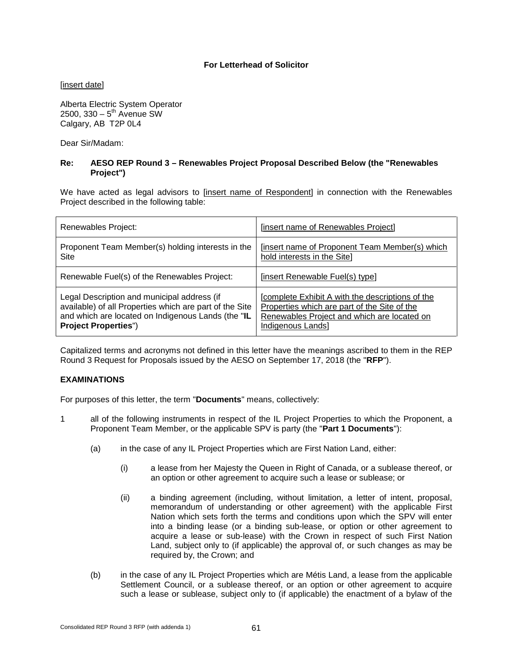#### **For Letterhead of Solicitor**

[insert date]

Alberta Electric System Operator 2500,  $330 - 5^{th}$  Avenue SW Calgary, AB T2P 0L4

Dear Sir/Madam:

#### **Re: AESO REP Round 3 – Renewables Project Proposal Described Below (the "Renewables Project")**

We have acted as legal advisors to [insert name of Respondent] in connection with the Renewables Project described in the following table:

| Renewables Project:                                     | [insert name of Renewables Project]              |  |  |
|---------------------------------------------------------|--------------------------------------------------|--|--|
| Proponent Team Member(s) holding interests in the       | [insert name of Proponent Team Member(s) which   |  |  |
| Site                                                    | hold interests in the Site]                      |  |  |
| Renewable Fuel(s) of the Renewables Project:            | [insert Renewable Fuel(s) type]                  |  |  |
| Legal Description and municipal address (if             | [complete Exhibit A with the descriptions of the |  |  |
| available) of all Properties which are part of the Site | Properties which are part of the Site of the     |  |  |
| and which are located on Indigenous Lands (the "IL      | Renewables Project and which are located on      |  |  |
| <b>Project Properties")</b>                             | Indigenous Lands]                                |  |  |

Capitalized terms and acronyms not defined in this letter have the meanings ascribed to them in the REP Round 3 Request for Proposals issued by the AESO on September 17, 2018 (the "**RFP**").

#### **EXAMINATIONS**

For purposes of this letter, the term "**Documents**" means, collectively:

- 1 all of the following instruments in respect of the IL Project Properties to which the Proponent, a Proponent Team Member, or the applicable SPV is party (the "**Part 1 Documents**"):
	- (a) in the case of any IL Project Properties which are First Nation Land, either:
		- (i) a lease from her Majesty the Queen in Right of Canada, or a sublease thereof, or an option or other agreement to acquire such a lease or sublease; or
		- (ii) a binding agreement (including, without limitation, a letter of intent, proposal, memorandum of understanding or other agreement) with the applicable First Nation which sets forth the terms and conditions upon which the SPV will enter into a binding lease (or a binding sub-lease, or option or other agreement to acquire a lease or sub-lease) with the Crown in respect of such First Nation Land, subject only to (if applicable) the approval of, or such changes as may be required by, the Crown; and
	- (b) in the case of any IL Project Properties which are Métis Land, a lease from the applicable Settlement Council, or a sublease thereof, or an option or other agreement to acquire such a lease or sublease, subject only to (if applicable) the enactment of a bylaw of the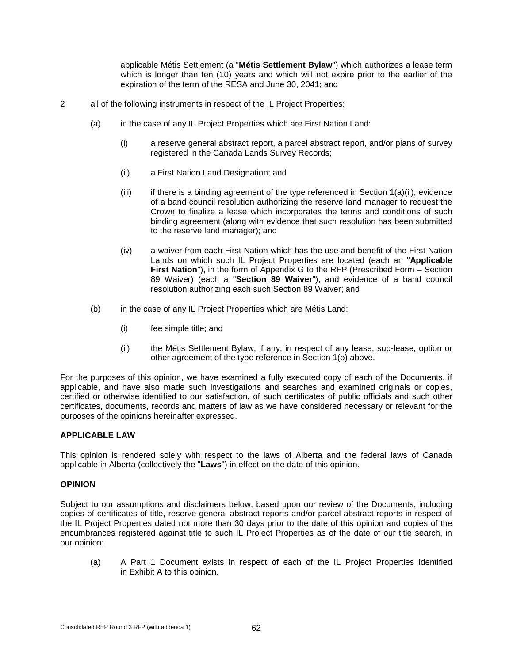applicable Métis Settlement (a "**Métis Settlement Bylaw**") which authorizes a lease term which is longer than ten (10) years and which will not expire prior to the earlier of the expiration of the term of the RESA and June 30, 2041; and

- 2 all of the following instruments in respect of the IL Project Properties:
	- (a) in the case of any IL Project Properties which are First Nation Land:
		- (i) a reserve general abstract report, a parcel abstract report, and/or plans of survey registered in the Canada Lands Survey Records;
		- (ii) a First Nation Land Designation; and
		- $(iii)$  if there is a binding agreement of the type referenced in Section 1(a)(ii), evidence of a band council resolution authorizing the reserve land manager to request the Crown to finalize a lease which incorporates the terms and conditions of such binding agreement (along with evidence that such resolution has been submitted to the reserve land manager); and
		- (iv) a waiver from each First Nation which has the use and benefit of the First Nation Lands on which such IL Project Properties are located (each an "**Applicable First Nation**"), in the form of Appendix G to the RFP (Prescribed Form – Section 89 Waiver) (each a "**Section 89 Waiver**"), and evidence of a band council resolution authorizing each such Section 89 Waiver; and
	- (b) in the case of any IL Project Properties which are Métis Land:
		- (i) fee simple title; and
		- (ii) the Métis Settlement Bylaw, if any, in respect of any lease, sub-lease, option or other agreement of the type reference in Section 1(b) above.

For the purposes of this opinion, we have examined a fully executed copy of each of the Documents, if applicable, and have also made such investigations and searches and examined originals or copies, certified or otherwise identified to our satisfaction, of such certificates of public officials and such other certificates, documents, records and matters of law as we have considered necessary or relevant for the purposes of the opinions hereinafter expressed.

#### **APPLICABLE LAW**

This opinion is rendered solely with respect to the laws of Alberta and the federal laws of Canada applicable in Alberta (collectively the "**Laws**") in effect on the date of this opinion.

#### **OPINION**

Subject to our assumptions and disclaimers below, based upon our review of the Documents, including copies of certificates of title, reserve general abstract reports and/or parcel abstract reports in respect of the IL Project Properties dated not more than 30 days prior to the date of this opinion and copies of the encumbrances registered against title to such IL Project Properties as of the date of our title search, in our opinion:

(a) A Part 1 Document exists in respect of each of the IL Project Properties identified in Exhibit A to this opinion.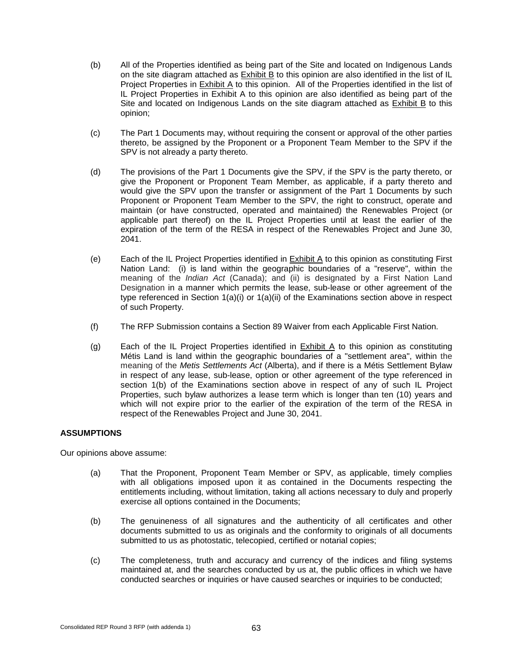- (b) All of the Properties identified as being part of the Site and located on Indigenous Lands on the site diagram attached as Exhibit B to this opinion are also identified in the list of IL Project Properties in Exhibit A to this opinion. All of the Properties identified in the list of IL Project Properties in Exhibit A to this opinion are also identified as being part of the Site and located on Indigenous Lands on the site diagram attached as Exhibit B to this opinion;
- (c) The Part 1 Documents may, without requiring the consent or approval of the other parties thereto, be assigned by the Proponent or a Proponent Team Member to the SPV if the SPV is not already a party thereto.
- (d) The provisions of the Part 1 Documents give the SPV, if the SPV is the party thereto, or give the Proponent or Proponent Team Member, as applicable, if a party thereto and would give the SPV upon the transfer or assignment of the Part 1 Documents by such Proponent or Proponent Team Member to the SPV, the right to construct, operate and maintain (or have constructed, operated and maintained) the Renewables Project (or applicable part thereof) on the IL Project Properties until at least the earlier of the expiration of the term of the RESA in respect of the Renewables Project and June 30, 2041.
- (e) Each of the IL Project Properties identified in Exhibit A to this opinion as constituting First Nation Land: (i) is land within the geographic boundaries of a "reserve", within the meaning of the *Indian Act* (Canada); and (ii) is designated by a First Nation Land Designation in a manner which permits the lease, sub-lease or other agreement of the type referenced in Section  $1(a)(i)$  or  $1(a)(ii)$  of the Examinations section above in respect of such Property.
- (f) The RFP Submission contains a Section 89 Waiver from each Applicable First Nation.
- (g) Each of the IL Project Properties identified in Exhibit A to this opinion as constituting Métis Land is land within the geographic boundaries of a "settlement area", within the meaning of the *Metis Settlements Act* (Alberta), and if there is a Métis Settlement Bylaw in respect of any lease, sub-lease, option or other agreement of the type referenced in section 1(b) of the Examinations section above in respect of any of such IL Project Properties, such bylaw authorizes a lease term which is longer than ten (10) years and which will not expire prior to the earlier of the expiration of the term of the RESA in respect of the Renewables Project and June 30, 2041.

#### **ASSUMPTIONS**

Our opinions above assume:

- (a) That the Proponent, Proponent Team Member or SPV, as applicable, timely complies with all obligations imposed upon it as contained in the Documents respecting the entitlements including, without limitation, taking all actions necessary to duly and properly exercise all options contained in the Documents;
- (b) The genuineness of all signatures and the authenticity of all certificates and other documents submitted to us as originals and the conformity to originals of all documents submitted to us as photostatic, telecopied, certified or notarial copies;
- (c) The completeness, truth and accuracy and currency of the indices and filing systems maintained at, and the searches conducted by us at, the public offices in which we have conducted searches or inquiries or have caused searches or inquiries to be conducted;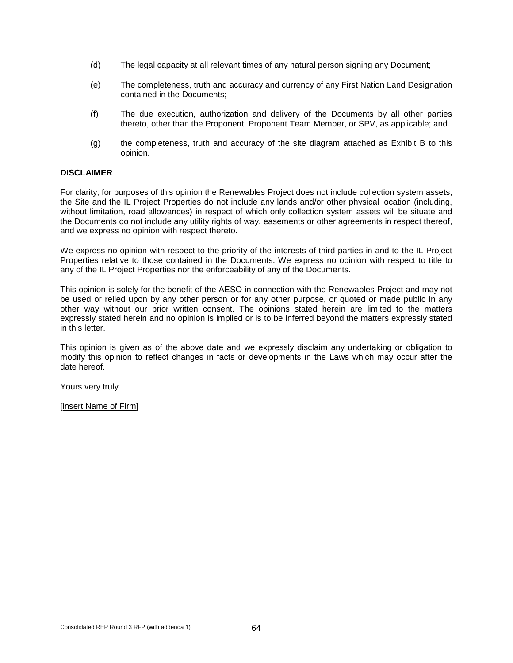- (d) The legal capacity at all relevant times of any natural person signing any Document;
- (e) The completeness, truth and accuracy and currency of any First Nation Land Designation contained in the Documents;
- (f) The due execution, authorization and delivery of the Documents by all other parties thereto, other than the Proponent, Proponent Team Member, or SPV, as applicable; and.
- (g) the completeness, truth and accuracy of the site diagram attached as Exhibit B to this opinion.

#### **DISCLAIMER**

For clarity, for purposes of this opinion the Renewables Project does not include collection system assets, the Site and the IL Project Properties do not include any lands and/or other physical location (including, without limitation, road allowances) in respect of which only collection system assets will be situate and the Documents do not include any utility rights of way, easements or other agreements in respect thereof, and we express no opinion with respect thereto.

We express no opinion with respect to the priority of the interests of third parties in and to the IL Project Properties relative to those contained in the Documents. We express no opinion with respect to title to any of the IL Project Properties nor the enforceability of any of the Documents.

This opinion is solely for the benefit of the AESO in connection with the Renewables Project and may not be used or relied upon by any other person or for any other purpose, or quoted or made public in any other way without our prior written consent. The opinions stated herein are limited to the matters expressly stated herein and no opinion is implied or is to be inferred beyond the matters expressly stated in this letter.

This opinion is given as of the above date and we expressly disclaim any undertaking or obligation to modify this opinion to reflect changes in facts or developments in the Laws which may occur after the date hereof.

Yours very truly

[insert Name of Firm]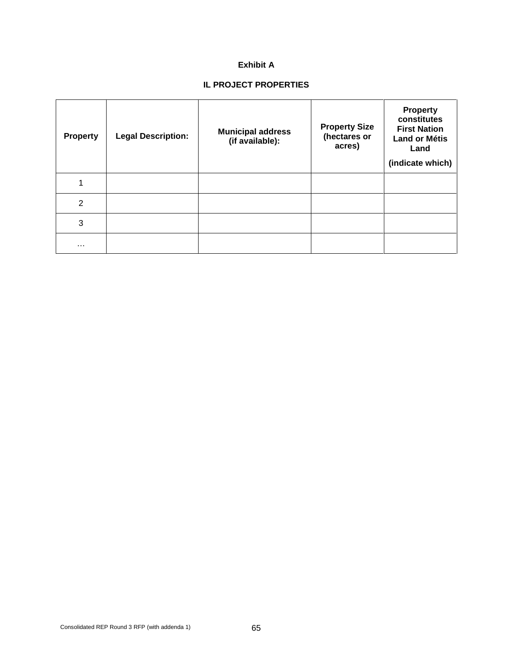#### **Exhibit A**

# **IL PROJECT PROPERTIES**

| <b>Property</b> | <b>Legal Description:</b> | <b>Municipal address</b><br>(if available): | <b>Property Size</b><br>(hectares or<br>acres) | <b>Property</b><br>constitutes<br><b>First Nation</b><br><b>Land or Métis</b><br>Land<br>(indicate which) |
|-----------------|---------------------------|---------------------------------------------|------------------------------------------------|-----------------------------------------------------------------------------------------------------------|
| 1               |                           |                                             |                                                |                                                                                                           |
| $\overline{2}$  |                           |                                             |                                                |                                                                                                           |
| 3               |                           |                                             |                                                |                                                                                                           |
| .               |                           |                                             |                                                |                                                                                                           |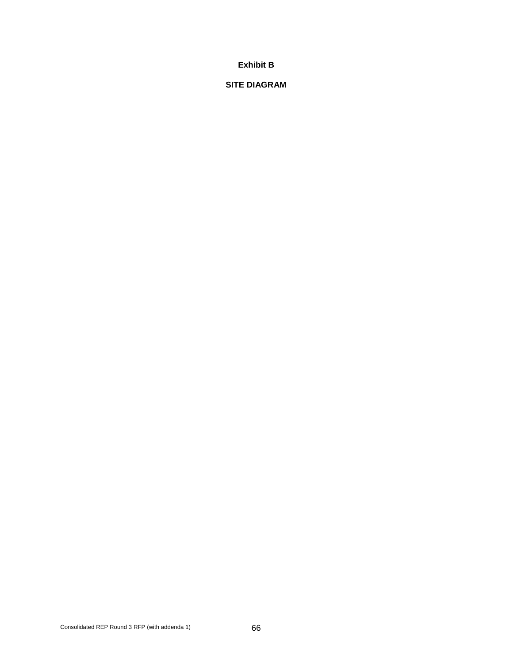### **Exhibit B**

### **SITE DIAGRAM**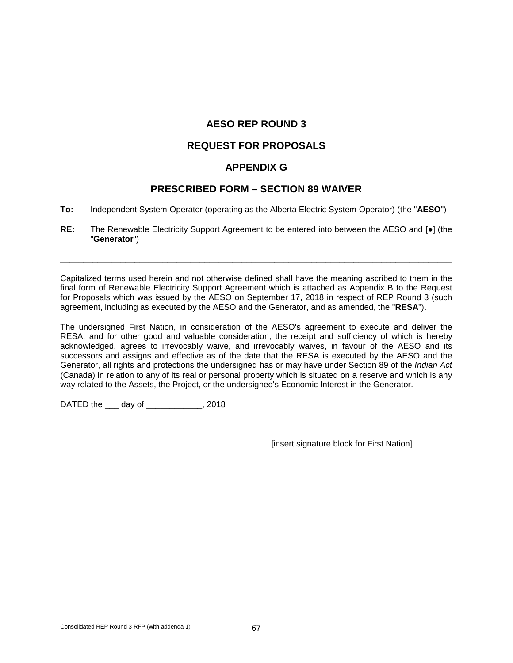# **REQUEST FOR PROPOSALS**

# **APPENDIX G**

### **PRESCRIBED FORM – SECTION 89 WAIVER**

- **To:** Independent System Operator (operating as the Alberta Electric System Operator) (the "**AESO**")
- **RE:** The Renewable Electricity Support Agreement to be entered into between the AESO and [●] (the "**Generator**")

\_\_\_\_\_\_\_\_\_\_\_\_\_\_\_\_\_\_\_\_\_\_\_\_\_\_\_\_\_\_\_\_\_\_\_\_\_\_\_\_\_\_\_\_\_\_\_\_\_\_\_\_\_\_\_\_\_\_\_\_\_\_\_\_\_\_\_\_\_\_\_\_\_\_\_\_\_\_\_\_\_\_\_\_

Capitalized terms used herein and not otherwise defined shall have the meaning ascribed to them in the final form of Renewable Electricity Support Agreement which is attached as Appendix B to the Request for Proposals which was issued by the AESO on September 17, 2018 in respect of REP Round 3 (such agreement, including as executed by the AESO and the Generator, and as amended, the "**RESA**").

The undersigned First Nation, in consideration of the AESO's agreement to execute and deliver the RESA, and for other good and valuable consideration, the receipt and sufficiency of which is hereby acknowledged, agrees to irrevocably waive, and irrevocably waives, in favour of the AESO and its successors and assigns and effective as of the date that the RESA is executed by the AESO and the Generator, all rights and protections the undersigned has or may have under Section 89 of the *Indian Act* (Canada) in relation to any of its real or personal property which is situated on a reserve and which is any way related to the Assets, the Project, or the undersigned's Economic Interest in the Generator.

DATED the \_\_\_ day of \_\_\_\_\_\_\_\_\_\_\_\_, 2018

[insert signature block for First Nation]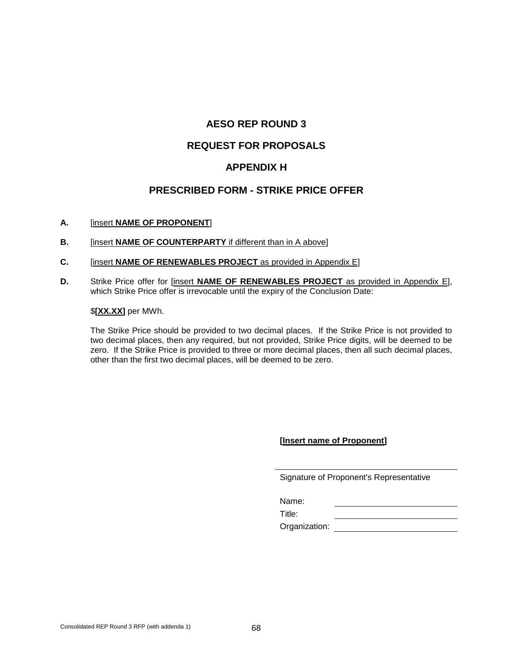## **REQUEST FOR PROPOSALS**

## **APPENDIX H**

### **PRESCRIBED FORM - STRIKE PRICE OFFER**

- **A.** [insert **NAME OF PROPONENT**]
- **B.** [insert **NAME OF COUNTERPARTY** if different than in A above]
- **C.** [insert **NAME OF RENEWABLES PROJECT** as provided in Appendix E]
- **D.** Strike Price offer for [insert **NAME OF RENEWABLES PROJECT** as provided in Appendix E], which Strike Price offer is irrevocable until the expiry of the Conclusion Date:

### \$**[XX.XX]** per MWh.

The Strike Price should be provided to two decimal places. If the Strike Price is not provided to two decimal places, then any required, but not provided, Strike Price digits, will be deemed to be zero. If the Strike Price is provided to three or more decimal places, then all such decimal places, other than the first two decimal places, will be deemed to be zero.

### **[Insert name of Proponent]**

Signature of Proponent's Representative

Name:

Title:

Organization: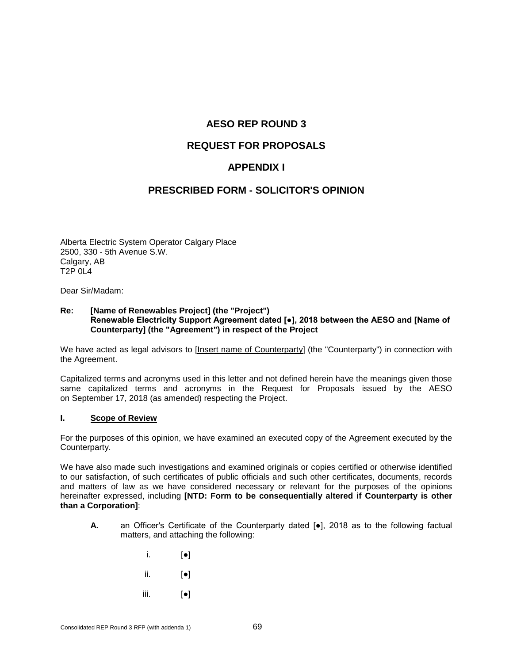# **REQUEST FOR PROPOSALS**

# **APPENDIX I**

### **PRESCRIBED FORM - SOLICITOR'S OPINION**

Alberta Electric System Operator Calgary Place 2500, 330 - 5th Avenue S.W. Calgary, AB T2P 0L4

Dear Sir/Madam:

#### **Re: [Name of Renewables Project] (the "Project") Renewable Electricity Support Agreement dated [●], 2018 between the AESO and [Name of Counterparty] (the "Agreement") in respect of the Project**

We have acted as legal advisors to [Insert name of Counterparty] (the "Counterparty") in connection with the Agreement.

Capitalized terms and acronyms used in this letter and not defined herein have the meanings given those same capitalized terms and acronyms in the Request for Proposals issued by the AESO on September 17, 2018 (as amended) respecting the Project.

### **I. Scope of Review**

For the purposes of this opinion, we have examined an executed copy of the Agreement executed by the Counterparty.

We have also made such investigations and examined originals or copies certified or otherwise identified to our satisfaction, of such certificates of public officials and such other certificates, documents, records and matters of law as we have considered necessary or relevant for the purposes of the opinions hereinafter expressed, including **[NTD: Form to be consequentially altered if Counterparty is other than a Corporation]**:

- **A.** an Officer's Certificate of the Counterparty dated [●], 2018 as to the following factual matters, and attaching the following:
	- $i.$  [ $\bullet$ ]
	- $\overline{\mathbf{i}}$ .  $\begin{bmatrix} \bullet \\ \bullet \end{bmatrix}$
	- iii.  $\lbrack \bullet \rbrack$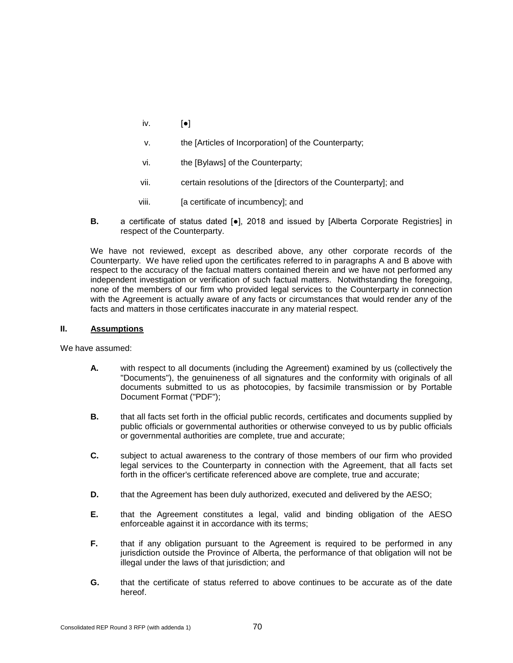- $iv.$  [ $\bullet$ ]
- v. the [Articles of Incorporation] of the Counterparty;
- vi. the [Bylaws] of the Counterparty;
- vii. certain resolutions of the [directors of the Counterparty]; and
- viii. [a certificate of incumbency]; and
- **B.** a certificate of status dated [●], 2018 and issued by [Alberta Corporate Registries] in respect of the Counterparty.

We have not reviewed, except as described above, any other corporate records of the Counterparty. We have relied upon the certificates referred to in paragraphs A and B above with respect to the accuracy of the factual matters contained therein and we have not performed any independent investigation or verification of such factual matters. Notwithstanding the foregoing, none of the members of our firm who provided legal services to the Counterparty in connection with the Agreement is actually aware of any facts or circumstances that would render any of the facts and matters in those certificates inaccurate in any material respect.

### **II. Assumptions**

We have assumed:

- **A.** with respect to all documents (including the Agreement) examined by us (collectively the "Documents"), the genuineness of all signatures and the conformity with originals of all documents submitted to us as photocopies, by facsimile transmission or by Portable Document Format ("PDF");
- **B.** that all facts set forth in the official public records, certificates and documents supplied by public officials or governmental authorities or otherwise conveyed to us by public officials or governmental authorities are complete, true and accurate;
- **C.** subject to actual awareness to the contrary of those members of our firm who provided legal services to the Counterparty in connection with the Agreement, that all facts set forth in the officer's certificate referenced above are complete, true and accurate;
- **D.** that the Agreement has been duly authorized, executed and delivered by the AESO;
- **E.** that the Agreement constitutes a legal, valid and binding obligation of the AESO enforceable against it in accordance with its terms;
- **F.** that if any obligation pursuant to the Agreement is required to be performed in any jurisdiction outside the Province of Alberta, the performance of that obligation will not be illegal under the laws of that jurisdiction; and
- **G.** that the certificate of status referred to above continues to be accurate as of the date hereof.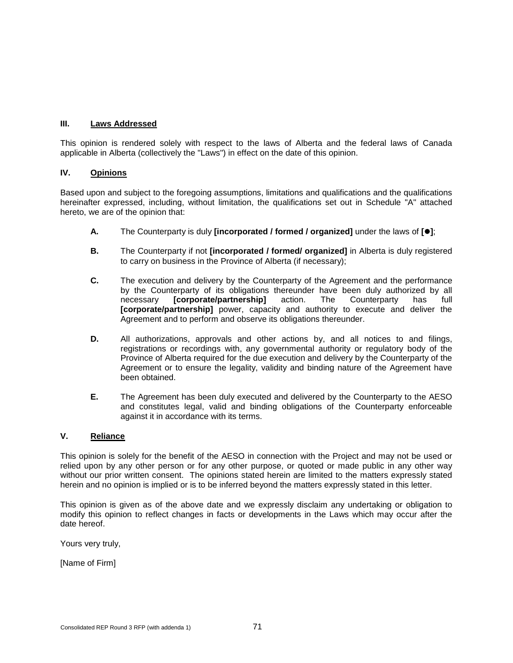### **III. Laws Addressed**

This opinion is rendered solely with respect to the laws of Alberta and the federal laws of Canada applicable in Alberta (collectively the "Laws") in effect on the date of this opinion.

### **IV. Opinions**

Based upon and subject to the foregoing assumptions, limitations and qualifications and the qualifications hereinafter expressed, including, without limitation, the qualifications set out in Schedule "A" attached hereto, we are of the opinion that:

- **A.** The Counterparty is duly **[incorporated / formed / organized]** under the laws of **[]**;
- **B.** The Counterparty if not **[incorporated / formed/ organized]** in Alberta is duly registered to carry on business in the Province of Alberta (if necessary);
- **C.** The execution and delivery by the Counterparty of the Agreement and the performance by the Counterparty of its obligations thereunder have been duly authorized by all necessary [corporate/partnership] action. The Counterparty has full [corporate/partnership] **[corporate/partnership]** power, capacity and authority to execute and deliver the Agreement and to perform and observe its obligations thereunder.
- **D.** All authorizations, approvals and other actions by, and all notices to and filings, registrations or recordings with, any governmental authority or regulatory body of the Province of Alberta required for the due execution and delivery by the Counterparty of the Agreement or to ensure the legality, validity and binding nature of the Agreement have been obtained.
- **E.** The Agreement has been duly executed and delivered by the Counterparty to the AESO and constitutes legal, valid and binding obligations of the Counterparty enforceable against it in accordance with its terms.

### **V. Reliance**

This opinion is solely for the benefit of the AESO in connection with the Project and may not be used or relied upon by any other person or for any other purpose, or quoted or made public in any other way without our prior written consent. The opinions stated herein are limited to the matters expressly stated herein and no opinion is implied or is to be inferred beyond the matters expressly stated in this letter.

This opinion is given as of the above date and we expressly disclaim any undertaking or obligation to modify this opinion to reflect changes in facts or developments in the Laws which may occur after the date hereof.

Yours very truly,

[Name of Firm]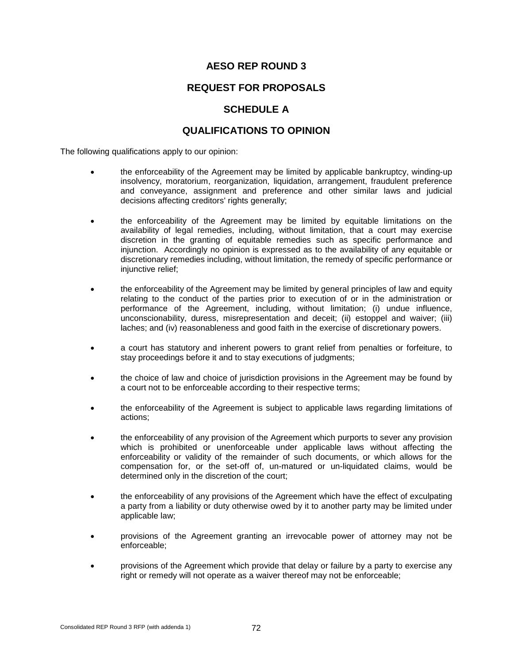# **REQUEST FOR PROPOSALS**

# **SCHEDULE A**

### **QUALIFICATIONS TO OPINION**

The following qualifications apply to our opinion:

- the enforceability of the Agreement may be limited by applicable bankruptcy, winding-up insolvency, moratorium, reorganization, liquidation, arrangement, fraudulent preference and conveyance, assignment and preference and other similar laws and judicial decisions affecting creditors' rights generally;
- the enforceability of the Agreement may be limited by equitable limitations on the availability of legal remedies, including, without limitation, that a court may exercise discretion in the granting of equitable remedies such as specific performance and injunction. Accordingly no opinion is expressed as to the availability of any equitable or discretionary remedies including, without limitation, the remedy of specific performance or injunctive relief;
- the enforceability of the Agreement may be limited by general principles of law and equity relating to the conduct of the parties prior to execution of or in the administration or performance of the Agreement, including, without limitation; (i) undue influence, unconscionability, duress, misrepresentation and deceit; (ii) estoppel and waiver; (iii) laches; and (iv) reasonableness and good faith in the exercise of discretionary powers.
- a court has statutory and inherent powers to grant relief from penalties or forfeiture, to stay proceedings before it and to stay executions of judgments;
- the choice of law and choice of jurisdiction provisions in the Agreement may be found by a court not to be enforceable according to their respective terms;
- the enforceability of the Agreement is subject to applicable laws regarding limitations of actions;
- the enforceability of any provision of the Agreement which purports to sever any provision which is prohibited or unenforceable under applicable laws without affecting the enforceability or validity of the remainder of such documents, or which allows for the compensation for, or the set-off of, un-matured or un-liquidated claims, would be determined only in the discretion of the court;
- the enforceability of any provisions of the Agreement which have the effect of exculpating a party from a liability or duty otherwise owed by it to another party may be limited under applicable law;
- provisions of the Agreement granting an irrevocable power of attorney may not be enforceable;
- provisions of the Agreement which provide that delay or failure by a party to exercise any right or remedy will not operate as a waiver thereof may not be enforceable;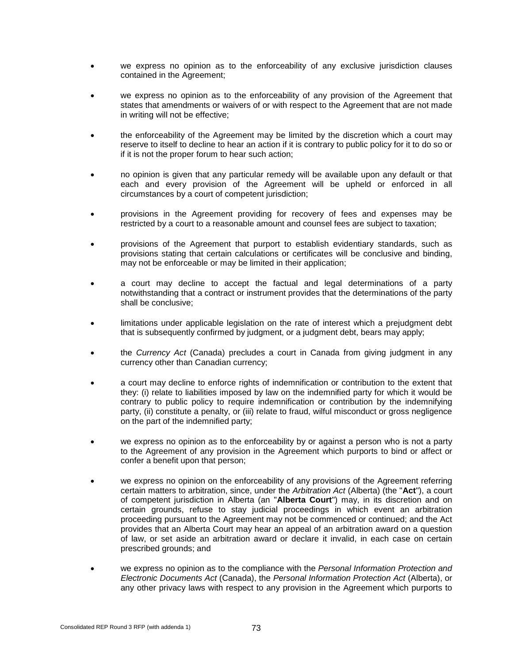- we express no opinion as to the enforceability of any exclusive jurisdiction clauses contained in the Agreement;
- we express no opinion as to the enforceability of any provision of the Agreement that states that amendments or waivers of or with respect to the Agreement that are not made in writing will not be effective;
- the enforceability of the Agreement may be limited by the discretion which a court may reserve to itself to decline to hear an action if it is contrary to public policy for it to do so or if it is not the proper forum to hear such action;
- no opinion is given that any particular remedy will be available upon any default or that each and every provision of the Agreement will be upheld or enforced in all circumstances by a court of competent jurisdiction;
- provisions in the Agreement providing for recovery of fees and expenses may be restricted by a court to a reasonable amount and counsel fees are subject to taxation;
- provisions of the Agreement that purport to establish evidentiary standards, such as provisions stating that certain calculations or certificates will be conclusive and binding, may not be enforceable or may be limited in their application;
- a court may decline to accept the factual and legal determinations of a party notwithstanding that a contract or instrument provides that the determinations of the party shall be conclusive;
- limitations under applicable legislation on the rate of interest which a prejudgment debt that is subsequently confirmed by judgment, or a judgment debt, bears may apply;
- the *Currency Act* (Canada) precludes a court in Canada from giving judgment in any currency other than Canadian currency;
- a court may decline to enforce rights of indemnification or contribution to the extent that they: (i) relate to liabilities imposed by law on the indemnified party for which it would be contrary to public policy to require indemnification or contribution by the indemnifying party, (ii) constitute a penalty, or (iii) relate to fraud, wilful misconduct or gross negligence on the part of the indemnified party;
- we express no opinion as to the enforceability by or against a person who is not a party to the Agreement of any provision in the Agreement which purports to bind or affect or confer a benefit upon that person;
- we express no opinion on the enforceability of any provisions of the Agreement referring certain matters to arbitration, since, under the *Arbitration Act* (Alberta) (the "**Act**"), a court of competent jurisdiction in Alberta (an "**Alberta Court**") may, in its discretion and on certain grounds, refuse to stay judicial proceedings in which event an arbitration proceeding pursuant to the Agreement may not be commenced or continued; and the Act provides that an Alberta Court may hear an appeal of an arbitration award on a question of law, or set aside an arbitration award or declare it invalid, in each case on certain prescribed grounds; and
- we express no opinion as to the compliance with the *Personal Information Protection and Electronic Documents Act* (Canada), the *Personal Information Protection Act* (Alberta), or any other privacy laws with respect to any provision in the Agreement which purports to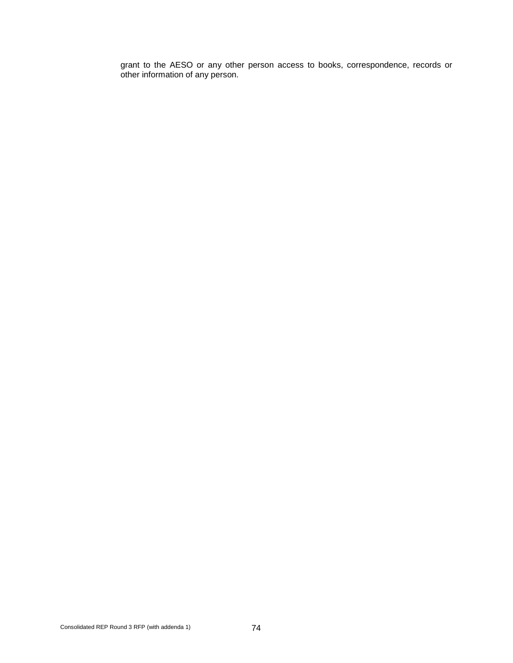grant to the AESO or any other person access to books, correspondence, records or other information of any person.